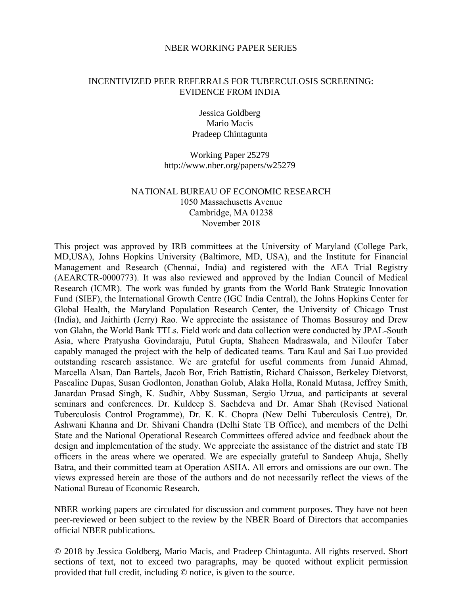#### NBER WORKING PAPER SERIES

### INCENTIVIZED PEER REFERRALS FOR TUBERCULOSIS SCREENING: EVIDENCE FROM INDIA

Jessica Goldberg Mario Macis Pradeep Chintagunta

Working Paper 25279 http://www.nber.org/papers/w25279

# NATIONAL BUREAU OF ECONOMIC RESEARCH 1050 Massachusetts Avenue Cambridge, MA 01238 November 2018

This project was approved by IRB committees at the University of Maryland (College Park, MD,USA), Johns Hopkins University (Baltimore, MD, USA), and the Institute for Financial Management and Research (Chennai, India) and registered with the AEA Trial Registry (AEARCTR-0000773). It was also reviewed and approved by the Indian Council of Medical Research (ICMR). The work was funded by grants from the World Bank Strategic Innovation Fund (SIEF), the International Growth Centre (IGC India Central), the Johns Hopkins Center for Global Health, the Maryland Population Research Center, the University of Chicago Trust (India), and Jaithirth (Jerry) Rao. We appreciate the assistance of Thomas Bossuroy and Drew von Glahn, the World Bank TTLs. Field work and data collection were conducted by JPAL-South Asia, where Pratyusha Govindaraju, Putul Gupta, Shaheen Madraswala, and Niloufer Taber capably managed the project with the help of dedicated teams. Tara Kaul and Sai Luo provided outstanding research assistance. We are grateful for useful comments from Junaid Ahmad, Marcella Alsan, Dan Bartels, Jacob Bor, Erich Battistin, Richard Chaisson, Berkeley Dietvorst, Pascaline Dupas, Susan Godlonton, Jonathan Golub, Alaka Holla, Ronald Mutasa, Jeffrey Smith, Janardan Prasad Singh, K. Sudhir, Abby Sussman, Sergio Urzua, and participants at several seminars and conferences. Dr. Kuldeep S. Sachdeva and Dr. Amar Shah (Revised National Tuberculosis Control Programme), Dr. K. K. Chopra (New Delhi Tuberculosis Centre), Dr. Ashwani Khanna and Dr. Shivani Chandra (Delhi State TB Office), and members of the Delhi State and the National Operational Research Committees offered advice and feedback about the design and implementation of the study. We appreciate the assistance of the district and state TB officers in the areas where we operated. We are especially grateful to Sandeep Ahuja, Shelly Batra, and their committed team at Operation ASHA. All errors and omissions are our own. The views expressed herein are those of the authors and do not necessarily reflect the views of the National Bureau of Economic Research.

NBER working papers are circulated for discussion and comment purposes. They have not been peer-reviewed or been subject to the review by the NBER Board of Directors that accompanies official NBER publications.

© 2018 by Jessica Goldberg, Mario Macis, and Pradeep Chintagunta. All rights reserved. Short sections of text, not to exceed two paragraphs, may be quoted without explicit permission provided that full credit, including © notice, is given to the source.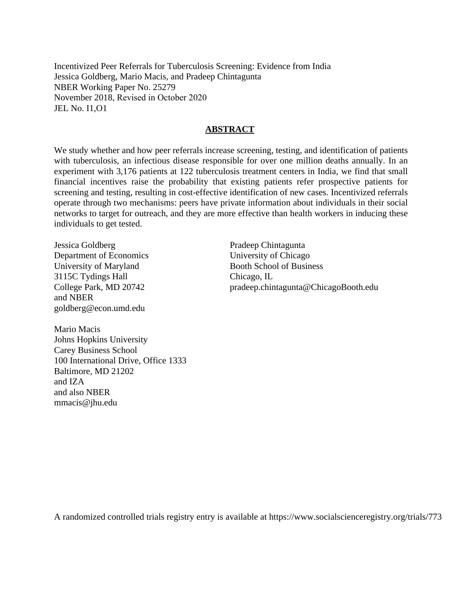Incentivized Peer Referrals for Tuberculosis Screening: Evidence from India Jessica Goldberg, Mario Macis, and Pradeep Chintagunta NBER Working Paper No. 25279 November 2018, Revised in October 2020 JEL No. I1,O1

## **ABSTRACT**

We study whether and how peer referrals increase screening, testing, and identification of patients with tuberculosis, an infectious disease responsible for over one million deaths annually. In an experiment with 3,176 patients at 122 tuberculosis treatment centers in India, we find that small financial incentives raise the probability that existing patients refer prospective patients for screening and testing, resulting in cost-effective identification of new cases. Incentivized referrals operate through two mechanisms: peers have private information about individuals in their social networks to target for outreach, and they are more effective than health workers in inducing these individuals to get tested.

Jessica Goldberg Department of Economics University of Maryland 3115C Tydings Hall College Park, MD 20742 and NBER goldberg@econ.umd.edu

Mario Macis Johns Hopkins University Carey Business School 100 International Drive, Office 1333 Baltimore, MD 21202 and IZA and also NBER mmacis@jhu.edu

Pradeep Chintagunta University of Chicago Booth School of Business Chicago, IL pradeep.chintagunta@ChicagoBooth.edu

A randomized controlled trials registry entry is available at https://www.socialscienceregistry.org/trials/773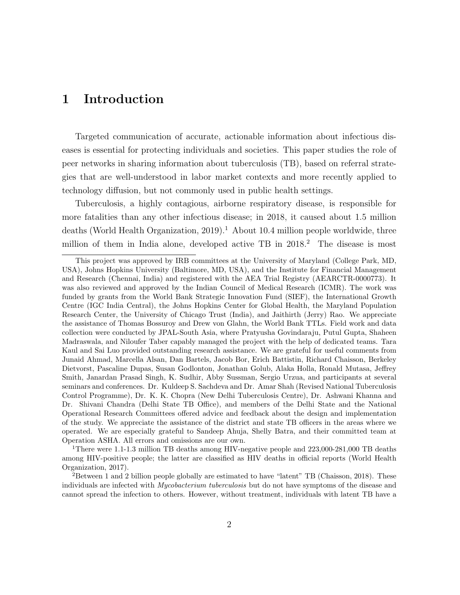# 1 Introduction

Targeted communication of accurate, actionable information about infectious diseases is essential for protecting individuals and societies. This paper studies the role of peer networks in sharing information about tuberculosis (TB), based on referral strategies that are well-understood in labor market contexts and more recently applied to technology diffusion, but not commonly used in public health settings.

Tuberculosis, a highly contagious, airborne respiratory disease, is responsible for more fatalities than any other infectious disease; in 2018, it caused about 1.5 million deaths (World Health Organization, 2019).<sup>1</sup> About 10.4 million people worldwide, three million of them in India alone, developed active TB in  $2018<sup>2</sup>$  The disease is most

This project was approved by IRB committees at the University of Maryland (College Park, MD, USA), Johns Hopkins University (Baltimore, MD, USA), and the Institute for Financial Management and Research (Chennai, India) and registered with the AEA Trial Registry (AEARCTR-0000773). It was also reviewed and approved by the Indian Council of Medical Research (ICMR). The work was funded by grants from the World Bank Strategic Innovation Fund (SIEF), the International Growth Centre (IGC India Central), the Johns Hopkins Center for Global Health, the Maryland Population Research Center, the University of Chicago Trust (India), and Jaithirth (Jerry) Rao. We appreciate the assistance of Thomas Bossuroy and Drew von Glahn, the World Bank TTLs. Field work and data collection were conducted by JPAL-South Asia, where Pratyusha Govindaraju, Putul Gupta, Shaheen Madraswala, and Niloufer Taber capably managed the project with the help of dedicated teams. Tara Kaul and Sai Luo provided outstanding research assistance. We are grateful for useful comments from Junaid Ahmad, Marcella Alsan, Dan Bartels, Jacob Bor, Erich Battistin, Richard Chaisson, Berkeley Dietvorst, Pascaline Dupas, Susan Godlonton, Jonathan Golub, Alaka Holla, Ronald Mutasa, Jeffrey Smith, Janardan Prasad Singh, K. Sudhir, Abby Sussman, Sergio Urzua, and participants at several seminars and conferences. Dr. Kuldeep S. Sachdeva and Dr. Amar Shah (Revised National Tuberculosis Control Programme), Dr. K. K. Chopra (New Delhi Tuberculosis Centre), Dr. Ashwani Khanna and Dr. Shivani Chandra (Delhi State TB Office), and members of the Delhi State and the National Operational Research Committees offered advice and feedback about the design and implementation of the study. We appreciate the assistance of the district and state TB officers in the areas where we operated. We are especially grateful to Sandeep Ahuja, Shelly Batra, and their committed team at Operation ASHA. All errors and omissions are our own.

<sup>&</sup>lt;sup>1</sup>There were 1.1-1.3 million TB deaths among HIV-negative people and 223,000-281,000 TB deaths among HIV-positive people; the latter are classified as HIV deaths in official reports (World Health Organization, 2017).

<sup>2</sup>Between 1 and 2 billion people globally are estimated to have "latent" TB (Chaisson, 2018). These individuals are infected with Mycobacterium tuberculosis but do not have symptoms of the disease and cannot spread the infection to others. However, without treatment, individuals with latent TB have a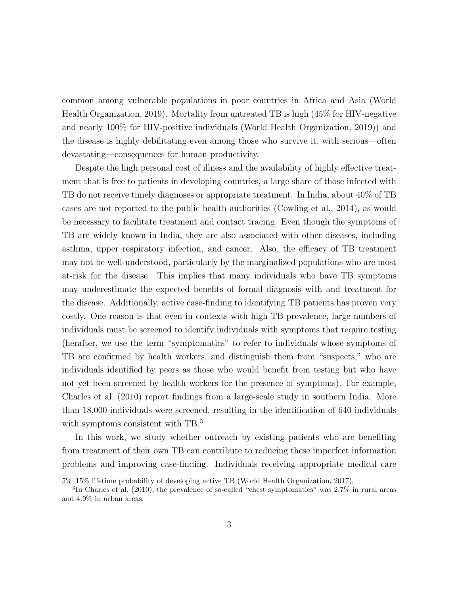common among vulnerable populations in poor countries in Africa and Asia (World Health Organization, 2019). Mortality from untreated TB is high (45% for HIV-negative and nearly 100% for HIV-positive individuals (World Health Organization, 2019)) and the disease is highly debilitating even among those who survive it, with serious—often devastating—consequences for human productivity.

Despite the high personal cost of illness and the availability of highly effective treatment that is free to patients in developing countries, a large share of those infected with TB do not receive timely diagnoses or appropriate treatment. In India, about 40% of TB cases are not reported to the public health authorities (Cowling et al., 2014), as would be necessary to facilitate treatment and contact tracing. Even though the symptoms of TB are widely known in India, they are also associated with other diseases, including asthma, upper respiratory infection, and cancer. Also, the efficacy of TB treatment may not be well-understood, particularly by the marginalized populations who are most at-risk for the disease. This implies that many individuals who have TB symptoms may underestimate the expected benefits of formal diagnosis with and treatment for the disease. Additionally, active case-finding to identifying TB patients has proven very costly. One reason is that even in contexts with high TB prevalence, large numbers of individuals must be screened to identify individuals with symptoms that require testing (herafter, we use the term "symptomatics" to refer to individuals whose symptoms of TB are confirmed by health workers, and distinguish them from "suspects," who are individuals identified by peers as those who would benefit from testing but who have not yet been screened by health workers for the presence of symptoms). For example, Charles et al. (2010) report findings from a large-scale study in southern India. More than 18,000 individuals were screened, resulting in the identification of 640 individuals with symptoms consistent with TB.<sup>3</sup>

In this work, we study whether outreach by existing patients who are benefiting from treatment of their own TB can contribute to reducing these imperfect information problems and improving case-finding. Individuals receiving appropriate medical care

<sup>5%–15%</sup> lifetime probability of developing active TB (World Health Organization, 2017).

<sup>&</sup>lt;sup>3</sup>In Charles et al. (2010), the prevalence of so-called "chest symptomatics" was 2.7% in rural areas and 4.9% in urban areas.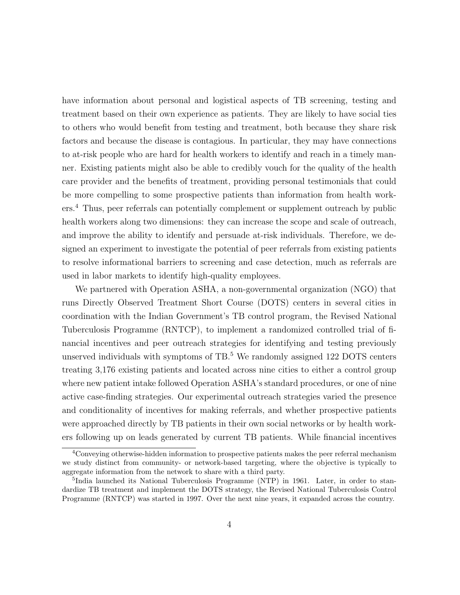have information about personal and logistical aspects of TB screening, testing and treatment based on their own experience as patients. They are likely to have social ties to others who would benefit from testing and treatment, both because they share risk factors and because the disease is contagious. In particular, they may have connections to at-risk people who are hard for health workers to identify and reach in a timely manner. Existing patients might also be able to credibly vouch for the quality of the health care provider and the benefits of treatment, providing personal testimonials that could be more compelling to some prospective patients than information from health workers.<sup>4</sup> Thus, peer referrals can potentially complement or supplement outreach by public health workers along two dimensions: they can increase the scope and scale of outreach, and improve the ability to identify and persuade at-risk individuals. Therefore, we designed an experiment to investigate the potential of peer referrals from existing patients to resolve informational barriers to screening and case detection, much as referrals are used in labor markets to identify high-quality employees.

We partnered with Operation ASHA, a non-governmental organization (NGO) that runs Directly Observed Treatment Short Course (DOTS) centers in several cities in coordination with the Indian Government's TB control program, the Revised National Tuberculosis Programme (RNTCP), to implement a randomized controlled trial of financial incentives and peer outreach strategies for identifying and testing previously unserved individuals with symptoms of  $TB<sup>5</sup>$  We randomly assigned 122 DOTS centers treating 3,176 existing patients and located across nine cities to either a control group where new patient intake followed Operation ASHA's standard procedures, or one of nine active case-finding strategies. Our experimental outreach strategies varied the presence and conditionality of incentives for making referrals, and whether prospective patients were approached directly by TB patients in their own social networks or by health workers following up on leads generated by current TB patients. While financial incentives

<sup>&</sup>lt;sup>4</sup>Conveying otherwise-hidden information to prospective patients makes the peer referral mechanism we study distinct from community- or network-based targeting, where the objective is typically to aggregate information from the network to share with a third party.

<sup>&</sup>lt;sup>5</sup>India launched its National Tuberculosis Programme (NTP) in 1961. Later, in order to standardize TB treatment and implement the DOTS strategy, the Revised National Tuberculosis Control Programme (RNTCP) was started in 1997. Over the next nine years, it expanded across the country.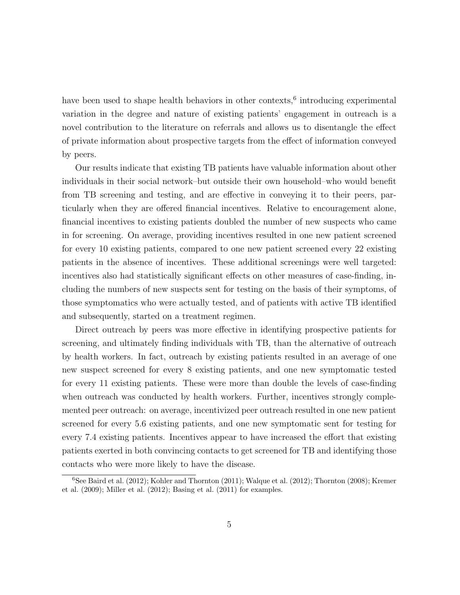have been used to shape health behaviors in other contexts,<sup>6</sup> introducing experimental variation in the degree and nature of existing patients' engagement in outreach is a novel contribution to the literature on referrals and allows us to disentangle the effect of private information about prospective targets from the effect of information conveyed by peers.

Our results indicate that existing TB patients have valuable information about other individuals in their social network–but outside their own household–who would benefit from TB screening and testing, and are effective in conveying it to their peers, particularly when they are offered financial incentives. Relative to encouragement alone, financial incentives to existing patients doubled the number of new suspects who came in for screening. On average, providing incentives resulted in one new patient screened for every 10 existing patients, compared to one new patient screened every 22 existing patients in the absence of incentives. These additional screenings were well targeted: incentives also had statistically significant effects on other measures of case-finding, including the numbers of new suspects sent for testing on the basis of their symptoms, of those symptomatics who were actually tested, and of patients with active TB identified and subsequently, started on a treatment regimen.

Direct outreach by peers was more effective in identifying prospective patients for screening, and ultimately finding individuals with TB, than the alternative of outreach by health workers. In fact, outreach by existing patients resulted in an average of one new suspect screened for every 8 existing patients, and one new symptomatic tested for every 11 existing patients. These were more than double the levels of case-finding when outreach was conducted by health workers. Further, incentives strongly complemented peer outreach: on average, incentivized peer outreach resulted in one new patient screened for every 5.6 existing patients, and one new symptomatic sent for testing for every 7.4 existing patients. Incentives appear to have increased the effort that existing patients exerted in both convincing contacts to get screened for TB and identifying those contacts who were more likely to have the disease.

 $6$ See Baird et al. (2012); Kohler and Thornton (2011); Walque et al. (2012); Thornton (2008); Kremer et al. (2009); Miller et al. (2012); Basing et al. (2011) for examples.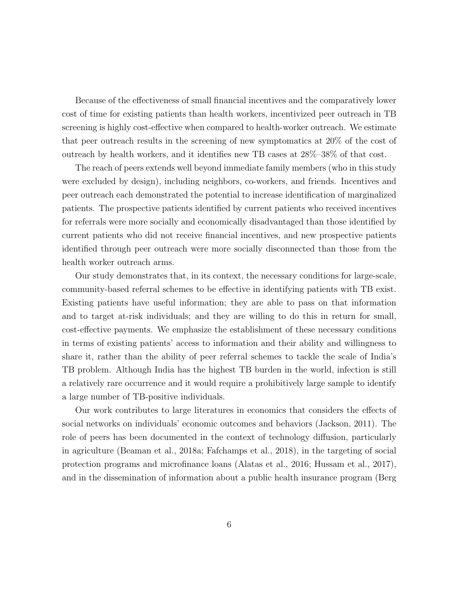Because of the effectiveness of small financial incentives and the comparatively lower cost of time for existing patients than health workers, incentivized peer outreach in TB screening is highly cost-effective when compared to health-worker outreach. We estimate that peer outreach results in the screening of new symptomatics at 20% of the cost of outreach by health workers, and it identifies new TB cases at 28%–38% of that cost.

The reach of peers extends well beyond immediate family members (who in this study were excluded by design), including neighbors, co-workers, and friends. Incentives and peer outreach each demonstrated the potential to increase identification of marginalized patients. The prospective patients identified by current patients who received incentives for referrals were more socially and economically disadvantaged than those identified by current patients who did not receive financial incentives, and new prospective patients identified through peer outreach were more socially disconnected than those from the health worker outreach arms.

Our study demonstrates that, in its context, the necessary conditions for large-scale, community-based referral schemes to be effective in identifying patients with TB exist. Existing patients have useful information; they are able to pass on that information and to target at-risk individuals; and they are willing to do this in return for small, cost-effective payments. We emphasize the establishment of these necessary conditions in terms of existing patients' access to information and their ability and willingness to share it, rather than the ability of peer referral schemes to tackle the scale of India's TB problem. Although India has the highest TB burden in the world, infection is still a relatively rare occurrence and it would require a prohibitively large sample to identify a large number of TB-positive individuals.

Our work contributes to large literatures in economics that considers the effects of social networks on individuals' economic outcomes and behaviors (Jackson, 2011). The role of peers has been documented in the context of technology diffusion, particularly in agriculture (Beaman et al., 2018a; Fafchamps et al., 2018), in the targeting of social protection programs and microfinance loans (Alatas et al., 2016; Hussam et al., 2017), and in the dissemination of information about a public health insurance program (Berg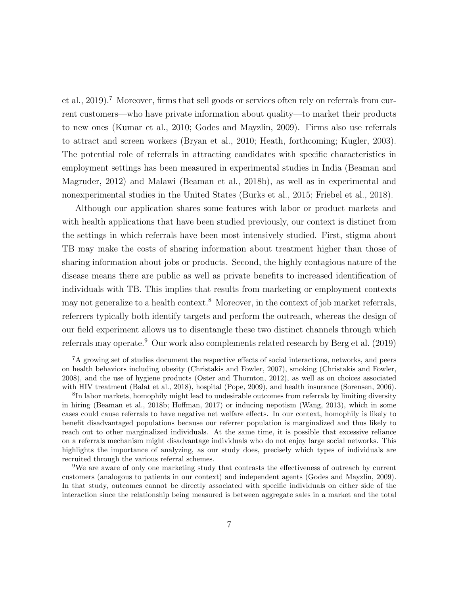et al., 2019).<sup>7</sup> Moreover, firms that sell goods or services often rely on referrals from current customers—who have private information about quality—to market their products to new ones (Kumar et al., 2010; Godes and Mayzlin, 2009). Firms also use referrals to attract and screen workers (Bryan et al., 2010; Heath, forthcoming; Kugler, 2003). The potential role of referrals in attracting candidates with specific characteristics in employment settings has been measured in experimental studies in India (Beaman and Magruder, 2012) and Malawi (Beaman et al., 2018b), as well as in experimental and nonexperimental studies in the United States (Burks et al., 2015; Friebel et al., 2018).

Although our application shares some features with labor or product markets and with health applications that have been studied previously, our context is distinct from the settings in which referrals have been most intensively studied. First, stigma about TB may make the costs of sharing information about treatment higher than those of sharing information about jobs or products. Second, the highly contagious nature of the disease means there are public as well as private benefits to increased identification of individuals with TB. This implies that results from marketing or employment contexts may not generalize to a health context.<sup>8</sup> Moreover, in the context of job market referrals, referrers typically both identify targets and perform the outreach, whereas the design of our field experiment allows us to disentangle these two distinct channels through which referrals may operate.<sup>9</sup> Our work also complements related research by Berg et al. (2019)

<sup>7</sup>A growing set of studies document the respective effects of social interactions, networks, and peers on health behaviors including obesity (Christakis and Fowler, 2007), smoking (Christakis and Fowler, 2008), and the use of hygiene products (Oster and Thornton, 2012), as well as on choices associated with HIV treatment (Balat et al., 2018), hospital (Pope, 2009), and health insurance (Sorensen, 2006).

<sup>&</sup>lt;sup>8</sup>In labor markets, homophily might lead to undesirable outcomes from referrals by limiting diversity in hiring (Beaman et al., 2018b; Hoffman, 2017) or inducing nepotism (Wang, 2013), which in some cases could cause referrals to have negative net welfare effects. In our context, homophily is likely to benefit disadvantaged populations because our referrer population is marginalized and thus likely to reach out to other marginalized individuals. At the same time, it is possible that excessive reliance on a referrals mechanism might disadvantage individuals who do not enjoy large social networks. This highlights the importance of analyzing, as our study does, precisely which types of individuals are recruited through the various referral schemes.

<sup>9</sup>We are aware of only one marketing study that contrasts the effectiveness of outreach by current customers (analogous to patients in our context) and independent agents (Godes and Mayzlin, 2009). In that study, outcomes cannot be directly associated with specific individuals on either side of the interaction since the relationship being measured is between aggregate sales in a market and the total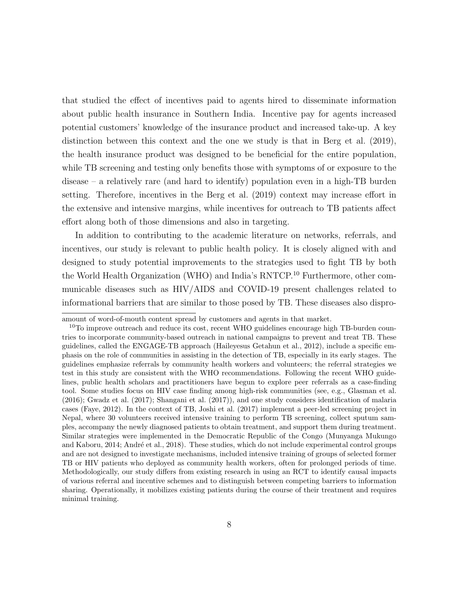that studied the effect of incentives paid to agents hired to disseminate information about public health insurance in Southern India. Incentive pay for agents increased potential customers' knowledge of the insurance product and increased take-up. A key distinction between this context and the one we study is that in Berg et al. (2019), the health insurance product was designed to be beneficial for the entire population, while TB screening and testing only benefits those with symptoms of or exposure to the disease – a relatively rare (and hard to identify) population even in a high-TB burden setting. Therefore, incentives in the Berg et al. (2019) context may increase effort in the extensive and intensive margins, while incentives for outreach to TB patients affect effort along both of those dimensions and also in targeting.

In addition to contributing to the academic literature on networks, referrals, and incentives, our study is relevant to public health policy. It is closely aligned with and designed to study potential improvements to the strategies used to fight TB by both the World Health Organization (WHO) and India's RNTCP.<sup>10</sup> Furthermore, other communicable diseases such as HIV/AIDS and COVID-19 present challenges related to informational barriers that are similar to those posed by TB. These diseases also dispro-

amount of word-of-mouth content spread by customers and agents in that market.

 $10$ To improve outreach and reduce its cost, recent WHO guidelines encourage high TB-burden countries to incorporate community-based outreach in national campaigns to prevent and treat TB. These guidelines, called the ENGAGE-TB approach (Haileyesus Getahun et al., 2012), include a specific emphasis on the role of communities in assisting in the detection of TB, especially in its early stages. The guidelines emphasize referrals by community health workers and volunteers; the referral strategies we test in this study are consistent with the WHO recommendations. Following the recent WHO guidelines, public health scholars and practitioners have begun to explore peer referrals as a case-finding tool. Some studies focus on HIV case finding among high-risk communities (see, e.g., Glasman et al. (2016); Gwadz et al. (2017); Shangani et al. (2017)), and one study considers identification of malaria cases (Faye, 2012). In the context of TB, Joshi et al. (2017) implement a peer-led screening project in Nepal, where 30 volunteers received intensive training to perform TB screening, collect sputum samples, accompany the newly diagnosed patients to obtain treatment, and support them during treatment. Similar strategies were implemented in the Democratic Republic of the Congo (Munyanga Mukungo and Kaboru, 2014; André et al., 2018). These studies, which do not include experimental control groups and are not designed to investigate mechanisms, included intensive training of groups of selected former TB or HIV patients who deployed as community health workers, often for prolonged periods of time. Methodologically, our study differs from existing research in using an RCT to identify causal impacts of various referral and incentive schemes and to distinguish between competing barriers to information sharing. Operationally, it mobilizes existing patients during the course of their treatment and requires minimal training.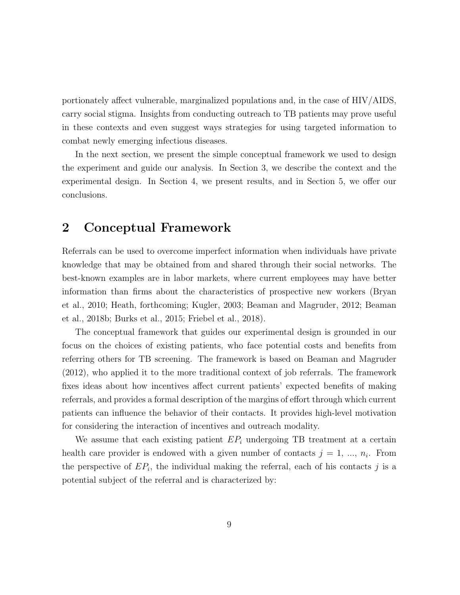portionately affect vulnerable, marginalized populations and, in the case of HIV/AIDS, carry social stigma. Insights from conducting outreach to TB patients may prove useful in these contexts and even suggest ways strategies for using targeted information to combat newly emerging infectious diseases.

In the next section, we present the simple conceptual framework we used to design the experiment and guide our analysis. In Section 3, we describe the context and the experimental design. In Section 4, we present results, and in Section 5, we offer our conclusions.

# 2 Conceptual Framework

Referrals can be used to overcome imperfect information when individuals have private knowledge that may be obtained from and shared through their social networks. The best-known examples are in labor markets, where current employees may have better information than firms about the characteristics of prospective new workers (Bryan et al., 2010; Heath, forthcoming; Kugler, 2003; Beaman and Magruder, 2012; Beaman et al., 2018b; Burks et al., 2015; Friebel et al., 2018).

The conceptual framework that guides our experimental design is grounded in our focus on the choices of existing patients, who face potential costs and benefits from referring others for TB screening. The framework is based on Beaman and Magruder (2012), who applied it to the more traditional context of job referrals. The framework fixes ideas about how incentives affect current patients' expected benefits of making referrals, and provides a formal description of the margins of effort through which current patients can influence the behavior of their contacts. It provides high-level motivation for considering the interaction of incentives and outreach modality.

We assume that each existing patient  $EP_i$  undergoing TB treatment at a certain health care provider is endowed with a given number of contacts  $j = 1, ..., n_i$ . From the perspective of  $EP_i$ , the individual making the referral, each of his contacts j is a potential subject of the referral and is characterized by: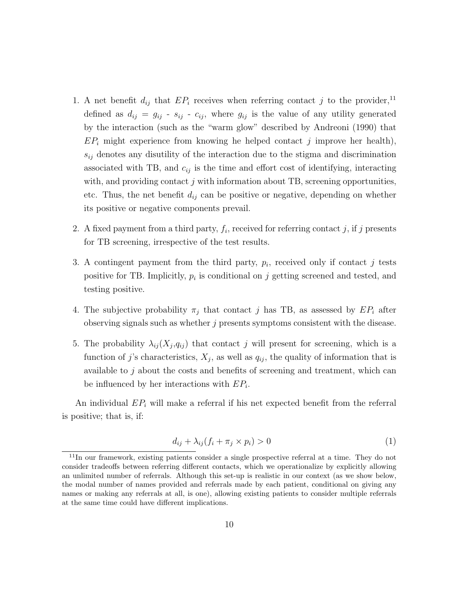- 1. A net benefit  $d_{ij}$  that  $EP_i$  receives when referring contact j to the provider,<sup>11</sup> defined as  $d_{ij} = g_{ij} - s_{ij} - c_{ij}$ , where  $g_{ij}$  is the value of any utility generated by the interaction (such as the "warm glow" described by Andreoni (1990) that  $EP_i$  might experience from knowing he helped contact j improve her health),  $s_{ij}$  denotes any disutility of the interaction due to the stigma and discrimination associated with TB, and  $c_{ij}$  is the time and effort cost of identifying, interacting with, and providing contact  $j$  with information about TB, screening opportunities, etc. Thus, the net benefit  $d_{ij}$  can be positive or negative, depending on whether its positive or negative components prevail.
- 2. A fixed payment from a third party,  $f_i$ , received for referring contact j, if j presents for TB screening, irrespective of the test results.
- 3. A contingent payment from the third party,  $p_i$ , received only if contact j tests positive for TB. Implicitly,  $p_i$  is conditional on j getting screened and tested, and testing positive.
- 4. The subjective probability  $\pi_j$  that contact j has TB, as assessed by  $EP_i$  after observing signals such as whether  $j$  presents symptoms consistent with the disease.
- 5. The probability  $\lambda_{ij}(X_j, q_{ij})$  that contact j will present for screening, which is a function of j's characteristics,  $X_j$ , as well as  $q_{ij}$ , the quality of information that is available to j about the costs and benefits of screening and treatment, which can be influenced by her interactions with  $EP_i$ .

An individual  $EP_i$  will make a referral if his net expected benefit from the referral is positive; that is, if:

$$
d_{ij} + \lambda_{ij}(f_i + \pi_j \times p_i) > 0 \tag{1}
$$

<sup>11</sup>In our framework, existing patients consider a single prospective referral at a time. They do not consider tradeoffs between referring different contacts, which we operationalize by explicitly allowing an unlimited number of referrals. Although this set-up is realistic in our context (as we show below, the modal number of names provided and referrals made by each patient, conditional on giving any names or making any referrals at all, is one), allowing existing patients to consider multiple referrals at the same time could have different implications.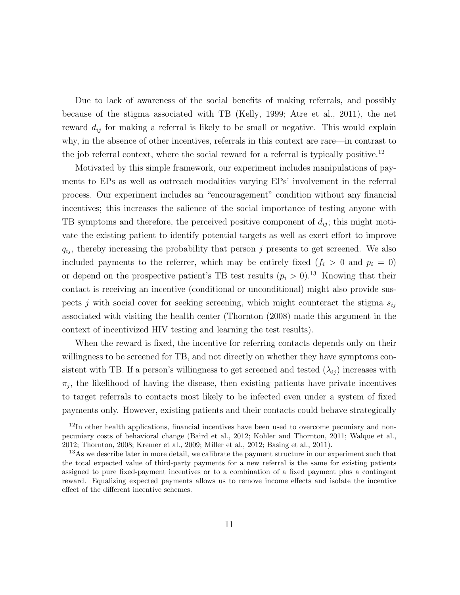Due to lack of awareness of the social benefits of making referrals, and possibly because of the stigma associated with TB (Kelly, 1999; Atre et al., 2011), the net reward  $d_{ij}$  for making a referral is likely to be small or negative. This would explain why, in the absence of other incentives, referrals in this context are rare—in contrast to the job referral context, where the social reward for a referral is typically positive.<sup>12</sup>

Motivated by this simple framework, our experiment includes manipulations of payments to EPs as well as outreach modalities varying EPs' involvement in the referral process. Our experiment includes an "encouragement" condition without any financial incentives; this increases the salience of the social importance of testing anyone with TB symptoms and therefore, the perceived positive component of  $d_{ij}$ ; this might motivate the existing patient to identify potential targets as well as exert effort to improve  $q_{ij}$ , thereby increasing the probability that person j presents to get screened. We also included payments to the referrer, which may be entirely fixed  $(f_i > 0$  and  $p_i = 0)$ or depend on the prospective patient's TB test results  $(p_i > 0)$ .<sup>13</sup> Knowing that their contact is receiving an incentive (conditional or unconditional) might also provide suspects j with social cover for seeking screening, which might counteract the stigma  $s_{ij}$ associated with visiting the health center (Thornton (2008) made this argument in the context of incentivized HIV testing and learning the test results).

When the reward is fixed, the incentive for referring contacts depends only on their willingness to be screened for TB, and not directly on whether they have symptoms consistent with TB. If a person's willingness to get screened and tested  $(\lambda_{ij})$  increases with  $\pi_j$ , the likelihood of having the disease, then existing patients have private incentives to target referrals to contacts most likely to be infected even under a system of fixed payments only. However, existing patients and their contacts could behave strategically

<sup>&</sup>lt;sup>12</sup>In other health applications, financial incentives have been used to overcome pecuniary and nonpecuniary costs of behavioral change (Baird et al., 2012; Kohler and Thornton, 2011; Walque et al., 2012; Thornton, 2008; Kremer et al., 2009; Miller et al., 2012; Basing et al., 2011).

<sup>&</sup>lt;sup>13</sup>As we describe later in more detail, we calibrate the payment structure in our experiment such that the total expected value of third-party payments for a new referral is the same for existing patients assigned to pure fixed-payment incentives or to a combination of a fixed payment plus a contingent reward. Equalizing expected payments allows us to remove income effects and isolate the incentive effect of the different incentive schemes.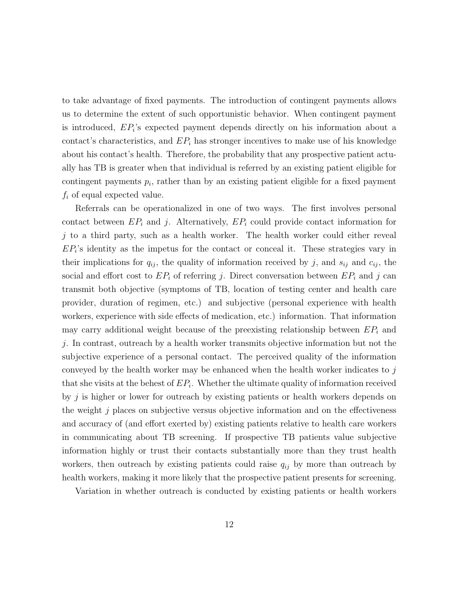to take advantage of fixed payments. The introduction of contingent payments allows us to determine the extent of such opportunistic behavior. When contingent payment is introduced, EP<sup>i</sup> 's expected payment depends directly on his information about a contact's characteristics, and  $EP_i$  has stronger incentives to make use of his knowledge about his contact's health. Therefore, the probability that any prospective patient actually has TB is greater when that individual is referred by an existing patient eligible for contingent payments  $p_i$ , rather than by an existing patient eligible for a fixed payment  $f_i$  of equal expected value.

Referrals can be operationalized in one of two ways. The first involves personal contact between  $EP_i$  and j. Alternatively,  $EP_i$  could provide contact information for  $j$  to a third party, such as a health worker. The health worker could either reveal  $EP_i$ 's identity as the impetus for the contact or conceal it. These strategies vary in their implications for  $q_{ij}$ , the quality of information received by j, and  $s_{ij}$  and  $c_{ij}$ , the social and effort cost to  $EP_i$  of referring j. Direct conversation between  $EP_i$  and j can transmit both objective (symptoms of TB, location of testing center and health care provider, duration of regimen, etc.) and subjective (personal experience with health workers, experience with side effects of medication, etc.) information. That information may carry additional weight because of the preexisting relationship between  $EP_i$  and j. In contrast, outreach by a health worker transmits objective information but not the subjective experience of a personal contact. The perceived quality of the information conveyed by the health worker may be enhanced when the health worker indicates to  $j$ that she visits at the behest of  $EP_i$ . Whether the ultimate quality of information received by  $j$  is higher or lower for outreach by existing patients or health workers depends on the weight  $j$  places on subjective versus objective information and on the effectiveness and accuracy of (and effort exerted by) existing patients relative to health care workers in communicating about TB screening. If prospective TB patients value subjective information highly or trust their contacts substantially more than they trust health workers, then outreach by existing patients could raise  $q_{ij}$  by more than outreach by health workers, making it more likely that the prospective patient presents for screening.

Variation in whether outreach is conducted by existing patients or health workers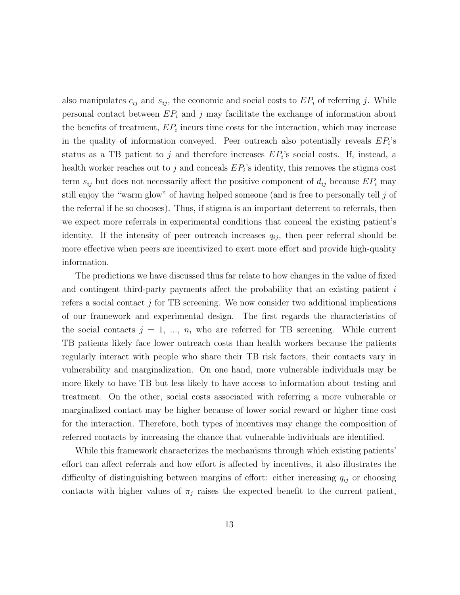also manipulates  $c_{ij}$  and  $s_{ij}$ , the economic and social costs to  $EP_i$  of referring j. While personal contact between  $EP_i$  and j may facilitate the exchange of information about the benefits of treatment,  $EP_i$  incurs time costs for the interaction, which may increase in the quality of information conveyed. Peer outreach also potentially reveals  $EP_i$ 's status as a TB patient to j and therefore increases  $EP_i$ 's social costs. If, instead, a health worker reaches out to  $j$  and conceals  $EP_i$ 's identity, this removes the stigma cost term  $s_{ij}$  but does not necessarily affect the positive component of  $d_{ij}$  because  $EP_i$  may still enjoy the "warm glow" of having helped someone (and is free to personally tell j of the referral if he so chooses). Thus, if stigma is an important deterrent to referrals, then we expect more referrals in experimental conditions that conceal the existing patient's identity. If the intensity of peer outreach increases  $q_{ij}$ , then peer referral should be more effective when peers are incentivized to exert more effort and provide high-quality information.

The predictions we have discussed thus far relate to how changes in the value of fixed and contingent third-party payments affect the probability that an existing patient  $i$ refers a social contact  $j$  for TB screening. We now consider two additional implications of our framework and experimental design. The first regards the characteristics of the social contacts  $j = 1, ..., n_i$  who are referred for TB screening. While current TB patients likely face lower outreach costs than health workers because the patients regularly interact with people who share their TB risk factors, their contacts vary in vulnerability and marginalization. On one hand, more vulnerable individuals may be more likely to have TB but less likely to have access to information about testing and treatment. On the other, social costs associated with referring a more vulnerable or marginalized contact may be higher because of lower social reward or higher time cost for the interaction. Therefore, both types of incentives may change the composition of referred contacts by increasing the chance that vulnerable individuals are identified.

While this framework characterizes the mechanisms through which existing patients' effort can affect referrals and how effort is affected by incentives, it also illustrates the difficulty of distinguishing between margins of effort: either increasing  $q_{ij}$  or choosing contacts with higher values of  $\pi_j$  raises the expected benefit to the current patient,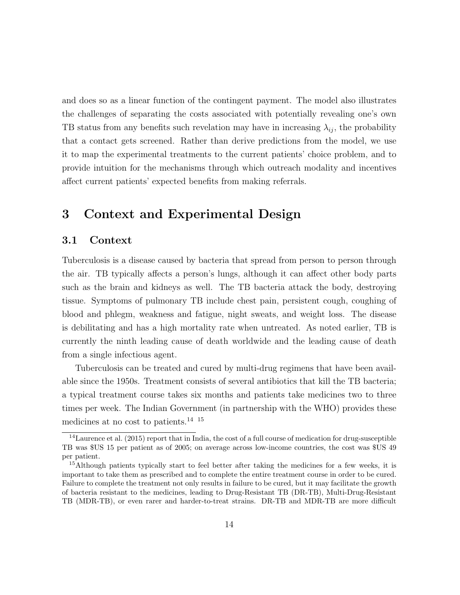and does so as a linear function of the contingent payment. The model also illustrates the challenges of separating the costs associated with potentially revealing one's own TB status from any benefits such revelation may have in increasing  $\lambda_{ij}$ , the probability that a contact gets screened. Rather than derive predictions from the model, we use it to map the experimental treatments to the current patients' choice problem, and to provide intuition for the mechanisms through which outreach modality and incentives affect current patients' expected benefits from making referrals.

# 3 Context and Experimental Design

## 3.1 Context

Tuberculosis is a disease caused by bacteria that spread from person to person through the air. TB typically affects a person's lungs, although it can affect other body parts such as the brain and kidneys as well. The TB bacteria attack the body, destroying tissue. Symptoms of pulmonary TB include chest pain, persistent cough, coughing of blood and phlegm, weakness and fatigue, night sweats, and weight loss. The disease is debilitating and has a high mortality rate when untreated. As noted earlier, TB is currently the ninth leading cause of death worldwide and the leading cause of death from a single infectious agent.

Tuberculosis can be treated and cured by multi-drug regimens that have been available since the 1950s. Treatment consists of several antibiotics that kill the TB bacteria; a typical treatment course takes six months and patients take medicines two to three times per week. The Indian Government (in partnership with the WHO) provides these medicines at no cost to patients.<sup>14 15</sup>

 $14$ Laurence et al. (2015) report that in India, the cost of a full course of medication for drug-susceptible TB was \$US 15 per patient as of 2005; on average across low-income countries, the cost was \$US 49 per patient.

<sup>&</sup>lt;sup>15</sup>Although patients typically start to feel better after taking the medicines for a few weeks, it is important to take them as prescribed and to complete the entire treatment course in order to be cured. Failure to complete the treatment not only results in failure to be cured, but it may facilitate the growth of bacteria resistant to the medicines, leading to Drug-Resistant TB (DR-TB), Multi-Drug-Resistant TB (MDR-TB), or even rarer and harder-to-treat strains. DR-TB and MDR-TB are more difficult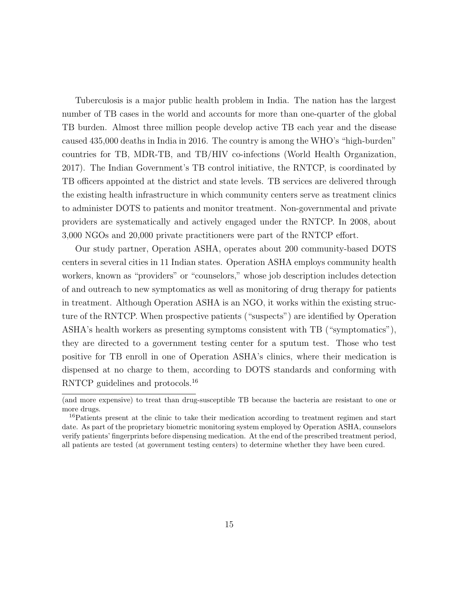Tuberculosis is a major public health problem in India. The nation has the largest number of TB cases in the world and accounts for more than one-quarter of the global TB burden. Almost three million people develop active TB each year and the disease caused 435,000 deaths in India in 2016. The country is among the WHO's "high-burden" countries for TB, MDR-TB, and TB/HIV co-infections (World Health Organization, 2017). The Indian Government's TB control initiative, the RNTCP, is coordinated by TB officers appointed at the district and state levels. TB services are delivered through the existing health infrastructure in which community centers serve as treatment clinics to administer DOTS to patients and monitor treatment. Non-governmental and private providers are systematically and actively engaged under the RNTCP. In 2008, about 3,000 NGOs and 20,000 private practitioners were part of the RNTCP effort.

Our study partner, Operation ASHA, operates about 200 community-based DOTS centers in several cities in 11 Indian states. Operation ASHA employs community health workers, known as "providers" or "counselors," whose job description includes detection of and outreach to new symptomatics as well as monitoring of drug therapy for patients in treatment. Although Operation ASHA is an NGO, it works within the existing structure of the RNTCP. When prospective patients ("suspects") are identified by Operation ASHA's health workers as presenting symptoms consistent with TB ("symptomatics"), they are directed to a government testing center for a sputum test. Those who test positive for TB enroll in one of Operation ASHA's clinics, where their medication is dispensed at no charge to them, according to DOTS standards and conforming with RNTCP guidelines and protocols.<sup>16</sup>

<sup>(</sup>and more expensive) to treat than drug-susceptible TB because the bacteria are resistant to one or more drugs.

<sup>16</sup>Patients present at the clinic to take their medication according to treatment regimen and start date. As part of the proprietary biometric monitoring system employed by Operation ASHA, counselors verify patients' fingerprints before dispensing medication. At the end of the prescribed treatment period, all patients are tested (at government testing centers) to determine whether they have been cured.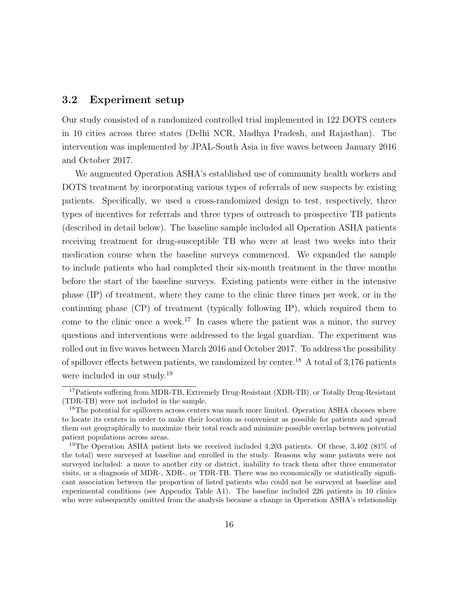## 3.2 Experiment setup

Our study consisted of a randomized controlled trial implemented in 122 DOTS centers in 10 cities across three states (Delhi NCR, Madhya Pradesh, and Rajasthan). The intervention was implemented by JPAL-South Asia in five waves between January 2016 and October 2017.

We augmented Operation ASHA's established use of community health workers and DOTS treatment by incorporating various types of referrals of new suspects by existing patients. Specifically, we used a cross-randomized design to test, respectively, three types of incentives for referrals and three types of outreach to prospective TB patients (described in detail below). The baseline sample included all Operation ASHA patients receiving treatment for drug-susceptible TB who were at least two weeks into their medication course when the baseline surveys commenced. We expanded the sample to include patients who had completed their six-month treatment in the three months before the start of the baseline surveys. Existing patients were either in the intensive phase (IP) of treatment, where they came to the clinic three times per week, or in the continuing phase (CP) of treatment (typically following IP), which required them to come to the clinic once a week.<sup>17</sup> In cases where the patient was a minor, the survey questions and interventions were addressed to the legal guardian. The experiment was rolled out in five waves between March 2016 and October 2017. To address the possibility of spillover effects between patients, we randomized by center.<sup>18</sup> A total of 3,176 patients were included in our study.<sup>19</sup>

<sup>17</sup>Patients suffering from MDR-TB, Extremely Drug-Resistant (XDR-TB), or Totally Drug-Resistant (TDR-TB) were not included in the sample.

<sup>&</sup>lt;sup>18</sup>The potential for spillovers across centers was much more limited. Operation ASHA chooses where to locate its centers in order to make their location as convenient as possible for patients and spread them out geographically to maximize their total reach and minimize possible overlap between potential patient populations across areas.

<sup>19</sup>The Operation ASHA patient lists we received included 4,203 patients. Of these, 3,402 (81% of the total) were surveyed at baseline and enrolled in the study. Reasons why some patients were not surveyed included: a move to another city or district, inability to track them after three enumerator visits, or a diagnosis of MDR-, XDR-, or TDR-TB. There was no economically or statistically significant association between the proportion of listed patients who could not be surveyed at baseline and experimental conditions (see Appendix Table A1). The baseline included 226 patients in 10 clinics who were subsequently omitted from the analysis because a change in Operation ASHA's relationship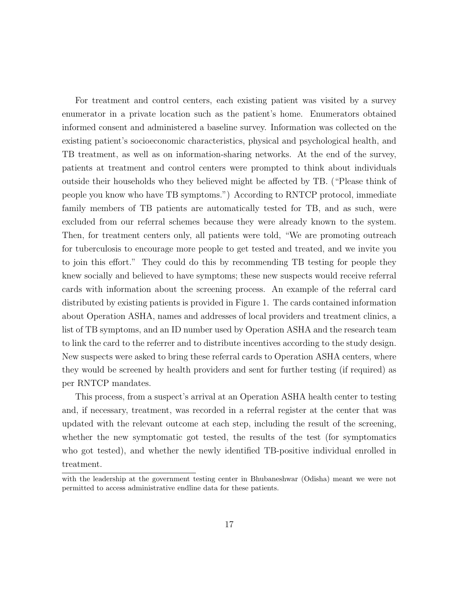For treatment and control centers, each existing patient was visited by a survey enumerator in a private location such as the patient's home. Enumerators obtained informed consent and administered a baseline survey. Information was collected on the existing patient's socioeconomic characteristics, physical and psychological health, and TB treatment, as well as on information-sharing networks. At the end of the survey, patients at treatment and control centers were prompted to think about individuals outside their households who they believed might be affected by TB. ("Please think of people you know who have TB symptoms.") According to RNTCP protocol, immediate family members of TB patients are automatically tested for TB, and as such, were excluded from our referral schemes because they were already known to the system. Then, for treatment centers only, all patients were told, "We are promoting outreach for tuberculosis to encourage more people to get tested and treated, and we invite you to join this effort." They could do this by recommending TB testing for people they knew socially and believed to have symptoms; these new suspects would receive referral cards with information about the screening process. An example of the referral card distributed by existing patients is provided in Figure 1. The cards contained information about Operation ASHA, names and addresses of local providers and treatment clinics, a list of TB symptoms, and an ID number used by Operation ASHA and the research team to link the card to the referrer and to distribute incentives according to the study design. New suspects were asked to bring these referral cards to Operation ASHA centers, where they would be screened by health providers and sent for further testing (if required) as per RNTCP mandates.

This process, from a suspect's arrival at an Operation ASHA health center to testing and, if necessary, treatment, was recorded in a referral register at the center that was updated with the relevant outcome at each step, including the result of the screening, whether the new symptomatic got tested, the results of the test (for symptomatics who got tested), and whether the newly identified TB-positive individual enrolled in treatment.

with the leadership at the government testing center in Bhubaneshwar (Odisha) meant we were not permitted to access administrative endline data for these patients.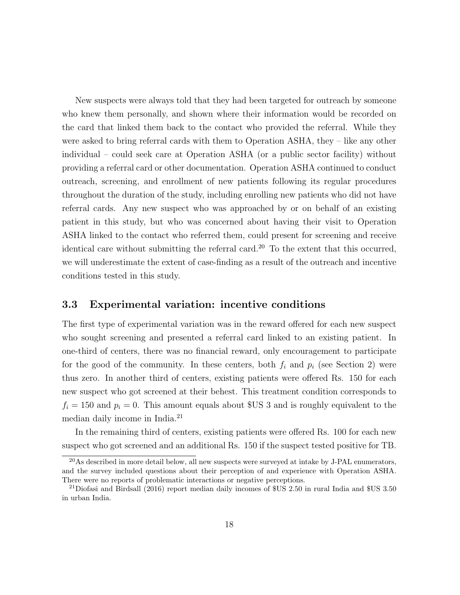New suspects were always told that they had been targeted for outreach by someone who knew them personally, and shown where their information would be recorded on the card that linked them back to the contact who provided the referral. While they were asked to bring referral cards with them to Operation ASHA, they – like any other individual – could seek care at Operation ASHA (or a public sector facility) without providing a referral card or other documentation. Operation ASHA continued to conduct outreach, screening, and enrollment of new patients following its regular procedures throughout the duration of the study, including enrolling new patients who did not have referral cards. Any new suspect who was approached by or on behalf of an existing patient in this study, but who was concerned about having their visit to Operation ASHA linked to the contact who referred them, could present for screening and receive identical care without submitting the referral card.<sup>20</sup> To the extent that this occurred, we will underestimate the extent of case-finding as a result of the outreach and incentive conditions tested in this study.

## 3.3 Experimental variation: incentive conditions

The first type of experimental variation was in the reward offered for each new suspect who sought screening and presented a referral card linked to an existing patient. In one-third of centers, there was no financial reward, only encouragement to participate for the good of the community. In these centers, both  $f_i$  and  $p_i$  (see Section 2) were thus zero. In another third of centers, existing patients were offered Rs. 150 for each new suspect who got screened at their behest. This treatment condition corresponds to  $f_i = 150$  and  $p_i = 0$ . This amount equals about \$US 3 and is roughly equivalent to the median daily income in India.<sup>21</sup>

In the remaining third of centers, existing patients were offered Rs. 100 for each new suspect who got screened and an additional Rs. 150 if the suspect tested positive for TB.

 $^{20}\text{As described in more detail below, all new suspects were surveyed at intake by J-PAL enumerators.}$ and the survey included questions about their perception of and experience with Operation ASHA. There were no reports of problematic interactions or negative perceptions.

<sup>21</sup>Diofasi and Birdsall (2016) report median daily incomes of \$US 2.50 in rural India and \$US 3.50 in urban India.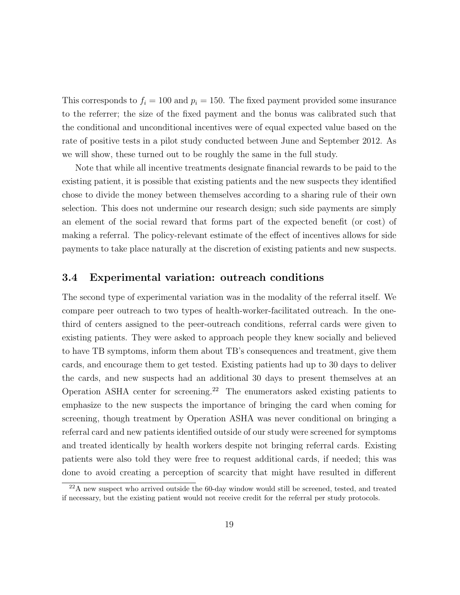This corresponds to  $f_i = 100$  and  $p_i = 150$ . The fixed payment provided some insurance to the referrer; the size of the fixed payment and the bonus was calibrated such that the conditional and unconditional incentives were of equal expected value based on the rate of positive tests in a pilot study conducted between June and September 2012. As we will show, these turned out to be roughly the same in the full study.

Note that while all incentive treatments designate financial rewards to be paid to the existing patient, it is possible that existing patients and the new suspects they identified chose to divide the money between themselves according to a sharing rule of their own selection. This does not undermine our research design; such side payments are simply an element of the social reward that forms part of the expected benefit (or cost) of making a referral. The policy-relevant estimate of the effect of incentives allows for side payments to take place naturally at the discretion of existing patients and new suspects.

## 3.4 Experimental variation: outreach conditions

The second type of experimental variation was in the modality of the referral itself. We compare peer outreach to two types of health-worker-facilitated outreach. In the onethird of centers assigned to the peer-outreach conditions, referral cards were given to existing patients. They were asked to approach people they knew socially and believed to have TB symptoms, inform them about TB's consequences and treatment, give them cards, and encourage them to get tested. Existing patients had up to 30 days to deliver the cards, and new suspects had an additional 30 days to present themselves at an Operation ASHA center for screening.<sup>22</sup> The enumerators asked existing patients to emphasize to the new suspects the importance of bringing the card when coming for screening, though treatment by Operation ASHA was never conditional on bringing a referral card and new patients identified outside of our study were screened for symptoms and treated identically by health workers despite not bringing referral cards. Existing patients were also told they were free to request additional cards, if needed; this was done to avoid creating a perception of scarcity that might have resulted in different

 $22A$  new suspect who arrived outside the 60-day window would still be screened, tested, and treated if necessary, but the existing patient would not receive credit for the referral per study protocols.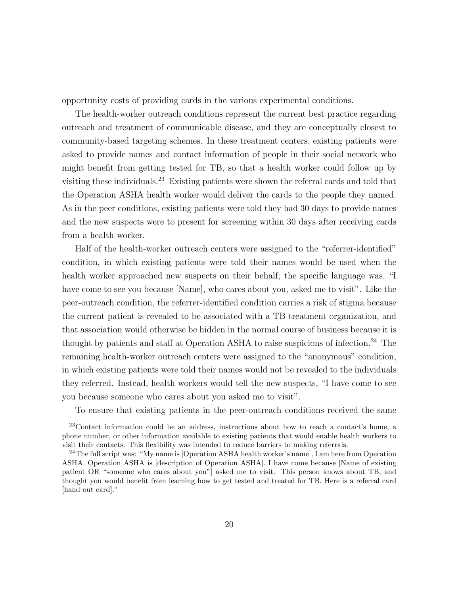opportunity costs of providing cards in the various experimental conditions.

The health-worker outreach conditions represent the current best practice regarding outreach and treatment of communicable disease, and they are conceptually closest to community-based targeting schemes. In these treatment centers, existing patients were asked to provide names and contact information of people in their social network who might benefit from getting tested for TB, so that a health worker could follow up by visiting these individuals.<sup>23</sup> Existing patients were shown the referral cards and told that the Operation ASHA health worker would deliver the cards to the people they named. As in the peer conditions, existing patients were told they had 30 days to provide names and the new suspects were to present for screening within 30 days after receiving cards from a health worker.

Half of the health-worker outreach centers were assigned to the "referrer-identified" condition, in which existing patients were told their names would be used when the health worker approached new suspects on their behalf; the specific language was, "I have come to see you because [Name], who cares about you, asked me to visit". Like the peer-outreach condition, the referrer-identified condition carries a risk of stigma because the current patient is revealed to be associated with a TB treatment organization, and that association would otherwise be hidden in the normal course of business because it is thought by patients and staff at Operation ASHA to raise suspicions of infection.<sup>24</sup> The remaining health-worker outreach centers were assigned to the "anonymous" condition, in which existing patients were told their names would not be revealed to the individuals they referred. Instead, health workers would tell the new suspects, "I have come to see you because someone who cares about you asked me to visit".

To ensure that existing patients in the peer-outreach conditions received the same

<sup>23</sup>Contact information could be an address, instructions about how to reach a contact's home, a phone number, or other information available to existing patients that would enable health workers to visit their contacts. This flexibility was intended to reduce barriers to making referrals.

 $24$ The full script was: "My name is [Operation ASHA health worker's name], I am here from Operation ASHA. Operation ASHA is [description of Operation ASHA]. I have come because [Name of existing patient OR "someone who cares about you"] asked me to visit. This person knows about TB, and thought you would benefit from learning how to get tested and treated for TB. Here is a referral card [hand out card]."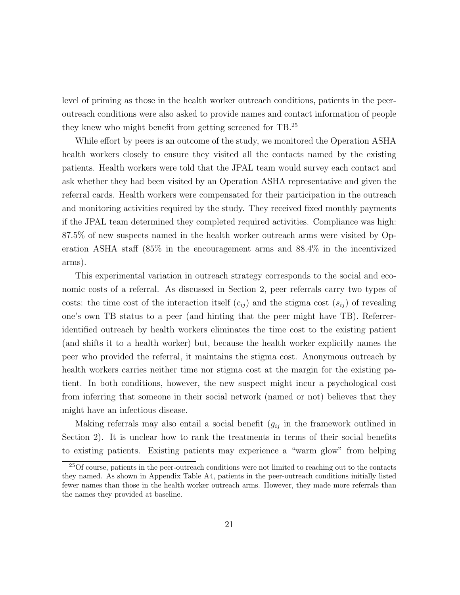level of priming as those in the health worker outreach conditions, patients in the peeroutreach conditions were also asked to provide names and contact information of people they knew who might benefit from getting screened for TB.<sup>25</sup>

While effort by peers is an outcome of the study, we monitored the Operation ASHA health workers closely to ensure they visited all the contacts named by the existing patients. Health workers were told that the JPAL team would survey each contact and ask whether they had been visited by an Operation ASHA representative and given the referral cards. Health workers were compensated for their participation in the outreach and monitoring activities required by the study. They received fixed monthly payments if the JPAL team determined they completed required activities. Compliance was high: 87.5% of new suspects named in the health worker outreach arms were visited by Operation ASHA staff (85% in the encouragement arms and 88.4% in the incentivized arms).

This experimental variation in outreach strategy corresponds to the social and economic costs of a referral. As discussed in Section 2, peer referrals carry two types of costs: the time cost of the interaction itself  $(c_{ij})$  and the stigma cost  $(s_{ij})$  of revealing one's own TB status to a peer (and hinting that the peer might have TB). Referreridentified outreach by health workers eliminates the time cost to the existing patient (and shifts it to a health worker) but, because the health worker explicitly names the peer who provided the referral, it maintains the stigma cost. Anonymous outreach by health workers carries neither time nor stigma cost at the margin for the existing patient. In both conditions, however, the new suspect might incur a psychological cost from inferring that someone in their social network (named or not) believes that they might have an infectious disease.

Making referrals may also entail a social benefit  $(g_{ij}$  in the framework outlined in Section 2). It is unclear how to rank the treatments in terms of their social benefits to existing patients. Existing patients may experience a "warm glow" from helping

 $25$ Of course, patients in the peer-outreach conditions were not limited to reaching out to the contacts they named. As shown in Appendix Table A4, patients in the peer-outreach conditions initially listed fewer names than those in the health worker outreach arms. However, they made more referrals than the names they provided at baseline.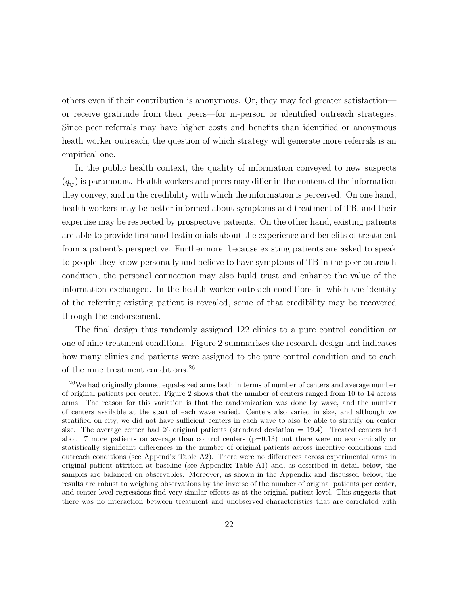others even if their contribution is anonymous. Or, they may feel greater satisfaction or receive gratitude from their peers—for in-person or identified outreach strategies. Since peer referrals may have higher costs and benefits than identified or anonymous heath worker outreach, the question of which strategy will generate more referrals is an empirical one.

In the public health context, the quality of information conveyed to new suspects  $(q_{ii})$  is paramount. Health workers and peers may differ in the content of the information they convey, and in the credibility with which the information is perceived. On one hand, health workers may be better informed about symptoms and treatment of TB, and their expertise may be respected by prospective patients. On the other hand, existing patients are able to provide firsthand testimonials about the experience and benefits of treatment from a patient's perspective. Furthermore, because existing patients are asked to speak to people they know personally and believe to have symptoms of TB in the peer outreach condition, the personal connection may also build trust and enhance the value of the information exchanged. In the health worker outreach conditions in which the identity of the referring existing patient is revealed, some of that credibility may be recovered through the endorsement.

The final design thus randomly assigned 122 clinics to a pure control condition or one of nine treatment conditions. Figure 2 summarizes the research design and indicates how many clinics and patients were assigned to the pure control condition and to each of the nine treatment conditions.<sup>26</sup>

<sup>26</sup>We had originally planned equal-sized arms both in terms of number of centers and average number of original patients per center. Figure 2 shows that the number of centers ranged from 10 to 14 across arms. The reason for this variation is that the randomization was done by wave, and the number of centers available at the start of each wave varied. Centers also varied in size, and although we stratified on city, we did not have sufficient centers in each wave to also be able to stratify on center size. The average center had 26 original patients (standard deviation  $= 19.4$ ). Treated centers had about 7 more patients on average than control centers  $(p=0.13)$  but there were no economically or statistically significant differences in the number of original patients across incentive conditions and outreach conditions (see Appendix Table A2). There were no differences across experimental arms in original patient attrition at baseline (see Appendix Table A1) and, as described in detail below, the samples are balanced on observables. Moreover, as shown in the Appendix and discussed below, the results are robust to weighing observations by the inverse of the number of original patients per center, and center-level regressions find very similar effects as at the original patient level. This suggests that there was no interaction between treatment and unobserved characteristics that are correlated with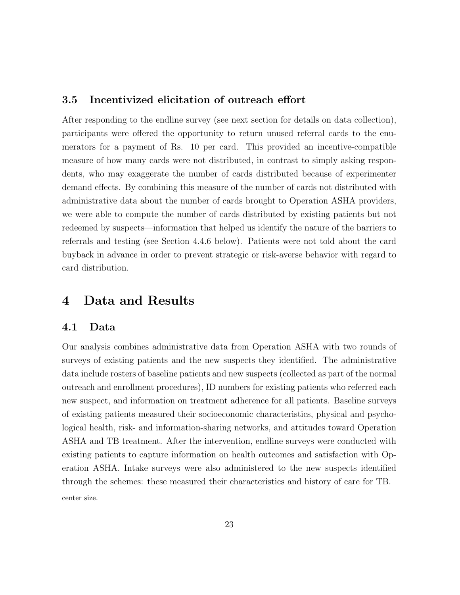# 3.5 Incentivized elicitation of outreach effort

After responding to the endline survey (see next section for details on data collection), participants were offered the opportunity to return unused referral cards to the enumerators for a payment of Rs. 10 per card. This provided an incentive-compatible measure of how many cards were not distributed, in contrast to simply asking respondents, who may exaggerate the number of cards distributed because of experimenter demand effects. By combining this measure of the number of cards not distributed with administrative data about the number of cards brought to Operation ASHA providers, we were able to compute the number of cards distributed by existing patients but not redeemed by suspects—information that helped us identify the nature of the barriers to referrals and testing (see Section 4.4.6 below). Patients were not told about the card buyback in advance in order to prevent strategic or risk-averse behavior with regard to card distribution.

# 4 Data and Results

### 4.1 Data

Our analysis combines administrative data from Operation ASHA with two rounds of surveys of existing patients and the new suspects they identified. The administrative data include rosters of baseline patients and new suspects (collected as part of the normal outreach and enrollment procedures), ID numbers for existing patients who referred each new suspect, and information on treatment adherence for all patients. Baseline surveys of existing patients measured their socioeconomic characteristics, physical and psychological health, risk- and information-sharing networks, and attitudes toward Operation ASHA and TB treatment. After the intervention, endline surveys were conducted with existing patients to capture information on health outcomes and satisfaction with Operation ASHA. Intake surveys were also administered to the new suspects identified through the schemes: these measured their characteristics and history of care for TB.

center size.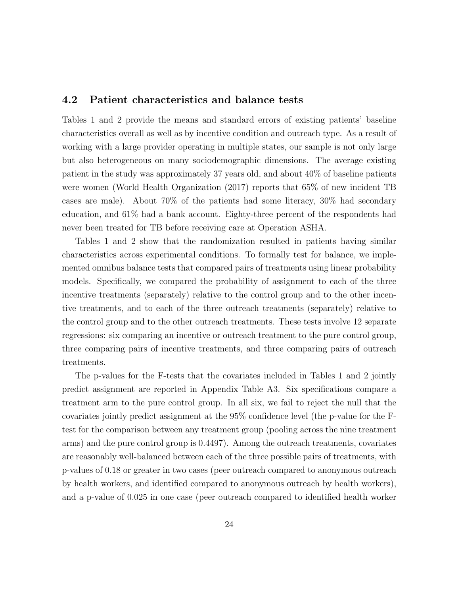## 4.2 Patient characteristics and balance tests

Tables 1 and 2 provide the means and standard errors of existing patients' baseline characteristics overall as well as by incentive condition and outreach type. As a result of working with a large provider operating in multiple states, our sample is not only large but also heterogeneous on many sociodemographic dimensions. The average existing patient in the study was approximately 37 years old, and about 40% of baseline patients were women (World Health Organization (2017) reports that 65% of new incident TB cases are male). About 70% of the patients had some literacy, 30% had secondary education, and 61% had a bank account. Eighty-three percent of the respondents had never been treated for TB before receiving care at Operation ASHA.

Tables 1 and 2 show that the randomization resulted in patients having similar characteristics across experimental conditions. To formally test for balance, we implemented omnibus balance tests that compared pairs of treatments using linear probability models. Specifically, we compared the probability of assignment to each of the three incentive treatments (separately) relative to the control group and to the other incentive treatments, and to each of the three outreach treatments (separately) relative to the control group and to the other outreach treatments. These tests involve 12 separate regressions: six comparing an incentive or outreach treatment to the pure control group, three comparing pairs of incentive treatments, and three comparing pairs of outreach treatments.

The p-values for the F-tests that the covariates included in Tables 1 and 2 jointly predict assignment are reported in Appendix Table A3. Six specifications compare a treatment arm to the pure control group. In all six, we fail to reject the null that the covariates jointly predict assignment at the 95% confidence level (the p-value for the Ftest for the comparison between any treatment group (pooling across the nine treatment arms) and the pure control group is 0.4497). Among the outreach treatments, covariates are reasonably well-balanced between each of the three possible pairs of treatments, with p-values of 0.18 or greater in two cases (peer outreach compared to anonymous outreach by health workers, and identified compared to anonymous outreach by health workers), and a p-value of 0.025 in one case (peer outreach compared to identified health worker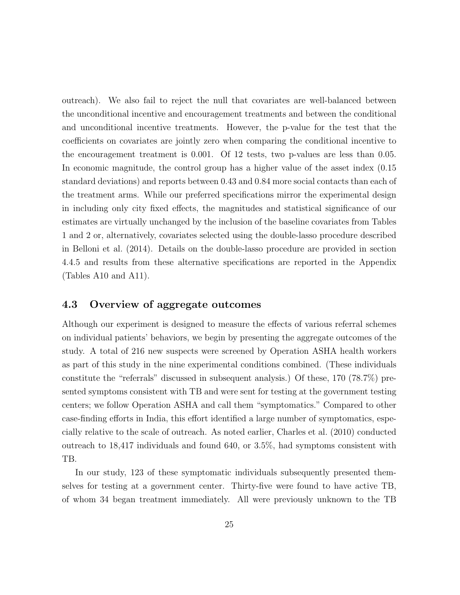outreach). We also fail to reject the null that covariates are well-balanced between the unconditional incentive and encouragement treatments and between the conditional and unconditional incentive treatments. However, the p-value for the test that the coefficients on covariates are jointly zero when comparing the conditional incentive to the encouragement treatment is 0.001. Of 12 tests, two p-values are less than 0.05. In economic magnitude, the control group has a higher value of the asset index (0.15 standard deviations) and reports between 0.43 and 0.84 more social contacts than each of the treatment arms. While our preferred specifications mirror the experimental design in including only city fixed effects, the magnitudes and statistical significance of our estimates are virtually unchanged by the inclusion of the baseline covariates from Tables 1 and 2 or, alternatively, covariates selected using the double-lasso procedure described in Belloni et al. (2014). Details on the double-lasso procedure are provided in section 4.4.5 and results from these alternative specifications are reported in the Appendix (Tables A10 and A11).

## 4.3 Overview of aggregate outcomes

Although our experiment is designed to measure the effects of various referral schemes on individual patients' behaviors, we begin by presenting the aggregate outcomes of the study. A total of 216 new suspects were screened by Operation ASHA health workers as part of this study in the nine experimental conditions combined. (These individuals constitute the "referrals" discussed in subsequent analysis.) Of these, 170 (78.7%) presented symptoms consistent with TB and were sent for testing at the government testing centers; we follow Operation ASHA and call them "symptomatics." Compared to other case-finding efforts in India, this effort identified a large number of symptomatics, especially relative to the scale of outreach. As noted earlier, Charles et al. (2010) conducted outreach to 18,417 individuals and found 640, or 3.5%, had symptoms consistent with TB.

In our study, 123 of these symptomatic individuals subsequently presented themselves for testing at a government center. Thirty-five were found to have active TB, of whom 34 began treatment immediately. All were previously unknown to the TB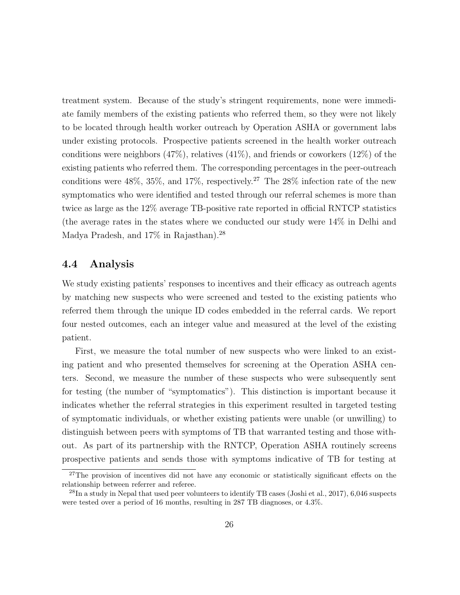treatment system. Because of the study's stringent requirements, none were immediate family members of the existing patients who referred them, so they were not likely to be located through health worker outreach by Operation ASHA or government labs under existing protocols. Prospective patients screened in the health worker outreach conditions were neighbors  $(47\%)$ , relatives  $(41\%)$ , and friends or coworkers  $(12\%)$  of the existing patients who referred them. The corresponding percentages in the peer-outreach conditions were  $48\%, 35\%, \text{ and } 17\%, \text{ respectively.}^{27}$  The  $28\%$  infection rate of the new symptomatics who were identified and tested through our referral schemes is more than twice as large as the 12% average TB-positive rate reported in official RNTCP statistics (the average rates in the states where we conducted our study were 14% in Delhi and Madya Pradesh, and 17% in Rajasthan).<sup>28</sup>

# 4.4 Analysis

We study existing patients' responses to incentives and their efficacy as outreach agents by matching new suspects who were screened and tested to the existing patients who referred them through the unique ID codes embedded in the referral cards. We report four nested outcomes, each an integer value and measured at the level of the existing patient.

First, we measure the total number of new suspects who were linked to an existing patient and who presented themselves for screening at the Operation ASHA centers. Second, we measure the number of these suspects who were subsequently sent for testing (the number of "symptomatics"). This distinction is important because it indicates whether the referral strategies in this experiment resulted in targeted testing of symptomatic individuals, or whether existing patients were unable (or unwilling) to distinguish between peers with symptoms of TB that warranted testing and those without. As part of its partnership with the RNTCP, Operation ASHA routinely screens prospective patients and sends those with symptoms indicative of TB for testing at

<sup>&</sup>lt;sup>27</sup>The provision of incentives did not have any economic or statistically significant effects on the relationship between referrer and referee.

<sup>&</sup>lt;sup>28</sup>In a study in Nepal that used peer volunteers to identify TB cases (Joshi et al., 2017), 6,046 suspects were tested over a period of 16 months, resulting in 287 TB diagnoses, or 4.3%.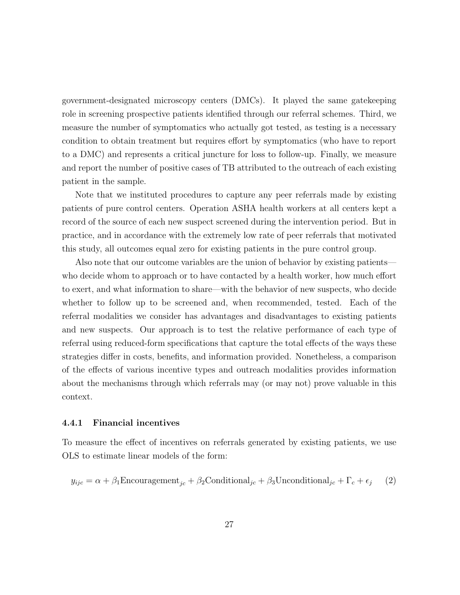government-designated microscopy centers (DMCs). It played the same gatekeeping role in screening prospective patients identified through our referral schemes. Third, we measure the number of symptomatics who actually got tested, as testing is a necessary condition to obtain treatment but requires effort by symptomatics (who have to report to a DMC) and represents a critical juncture for loss to follow-up. Finally, we measure and report the number of positive cases of TB attributed to the outreach of each existing patient in the sample.

Note that we instituted procedures to capture any peer referrals made by existing patients of pure control centers. Operation ASHA health workers at all centers kept a record of the source of each new suspect screened during the intervention period. But in practice, and in accordance with the extremely low rate of peer referrals that motivated this study, all outcomes equal zero for existing patients in the pure control group.

Also note that our outcome variables are the union of behavior by existing patients who decide whom to approach or to have contacted by a health worker, how much effort to exert, and what information to share—with the behavior of new suspects, who decide whether to follow up to be screened and, when recommended, tested. Each of the referral modalities we consider has advantages and disadvantages to existing patients and new suspects. Our approach is to test the relative performance of each type of referral using reduced-form specifications that capture the total effects of the ways these strategies differ in costs, benefits, and information provided. Nonetheless, a comparison of the effects of various incentive types and outreach modalities provides information about the mechanisms through which referrals may (or may not) prove valuable in this context.

### 4.4.1 Financial incentives

To measure the effect of incentives on referrals generated by existing patients, we use OLS to estimate linear models of the form:

$$
y_{ijc} = \alpha + \beta_1 \text{Encoderagement}_{jc} + \beta_2 \text{Conditional}_{jc} + \beta_3 \text{Unconditional}_{jc} + \Gamma_c + \epsilon_j \tag{2}
$$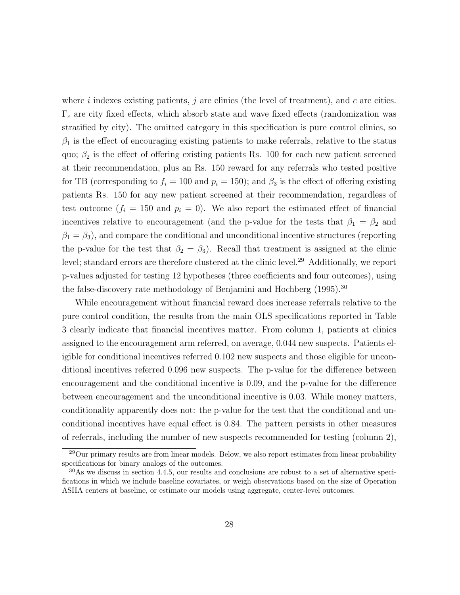where i indexes existing patients, j are clinics (the level of treatment), and c are cities.  $\Gamma_c$  are city fixed effects, which absorb state and wave fixed effects (randomization was stratified by city). The omitted category in this specification is pure control clinics, so  $\beta_1$  is the effect of encouraging existing patients to make referrals, relative to the status quo;  $\beta_2$  is the effect of offering existing patients Rs. 100 for each new patient screened at their recommendation, plus an Rs. 150 reward for any referrals who tested positive for TB (corresponding to  $f_i = 100$  and  $p_i = 150$ ); and  $\beta_3$  is the effect of offering existing patients Rs. 150 for any new patient screened at their recommendation, regardless of test outcome  $(f_i = 150 \text{ and } p_i = 0)$ . We also report the estimated effect of financial incentives relative to encouragement (and the p-value for the tests that  $\beta_1 = \beta_2$  and  $\beta_1 = \beta_3$ ), and compare the conditional and unconditional incentive structures (reporting the p-value for the test that  $\beta_2 = \beta_3$ . Recall that treatment is assigned at the clinic level; standard errors are therefore clustered at the clinic level.<sup>29</sup> Additionally, we report p-values adjusted for testing 12 hypotheses (three coefficients and four outcomes), using the false-discovery rate methodology of Benjamini and Hochberg (1995).<sup>30</sup>

While encouragement without financial reward does increase referrals relative to the pure control condition, the results from the main OLS specifications reported in Table 3 clearly indicate that financial incentives matter. From column 1, patients at clinics assigned to the encouragement arm referred, on average, 0.044 new suspects. Patients eligible for conditional incentives referred 0.102 new suspects and those eligible for unconditional incentives referred 0.096 new suspects. The p-value for the difference between encouragement and the conditional incentive is 0.09, and the p-value for the difference between encouragement and the unconditional incentive is 0.03. While money matters, conditionality apparently does not: the p-value for the test that the conditional and unconditional incentives have equal effect is 0.84. The pattern persists in other measures of referrals, including the number of new suspects recommended for testing (column 2),

<sup>&</sup>lt;sup>29</sup>Our primary results are from linear models. Below, we also report estimates from linear probability specifications for binary analogs of the outcomes.

<sup>30</sup>As we discuss in section 4.4.5, our results and conclusions are robust to a set of alternative specifications in which we include baseline covariates, or weigh observations based on the size of Operation ASHA centers at baseline, or estimate our models using aggregate, center-level outcomes.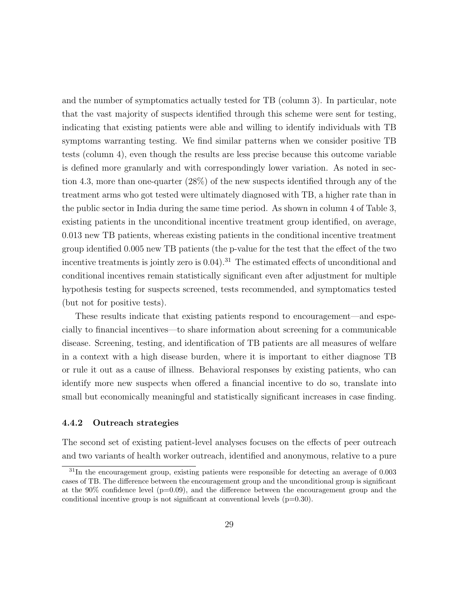and the number of symptomatics actually tested for TB (column 3). In particular, note that the vast majority of suspects identified through this scheme were sent for testing, indicating that existing patients were able and willing to identify individuals with TB symptoms warranting testing. We find similar patterns when we consider positive TB tests (column 4), even though the results are less precise because this outcome variable is defined more granularly and with correspondingly lower variation. As noted in section 4.3, more than one-quarter (28%) of the new suspects identified through any of the treatment arms who got tested were ultimately diagnosed with TB, a higher rate than in the public sector in India during the same time period. As shown in column 4 of Table 3, existing patients in the unconditional incentive treatment group identified, on average, 0.013 new TB patients, whereas existing patients in the conditional incentive treatment group identified 0.005 new TB patients (the p-value for the test that the effect of the two incentive treatments is jointly zero is  $0.04$ .<sup>31</sup> The estimated effects of unconditional and conditional incentives remain statistically significant even after adjustment for multiple hypothesis testing for suspects screened, tests recommended, and symptomatics tested (but not for positive tests).

These results indicate that existing patients respond to encouragement—and especially to financial incentives—to share information about screening for a communicable disease. Screening, testing, and identification of TB patients are all measures of welfare in a context with a high disease burden, where it is important to either diagnose TB or rule it out as a cause of illness. Behavioral responses by existing patients, who can identify more new suspects when offered a financial incentive to do so, translate into small but economically meaningful and statistically significant increases in case finding.

### 4.4.2 Outreach strategies

The second set of existing patient-level analyses focuses on the effects of peer outreach and two variants of health worker outreach, identified and anonymous, relative to a pure

 $31$ In the encouragement group, existing patients were responsible for detecting an average of 0.003 cases of TB. The difference between the encouragement group and the unconditional group is significant at the  $90\%$  confidence level ( $p=0.09$ ), and the difference between the encouragement group and the conditional incentive group is not significant at conventional levels  $(p=0.30)$ .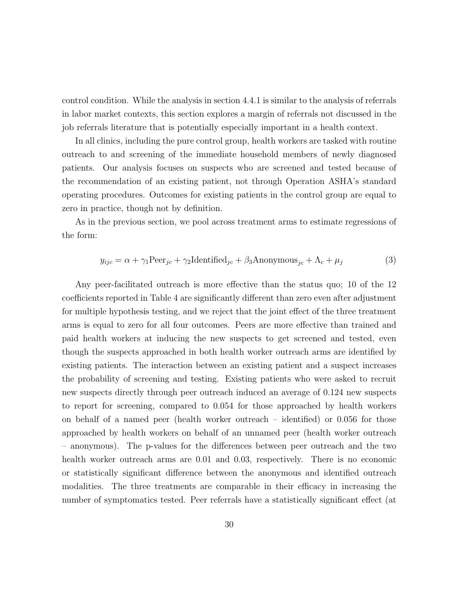control condition. While the analysis in section 4.4.1 is similar to the analysis of referrals in labor market contexts, this section explores a margin of referrals not discussed in the job referrals literature that is potentially especially important in a health context.

In all clinics, including the pure control group, health workers are tasked with routine outreach to and screening of the immediate household members of newly diagnosed patients. Our analysis focuses on suspects who are screened and tested because of the recommendation of an existing patient, not through Operation ASHA's standard operating procedures. Outcomes for existing patients in the control group are equal to zero in practice, though not by definition.

As in the previous section, we pool across treatment arms to estimate regressions of the form:

$$
y_{ijc} = \alpha + \gamma_1 \text{Peer}_{jc} + \gamma_2 \text{Identified}_{jc} + \beta_3 \text{Anonymous}_{jc} + \Lambda_c + \mu_j \tag{3}
$$

Any peer-facilitated outreach is more effective than the status quo; 10 of the 12 coefficients reported in Table 4 are significantly different than zero even after adjustment for multiple hypothesis testing, and we reject that the joint effect of the three treatment arms is equal to zero for all four outcomes. Peers are more effective than trained and paid health workers at inducing the new suspects to get screened and tested, even though the suspects approached in both health worker outreach arms are identified by existing patients. The interaction between an existing patient and a suspect increases the probability of screening and testing. Existing patients who were asked to recruit new suspects directly through peer outreach induced an average of 0.124 new suspects to report for screening, compared to 0.054 for those approached by health workers on behalf of a named peer (health worker outreach – identified) or 0.056 for those approached by health workers on behalf of an unnamed peer (health worker outreach – anonymous). The p-values for the differences between peer outreach and the two health worker outreach arms are 0.01 and 0.03, respectively. There is no economic or statistically significant difference between the anonymous and identified outreach modalities. The three treatments are comparable in their efficacy in increasing the number of symptomatics tested. Peer referrals have a statistically significant effect (at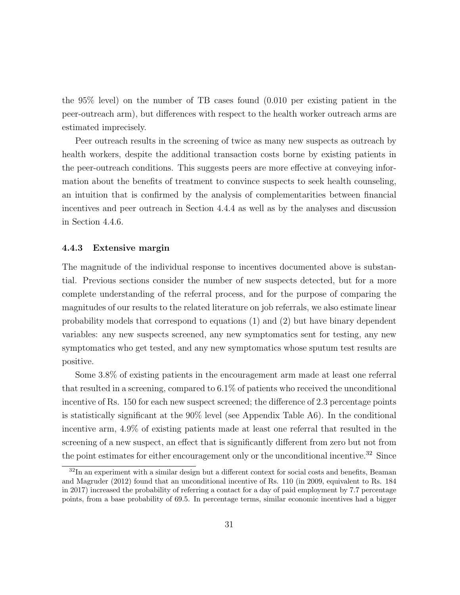the 95% level) on the number of TB cases found (0.010 per existing patient in the peer-outreach arm), but differences with respect to the health worker outreach arms are estimated imprecisely.

Peer outreach results in the screening of twice as many new suspects as outreach by health workers, despite the additional transaction costs borne by existing patients in the peer-outreach conditions. This suggests peers are more effective at conveying information about the benefits of treatment to convince suspects to seek health counseling, an intuition that is confirmed by the analysis of complementarities between financial incentives and peer outreach in Section 4.4.4 as well as by the analyses and discussion in Section 4.4.6.

### 4.4.3 Extensive margin

The magnitude of the individual response to incentives documented above is substantial. Previous sections consider the number of new suspects detected, but for a more complete understanding of the referral process, and for the purpose of comparing the magnitudes of our results to the related literature on job referrals, we also estimate linear probability models that correspond to equations (1) and (2) but have binary dependent variables: any new suspects screened, any new symptomatics sent for testing, any new symptomatics who get tested, and any new symptomatics whose sputum test results are positive.

Some 3.8% of existing patients in the encouragement arm made at least one referral that resulted in a screening, compared to 6.1% of patients who received the unconditional incentive of Rs. 150 for each new suspect screened; the difference of 2.3 percentage points is statistically significant at the 90% level (see Appendix Table A6). In the conditional incentive arm, 4.9% of existing patients made at least one referral that resulted in the screening of a new suspect, an effect that is significantly different from zero but not from the point estimates for either encouragement only or the unconditional incentive.<sup>32</sup> Since

 $32$ In an experiment with a similar design but a different context for social costs and benefits, Beaman and Magruder (2012) found that an unconditional incentive of Rs. 110 (in 2009, equivalent to Rs. 184 in 2017) increased the probability of referring a contact for a day of paid employment by 7.7 percentage points, from a base probability of 69.5. In percentage terms, similar economic incentives had a bigger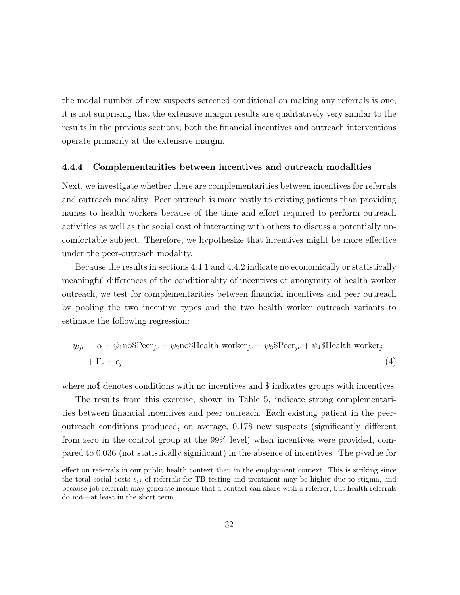the modal number of new suspects screened conditional on making any referrals is one, it is not surprising that the extensive margin results are qualitatively very similar to the results in the previous sections; both the financial incentives and outreach interventions operate primarily at the extensive margin.

#### 4.4.4 Complementarities between incentives and outreach modalities

Next, we investigate whether there are complementarities between incentives for referrals and outreach modality. Peer outreach is more costly to existing patients than providing names to health workers because of the time and effort required to perform outreach activities as well as the social cost of interacting with others to discuss a potentially uncomfortable subject. Therefore, we hypothesize that incentives might be more effective under the peer-outreach modality.

Because the results in sections 4.4.1 and 4.4.2 indicate no economically or statistically meaningful differences of the conditionality of incentives or anonymity of health worker outreach, we test for complementarities between financial incentives and peer outreach by pooling the two incentive types and the two health worker outreach variants to estimate the following regression:

$$
y_{ijc} = \alpha + \psi_1 \text{no$Peer}_{jc} + \psi_2 \text{no$Headth worker}_{jc} + \psi_3 \text{Peer}_{jc} + \psi_4 \text{$Headth worker}_{jc} + \Gamma_c + \epsilon_j
$$
\n(4)

where no\$ denotes conditions with no incentives and \$ indicates groups with incentives.

The results from this exercise, shown in Table 5, indicate strong complementarities between financial incentives and peer outreach. Each existing patient in the peeroutreach conditions produced, on average, 0.178 new suspects (significantly different from zero in the control group at the 99% level) when incentives were provided, compared to 0.036 (not statistically significant) in the absence of incentives. The p-value for

effect on referrals in our public health context than in the employment context. This is striking since the total social costs  $s_{ij}$  of referrals for TB testing and treatment may be higher due to stigma, and because job referrals may generate income that a contact can share with a referrer, but health referrals do not—at least in the short term.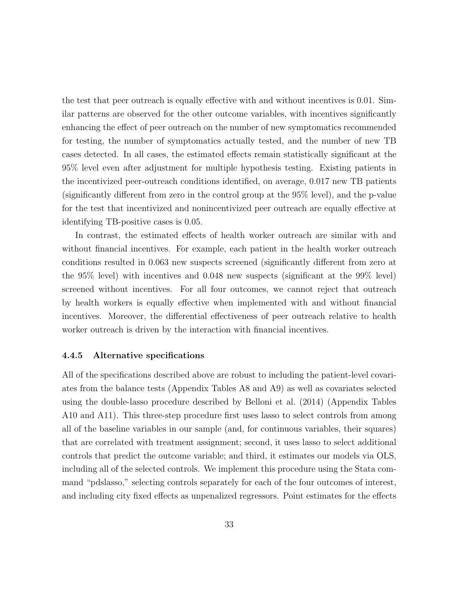the test that peer outreach is equally effective with and without incentives is 0.01. Similar patterns are observed for the other outcome variables, with incentives significantly enhancing the effect of peer outreach on the number of new symptomatics recommended for testing, the number of symptomatics actually tested, and the number of new TB cases detected. In all cases, the estimated effects remain statistically significant at the 95% level even after adjustment for multiple hypothesis testing. Existing patients in the incentivized peer-outreach conditions identified, on average, 0.017 new TB patients (significantly different from zero in the control group at the 95% level), and the p-value for the test that incentivized and nonincentivized peer outreach are equally effective at identifying TB-positive cases is 0.05.

In contrast, the estimated effects of health worker outreach are similar with and without financial incentives. For example, each patient in the health worker outreach conditions resulted in 0.063 new suspects screened (significantly different from zero at the 95% level) with incentives and 0.048 new suspects (significant at the 99% level) screened without incentives. For all four outcomes, we cannot reject that outreach by health workers is equally effective when implemented with and without financial incentives. Moreover, the differential effectiveness of peer outreach relative to health worker outreach is driven by the interaction with financial incentives.

### 4.4.5 Alternative specifications

All of the specifications described above are robust to including the patient-level covariates from the balance tests (Appendix Tables A8 and A9) as well as covariates selected using the double-lasso procedure described by Belloni et al. (2014) (Appendix Tables A10 and A11). This three-step procedure first uses lasso to select controls from among all of the baseline variables in our sample (and, for continuous variables, their squares) that are correlated with treatment assignment; second, it uses lasso to select additional controls that predict the outcome variable; and third, it estimates our models via OLS, including all of the selected controls. We implement this procedure using the Stata command "pdslasso," selecting controls separately for each of the four outcomes of interest, and including city fixed effects as unpenalized regressors. Point estimates for the effects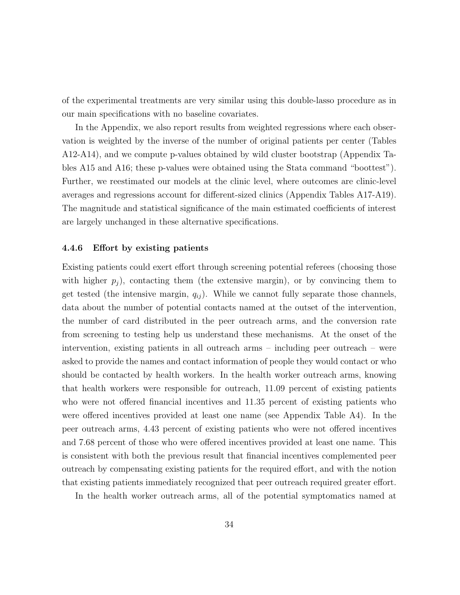of the experimental treatments are very similar using this double-lasso procedure as in our main specifications with no baseline covariates.

In the Appendix, we also report results from weighted regressions where each observation is weighted by the inverse of the number of original patients per center (Tables A12-A14), and we compute p-values obtained by wild cluster bootstrap (Appendix Tables A15 and A16; these p-values were obtained using the Stata command "boottest"). Further, we reestimated our models at the clinic level, where outcomes are clinic-level averages and regressions account for different-sized clinics (Appendix Tables A17-A19). The magnitude and statistical significance of the main estimated coefficients of interest are largely unchanged in these alternative specifications.

#### 4.4.6 Effort by existing patients

Existing patients could exert effort through screening potential referees (choosing those with higher  $p_i$ ), contacting them (the extensive margin), or by convincing them to get tested (the intensive margin,  $q_{ij}$ ). While we cannot fully separate those channels, data about the number of potential contacts named at the outset of the intervention, the number of card distributed in the peer outreach arms, and the conversion rate from screening to testing help us understand these mechanisms. At the onset of the intervention, existing patients in all outreach arms – including peer outreach – were asked to provide the names and contact information of people they would contact or who should be contacted by health workers. In the health worker outreach arms, knowing that health workers were responsible for outreach, 11.09 percent of existing patients who were not offered financial incentives and 11.35 percent of existing patients who were offered incentives provided at least one name (see Appendix Table A4). In the peer outreach arms, 4.43 percent of existing patients who were not offered incentives and 7.68 percent of those who were offered incentives provided at least one name. This is consistent with both the previous result that financial incentives complemented peer outreach by compensating existing patients for the required effort, and with the notion that existing patients immediately recognized that peer outreach required greater effort.

In the health worker outreach arms, all of the potential symptomatics named at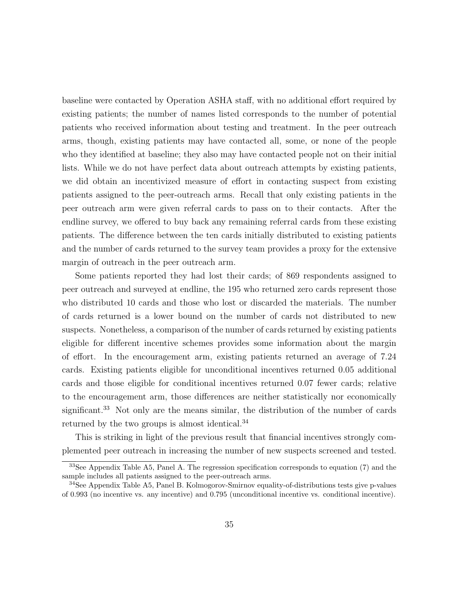baseline were contacted by Operation ASHA staff, with no additional effort required by existing patients; the number of names listed corresponds to the number of potential patients who received information about testing and treatment. In the peer outreach arms, though, existing patients may have contacted all, some, or none of the people who they identified at baseline; they also may have contacted people not on their initial lists. While we do not have perfect data about outreach attempts by existing patients, we did obtain an incentivized measure of effort in contacting suspect from existing patients assigned to the peer-outreach arms. Recall that only existing patients in the peer outreach arm were given referral cards to pass on to their contacts. After the endline survey, we offered to buy back any remaining referral cards from these existing patients. The difference between the ten cards initially distributed to existing patients and the number of cards returned to the survey team provides a proxy for the extensive margin of outreach in the peer outreach arm.

Some patients reported they had lost their cards; of 869 respondents assigned to peer outreach and surveyed at endline, the 195 who returned zero cards represent those who distributed 10 cards and those who lost or discarded the materials. The number of cards returned is a lower bound on the number of cards not distributed to new suspects. Nonetheless, a comparison of the number of cards returned by existing patients eligible for different incentive schemes provides some information about the margin of effort. In the encouragement arm, existing patients returned an average of 7.24 cards. Existing patients eligible for unconditional incentives returned 0.05 additional cards and those eligible for conditional incentives returned 0.07 fewer cards; relative to the encouragement arm, those differences are neither statistically nor economically significant.<sup>33</sup> Not only are the means similar, the distribution of the number of cards returned by the two groups is almost identical.<sup>34</sup>

This is striking in light of the previous result that financial incentives strongly complemented peer outreach in increasing the number of new suspects screened and tested.

<sup>33</sup>See Appendix Table A5, Panel A. The regression specification corresponds to equation (7) and the sample includes all patients assigned to the peer-outreach arms.

<sup>34</sup>See Appendix Table A5, Panel B. Kolmogorov-Smirnov equality-of-distributions tests give p-values of 0.993 (no incentive vs. any incentive) and 0.795 (unconditional incentive vs. conditional incentive).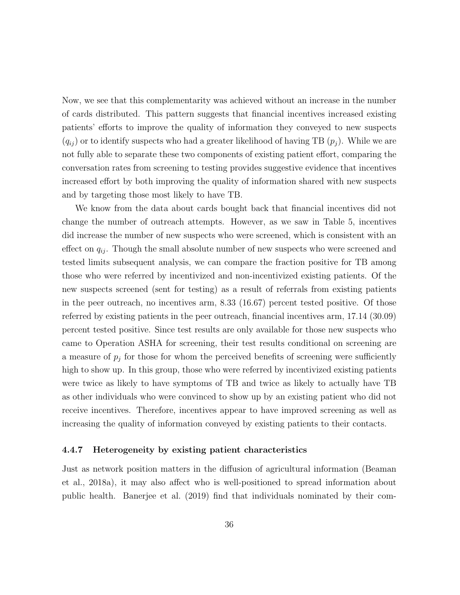Now, we see that this complementarity was achieved without an increase in the number of cards distributed. This pattern suggests that financial incentives increased existing patients' efforts to improve the quality of information they conveyed to new suspects  $(q_{ij})$  or to identify suspects who had a greater likelihood of having TB  $(p_i)$ . While we are not fully able to separate these two components of existing patient effort, comparing the conversation rates from screening to testing provides suggestive evidence that incentives increased effort by both improving the quality of information shared with new suspects and by targeting those most likely to have TB.

We know from the data about cards bought back that financial incentives did not change the number of outreach attempts. However, as we saw in Table 5, incentives did increase the number of new suspects who were screened, which is consistent with an effect on  $q_{ij}$ . Though the small absolute number of new suspects who were screened and tested limits subsequent analysis, we can compare the fraction positive for TB among those who were referred by incentivized and non-incentivized existing patients. Of the new suspects screened (sent for testing) as a result of referrals from existing patients in the peer outreach, no incentives arm, 8.33 (16.67) percent tested positive. Of those referred by existing patients in the peer outreach, financial incentives arm, 17.14 (30.09) percent tested positive. Since test results are only available for those new suspects who came to Operation ASHA for screening, their test results conditional on screening are a measure of  $p_j$  for those for whom the perceived benefits of screening were sufficiently high to show up. In this group, those who were referred by incentivized existing patients were twice as likely to have symptoms of TB and twice as likely to actually have TB as other individuals who were convinced to show up by an existing patient who did not receive incentives. Therefore, incentives appear to have improved screening as well as increasing the quality of information conveyed by existing patients to their contacts.

#### 4.4.7 Heterogeneity by existing patient characteristics

Just as network position matters in the diffusion of agricultural information (Beaman et al., 2018a), it may also affect who is well-positioned to spread information about public health. Banerjee et al. (2019) find that individuals nominated by their com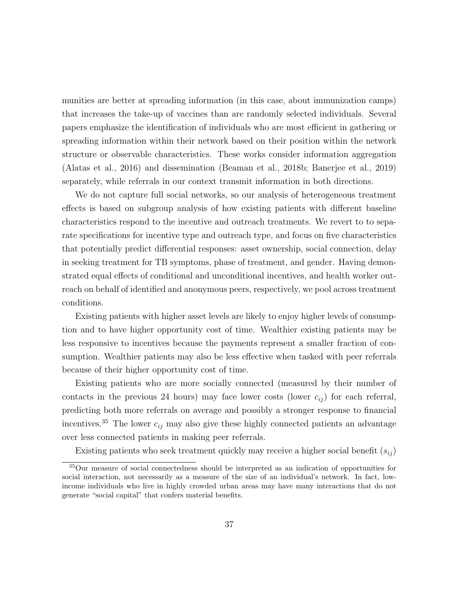munities are better at spreading information (in this case, about immunization camps) that increases the take-up of vaccines than are randomly selected individuals. Several papers emphasize the identification of individuals who are most efficient in gathering or spreading information within their network based on their position within the network structure or observable characteristics. These works consider information aggregation (Alatas et al., 2016) and dissemination (Beaman et al., 2018b; Banerjee et al., 2019) separately, while referrals in our context transmit information in both directions.

We do not capture full social networks, so our analysis of heterogeneous treatment effects is based on subgroup analysis of how existing patients with different baseline characteristics respond to the incentive and outreach treatments. We revert to to separate specifications for incentive type and outreach type, and focus on five characteristics that potentially predict differential responses: asset ownership, social connection, delay in seeking treatment for TB symptoms, phase of treatment, and gender. Having demonstrated equal effects of conditional and unconditional incentives, and health worker outreach on behalf of identified and anonymous peers, respectively, we pool across treatment conditions.

Existing patients with higher asset levels are likely to enjoy higher levels of consumption and to have higher opportunity cost of time. Wealthier existing patients may be less responsive to incentives because the payments represent a smaller fraction of consumption. Wealthier patients may also be less effective when tasked with peer referrals because of their higher opportunity cost of time.

Existing patients who are more socially connected (measured by their number of contacts in the previous 24 hours) may face lower costs (lower  $c_{ij}$ ) for each referral, predicting both more referrals on average and possibly a stronger response to financial incentives.<sup>35</sup> The lower  $c_{ij}$  may also give these highly connected patients an advantage over less connected patients in making peer referrals.

Existing patients who seek treatment quickly may receive a higher social benefit  $(s_{ij})$ 

<sup>35</sup>Our measure of social connectedness should be interpreted as an indication of opportunities for social interaction, not necessarily as a measure of the size of an individual's network. In fact, lowincome individuals who live in highly crowded urban areas may have many interactions that do not generate "social capital" that confers material benefits.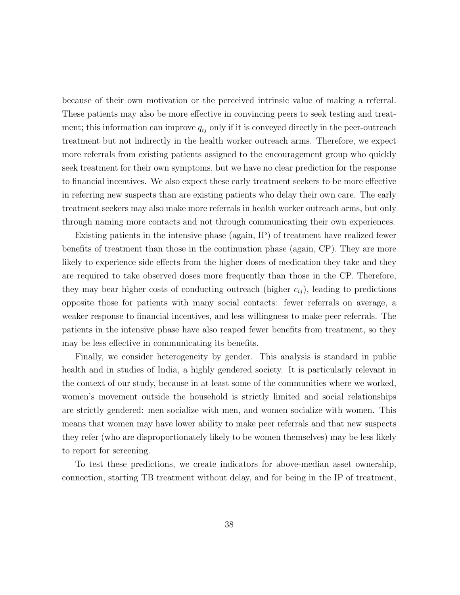because of their own motivation or the perceived intrinsic value of making a referral. These patients may also be more effective in convincing peers to seek testing and treatment; this information can improve  $q_{ij}$  only if it is conveyed directly in the peer-outreach treatment but not indirectly in the health worker outreach arms. Therefore, we expect more referrals from existing patients assigned to the encouragement group who quickly seek treatment for their own symptoms, but we have no clear prediction for the response to financial incentives. We also expect these early treatment seekers to be more effective in referring new suspects than are existing patients who delay their own care. The early treatment seekers may also make more referrals in health worker outreach arms, but only through naming more contacts and not through communicating their own experiences.

Existing patients in the intensive phase (again, IP) of treatment have realized fewer benefits of treatment than those in the continuation phase (again, CP). They are more likely to experience side effects from the higher doses of medication they take and they are required to take observed doses more frequently than those in the CP. Therefore, they may bear higher costs of conducting outreach (higher  $c_{ij}$ ), leading to predictions opposite those for patients with many social contacts: fewer referrals on average, a weaker response to financial incentives, and less willingness to make peer referrals. The patients in the intensive phase have also reaped fewer benefits from treatment, so they may be less effective in communicating its benefits.

Finally, we consider heterogeneity by gender. This analysis is standard in public health and in studies of India, a highly gendered society. It is particularly relevant in the context of our study, because in at least some of the communities where we worked, women's movement outside the household is strictly limited and social relationships are strictly gendered: men socialize with men, and women socialize with women. This means that women may have lower ability to make peer referrals and that new suspects they refer (who are disproportionately likely to be women themselves) may be less likely to report for screening.

To test these predictions, we create indicators for above-median asset ownership, connection, starting TB treatment without delay, and for being in the IP of treatment,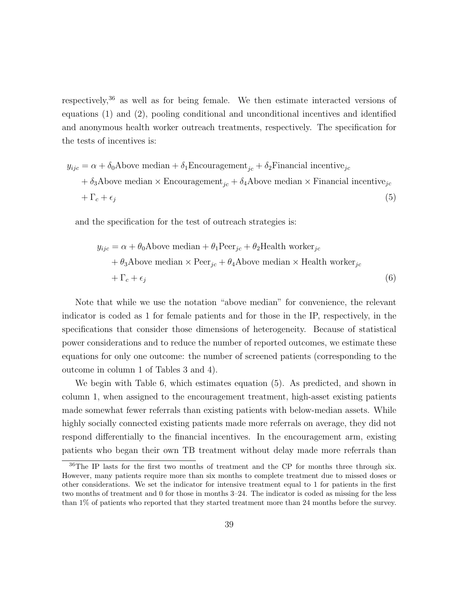respectively,<sup>36</sup> as well as for being female. We then estimate interacted versions of equations (1) and (2), pooling conditional and unconditional incentives and identified and anonymous health worker outreach treatments, respectively. The specification for the tests of incentives is:

$$
y_{ijc} = \alpha + \delta_0
$$
Above median +  $\delta_1$ Encouragement<sub>jc</sub> +  $\delta_2$ Financial incentive<sub>jc</sub>  
+  $\delta_3$ Above median × Encouragement<sub>jc</sub> +  $\delta_4$ Above median × Financial incentive<sub>jc</sub>  
+  $\Gamma_c + \epsilon_j$  (5)

and the specification for the test of outreach strategies is:

$$
y_{ijc} = \alpha + \theta_0 \text{Above median} + \theta_1 \text{Peer}_{jc} + \theta_2 \text{Health worker}_{jc}
$$
  
+  $\theta_3 \text{Above median} \times \text{Peer}_{jc} + \theta_4 \text{Above median} \times \text{Health worker}_{jc}$   
+  $\Gamma_c + \epsilon_j$  (6)

Note that while we use the notation "above median" for convenience, the relevant indicator is coded as 1 for female patients and for those in the IP, respectively, in the specifications that consider those dimensions of heterogeneity. Because of statistical power considerations and to reduce the number of reported outcomes, we estimate these equations for only one outcome: the number of screened patients (corresponding to the outcome in column 1 of Tables 3 and 4).

We begin with Table 6, which estimates equation (5). As predicted, and shown in column 1, when assigned to the encouragement treatment, high-asset existing patients made somewhat fewer referrals than existing patients with below-median assets. While highly socially connected existing patients made more referrals on average, they did not respond differentially to the financial incentives. In the encouragement arm, existing patients who began their own TB treatment without delay made more referrals than

<sup>36</sup>The IP lasts for the first two months of treatment and the CP for months three through six. However, many patients require more than six months to complete treatment due to missed doses or other considerations. We set the indicator for intensive treatment equal to 1 for patients in the first two months of treatment and 0 for those in months 3–24. The indicator is coded as missing for the less than 1% of patients who reported that they started treatment more than 24 months before the survey.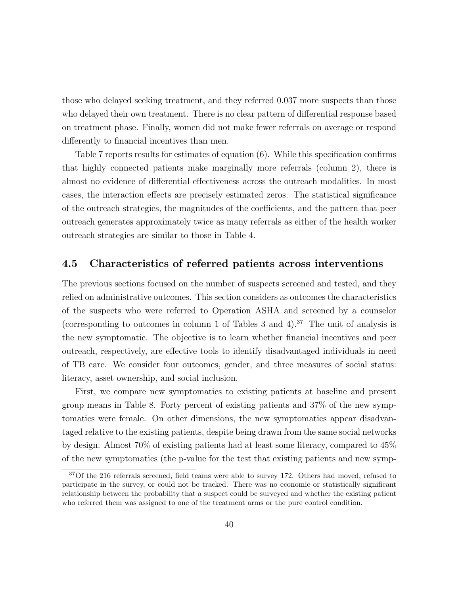those who delayed seeking treatment, and they referred 0.037 more suspects than those who delayed their own treatment. There is no clear pattern of differential response based on treatment phase. Finally, women did not make fewer referrals on average or respond differently to financial incentives than men.

Table 7 reports results for estimates of equation (6). While this specification confirms that highly connected patients make marginally more referrals (column 2), there is almost no evidence of differential effectiveness across the outreach modalities. In most cases, the interaction effects are precisely estimated zeros. The statistical significance of the outreach strategies, the magnitudes of the coefficients, and the pattern that peer outreach generates approximately twice as many referrals as either of the health worker outreach strategies are similar to those in Table 4.

## 4.5 Characteristics of referred patients across interventions

The previous sections focused on the number of suspects screened and tested, and they relied on administrative outcomes. This section considers as outcomes the characteristics of the suspects who were referred to Operation ASHA and screened by a counselor (corresponding to outcomes in column 1 of Tables 3 and 4).<sup>37</sup> The unit of analysis is the new symptomatic. The objective is to learn whether financial incentives and peer outreach, respectively, are effective tools to identify disadvantaged individuals in need of TB care. We consider four outcomes, gender, and three measures of social status: literacy, asset ownership, and social inclusion.

First, we compare new symptomatics to existing patients at baseline and present group means in Table 8. Forty percent of existing patients and 37% of the new symptomatics were female. On other dimensions, the new symptomatics appear disadvantaged relative to the existing patients, despite being drawn from the same social networks by design. Almost 70% of existing patients had at least some literacy, compared to 45% of the new symptomatics (the p-value for the test that existing patients and new symp-

 $37$ Of the 216 referrals screened, field teams were able to survey 172. Others had moved, refused to participate in the survey, or could not be tracked. There was no economic or statistically significant relationship between the probability that a suspect could be surveyed and whether the existing patient who referred them was assigned to one of the treatment arms or the pure control condition.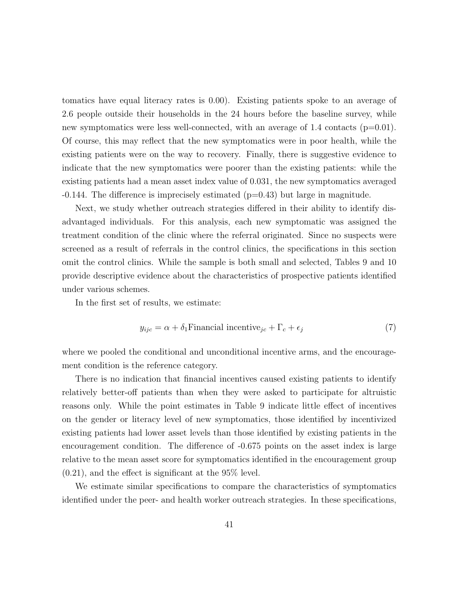tomatics have equal literacy rates is 0.00). Existing patients spoke to an average of 2.6 people outside their households in the 24 hours before the baseline survey, while new symptomatics were less well-connected, with an average of 1.4 contacts ( $p=0.01$ ). Of course, this may reflect that the new symptomatics were in poor health, while the existing patients were on the way to recovery. Finally, there is suggestive evidence to indicate that the new symptomatics were poorer than the existing patients: while the existing patients had a mean asset index value of 0.031, the new symptomatics averaged  $-0.144$ . The difference is imprecisely estimated ( $p=0.43$ ) but large in magnitude.

Next, we study whether outreach strategies differed in their ability to identify disadvantaged individuals. For this analysis, each new symptomatic was assigned the treatment condition of the clinic where the referral originated. Since no suspects were screened as a result of referrals in the control clinics, the specifications in this section omit the control clinics. While the sample is both small and selected, Tables 9 and 10 provide descriptive evidence about the characteristics of prospective patients identified under various schemes.

In the first set of results, we estimate:

$$
y_{ijc} = \alpha + \delta_1 \text{Financial incentive}_{jc} + \Gamma_c + \epsilon_j \tag{7}
$$

where we pooled the conditional and unconditional incentive arms, and the encouragement condition is the reference category.

There is no indication that financial incentives caused existing patients to identify relatively better-off patients than when they were asked to participate for altruistic reasons only. While the point estimates in Table 9 indicate little effect of incentives on the gender or literacy level of new symptomatics, those identified by incentivized existing patients had lower asset levels than those identified by existing patients in the encouragement condition. The difference of -0.675 points on the asset index is large relative to the mean asset score for symptomatics identified in the encouragement group (0.21), and the effect is significant at the 95% level.

We estimate similar specifications to compare the characteristics of symptomatics identified under the peer- and health worker outreach strategies. In these specifications,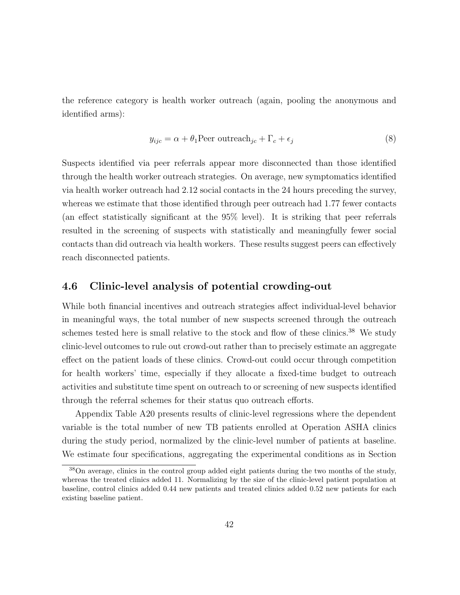the reference category is health worker outreach (again, pooling the anonymous and identified arms):

$$
y_{ijc} = \alpha + \theta_1 \text{Peer outerach}_{jc} + \Gamma_c + \epsilon_j \tag{8}
$$

Suspects identified via peer referrals appear more disconnected than those identified through the health worker outreach strategies. On average, new symptomatics identified via health worker outreach had 2.12 social contacts in the 24 hours preceding the survey, whereas we estimate that those identified through peer outreach had 1.77 fewer contacts (an effect statistically significant at the 95% level). It is striking that peer referrals resulted in the screening of suspects with statistically and meaningfully fewer social contacts than did outreach via health workers. These results suggest peers can effectively reach disconnected patients.

## 4.6 Clinic-level analysis of potential crowding-out

While both financial incentives and outreach strategies affect individual-level behavior in meaningful ways, the total number of new suspects screened through the outreach schemes tested here is small relative to the stock and flow of these clinics.<sup>38</sup> We study clinic-level outcomes to rule out crowd-out rather than to precisely estimate an aggregate effect on the patient loads of these clinics. Crowd-out could occur through competition for health workers' time, especially if they allocate a fixed-time budget to outreach activities and substitute time spent on outreach to or screening of new suspects identified through the referral schemes for their status quo outreach efforts.

Appendix Table A20 presents results of clinic-level regressions where the dependent variable is the total number of new TB patients enrolled at Operation ASHA clinics during the study period, normalized by the clinic-level number of patients at baseline. We estimate four specifications, aggregating the experimental conditions as in Section

<sup>38</sup>On average, clinics in the control group added eight patients during the two months of the study, whereas the treated clinics added 11. Normalizing by the size of the clinic-level patient population at baseline, control clinics added 0.44 new patients and treated clinics added 0.52 new patients for each existing baseline patient.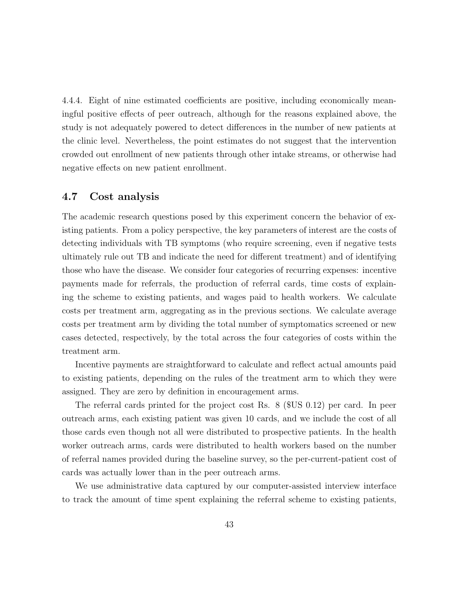4.4.4. Eight of nine estimated coefficients are positive, including economically meaningful positive effects of peer outreach, although for the reasons explained above, the study is not adequately powered to detect differences in the number of new patients at the clinic level. Nevertheless, the point estimates do not suggest that the intervention crowded out enrollment of new patients through other intake streams, or otherwise had negative effects on new patient enrollment.

## 4.7 Cost analysis

The academic research questions posed by this experiment concern the behavior of existing patients. From a policy perspective, the key parameters of interest are the costs of detecting individuals with TB symptoms (who require screening, even if negative tests ultimately rule out TB and indicate the need for different treatment) and of identifying those who have the disease. We consider four categories of recurring expenses: incentive payments made for referrals, the production of referral cards, time costs of explaining the scheme to existing patients, and wages paid to health workers. We calculate costs per treatment arm, aggregating as in the previous sections. We calculate average costs per treatment arm by dividing the total number of symptomatics screened or new cases detected, respectively, by the total across the four categories of costs within the treatment arm.

Incentive payments are straightforward to calculate and reflect actual amounts paid to existing patients, depending on the rules of the treatment arm to which they were assigned. They are zero by definition in encouragement arms.

The referral cards printed for the project cost Rs. 8 (\$US 0.12) per card. In peer outreach arms, each existing patient was given 10 cards, and we include the cost of all those cards even though not all were distributed to prospective patients. In the health worker outreach arms, cards were distributed to health workers based on the number of referral names provided during the baseline survey, so the per-current-patient cost of cards was actually lower than in the peer outreach arms.

We use administrative data captured by our computer-assisted interview interface to track the amount of time spent explaining the referral scheme to existing patients,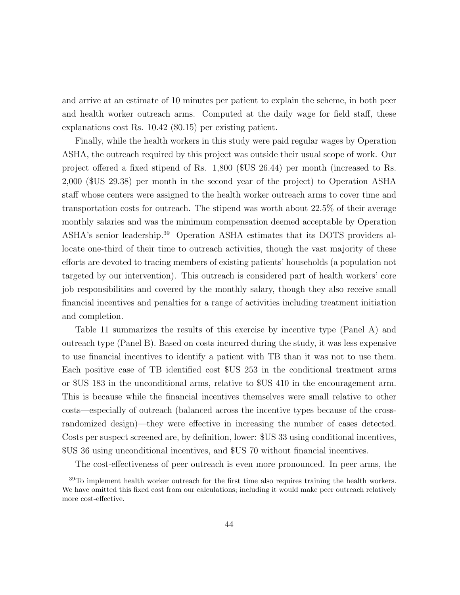and arrive at an estimate of 10 minutes per patient to explain the scheme, in both peer and health worker outreach arms. Computed at the daily wage for field staff, these explanations cost Rs. 10.42 (\$0.15) per existing patient.

Finally, while the health workers in this study were paid regular wages by Operation ASHA, the outreach required by this project was outside their usual scope of work. Our project offered a fixed stipend of Rs. 1,800 (\$US 26.44) per month (increased to Rs. 2,000 (\$US 29.38) per month in the second year of the project) to Operation ASHA staff whose centers were assigned to the health worker outreach arms to cover time and transportation costs for outreach. The stipend was worth about 22.5% of their average monthly salaries and was the minimum compensation deemed acceptable by Operation ASHA's senior leadership.<sup>39</sup> Operation ASHA estimates that its DOTS providers allocate one-third of their time to outreach activities, though the vast majority of these efforts are devoted to tracing members of existing patients' households (a population not targeted by our intervention). This outreach is considered part of health workers' core job responsibilities and covered by the monthly salary, though they also receive small financial incentives and penalties for a range of activities including treatment initiation and completion.

Table 11 summarizes the results of this exercise by incentive type (Panel A) and outreach type (Panel B). Based on costs incurred during the study, it was less expensive to use financial incentives to identify a patient with TB than it was not to use them. Each positive case of TB identified cost \$US 253 in the conditional treatment arms or \$US 183 in the unconditional arms, relative to \$US 410 in the encouragement arm. This is because while the financial incentives themselves were small relative to other costs—especially of outreach (balanced across the incentive types because of the crossrandomized design)—they were effective in increasing the number of cases detected. Costs per suspect screened are, by definition, lower: \$US 33 using conditional incentives, \$US 36 using unconditional incentives, and \$US 70 without financial incentives.

The cost-effectiveness of peer outreach is even more pronounced. In peer arms, the

<sup>&</sup>lt;sup>39</sup>To implement health worker outreach for the first time also requires training the health workers. We have omitted this fixed cost from our calculations; including it would make peer outreach relatively more cost-effective.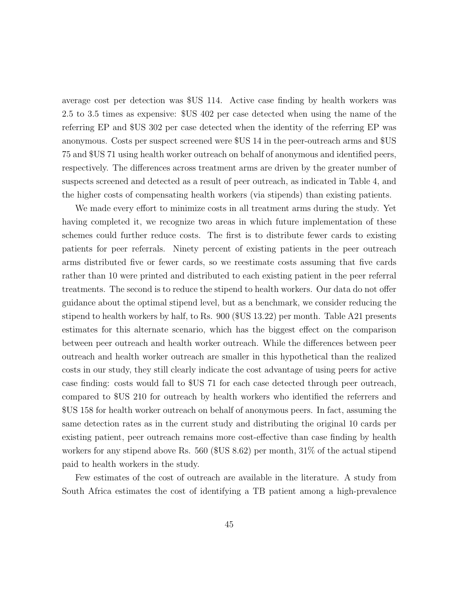average cost per detection was \$US 114. Active case finding by health workers was 2.5 to 3.5 times as expensive: \$US 402 per case detected when using the name of the referring EP and \$US 302 per case detected when the identity of the referring EP was anonymous. Costs per suspect screened were \$US 14 in the peer-outreach arms and \$US 75 and \$US 71 using health worker outreach on behalf of anonymous and identified peers, respectively. The differences across treatment arms are driven by the greater number of suspects screened and detected as a result of peer outreach, as indicated in Table 4, and the higher costs of compensating health workers (via stipends) than existing patients.

We made every effort to minimize costs in all treatment arms during the study. Yet having completed it, we recognize two areas in which future implementation of these schemes could further reduce costs. The first is to distribute fewer cards to existing patients for peer referrals. Ninety percent of existing patients in the peer outreach arms distributed five or fewer cards, so we reestimate costs assuming that five cards rather than 10 were printed and distributed to each existing patient in the peer referral treatments. The second is to reduce the stipend to health workers. Our data do not offer guidance about the optimal stipend level, but as a benchmark, we consider reducing the stipend to health workers by half, to Rs. 900 (\$US 13.22) per month. Table A21 presents estimates for this alternate scenario, which has the biggest effect on the comparison between peer outreach and health worker outreach. While the differences between peer outreach and health worker outreach are smaller in this hypothetical than the realized costs in our study, they still clearly indicate the cost advantage of using peers for active case finding: costs would fall to \$US 71 for each case detected through peer outreach, compared to \$US 210 for outreach by health workers who identified the referrers and \$US 158 for health worker outreach on behalf of anonymous peers. In fact, assuming the same detection rates as in the current study and distributing the original 10 cards per existing patient, peer outreach remains more cost-effective than case finding by health workers for any stipend above Rs. 560 (\$US 8.62) per month, 31% of the actual stipend paid to health workers in the study.

Few estimates of the cost of outreach are available in the literature. A study from South Africa estimates the cost of identifying a TB patient among a high-prevalence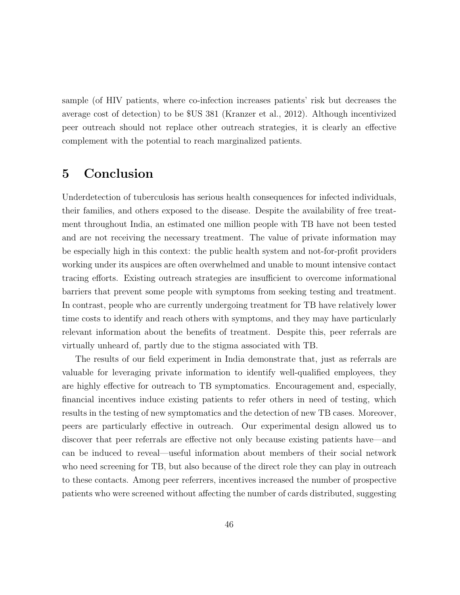sample (of HIV patients, where co-infection increases patients' risk but decreases the average cost of detection) to be \$US 381 (Kranzer et al., 2012). Although incentivized peer outreach should not replace other outreach strategies, it is clearly an effective complement with the potential to reach marginalized patients.

## 5 Conclusion

Underdetection of tuberculosis has serious health consequences for infected individuals, their families, and others exposed to the disease. Despite the availability of free treatment throughout India, an estimated one million people with TB have not been tested and are not receiving the necessary treatment. The value of private information may be especially high in this context: the public health system and not-for-profit providers working under its auspices are often overwhelmed and unable to mount intensive contact tracing efforts. Existing outreach strategies are insufficient to overcome informational barriers that prevent some people with symptoms from seeking testing and treatment. In contrast, people who are currently undergoing treatment for TB have relatively lower time costs to identify and reach others with symptoms, and they may have particularly relevant information about the benefits of treatment. Despite this, peer referrals are virtually unheard of, partly due to the stigma associated with TB.

The results of our field experiment in India demonstrate that, just as referrals are valuable for leveraging private information to identify well-qualified employees, they are highly effective for outreach to TB symptomatics. Encouragement and, especially, financial incentives induce existing patients to refer others in need of testing, which results in the testing of new symptomatics and the detection of new TB cases. Moreover, peers are particularly effective in outreach. Our experimental design allowed us to discover that peer referrals are effective not only because existing patients have—and can be induced to reveal—useful information about members of their social network who need screening for TB, but also because of the direct role they can play in outreach to these contacts. Among peer referrers, incentives increased the number of prospective patients who were screened without affecting the number of cards distributed, suggesting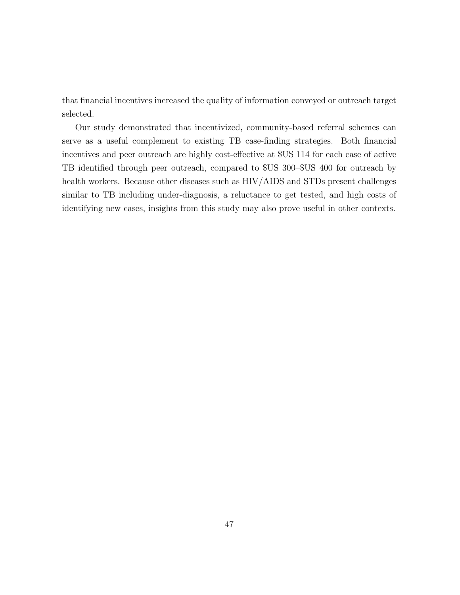that financial incentives increased the quality of information conveyed or outreach target selected.

Our study demonstrated that incentivized, community-based referral schemes can serve as a useful complement to existing TB case-finding strategies. Both financial incentives and peer outreach are highly cost-effective at \$US 114 for each case of active TB identified through peer outreach, compared to \$US 300–\$US 400 for outreach by health workers. Because other diseases such as HIV/AIDS and STDs present challenges similar to TB including under-diagnosis, a reluctance to get tested, and high costs of identifying new cases, insights from this study may also prove useful in other contexts.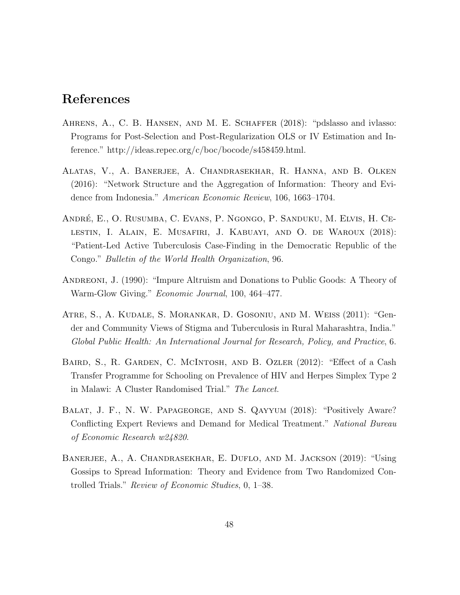## References

- AHRENS, A., C. B. HANSEN, AND M. E. SCHAFFER (2018): "pdslasso and ivlasso: Programs for Post-Selection and Post-Regularization OLS or IV Estimation and Inference." http://ideas.repec.org/c/boc/bocode/s458459.html.
- Alatas, V., A. Banerjee, A. Chandrasekhar, R. Hanna, and B. Olken (2016): "Network Structure and the Aggregation of Information: Theory and Evidence from Indonesia." American Economic Review, 106, 1663–1704.
- ANDRÉ, E., O. RUSUMBA, C. EVANS, P. NGONGO, P. SANDUKU, M. ELVIS, H. CElestin, I. Alain, E. Musafiri, J. Kabuayi, and O. de Waroux (2018): "Patient-Led Active Tuberculosis Case-Finding in the Democratic Republic of the Congo." Bulletin of the World Health Organization, 96.
- Andreoni, J. (1990): "Impure Altruism and Donations to Public Goods: A Theory of Warm-Glow Giving." Economic Journal, 100, 464–477.
- Atre, S., A. Kudale, S. Morankar, D. Gosoniu, and M. Weiss (2011): "Gender and Community Views of Stigma and Tuberculosis in Rural Maharashtra, India." Global Public Health: An International Journal for Research, Policy, and Practice, 6.
- Baird, S., R. Garden, C. McIntosh, and B. Ozler (2012): "Effect of a Cash Transfer Programme for Schooling on Prevalence of HIV and Herpes Simplex Type 2 in Malawi: A Cluster Randomised Trial." The Lancet.
- Balat, J. F., N. W. Papageorge, and S. Qayyum (2018): "Positively Aware? Conflicting Expert Reviews and Demand for Medical Treatment." National Bureau of Economic Research w24820.
- Banerjee, A., A. Chandrasekhar, E. Duflo, and M. Jackson (2019): "Using Gossips to Spread Information: Theory and Evidence from Two Randomized Controlled Trials." Review of Economic Studies, 0, 1–38.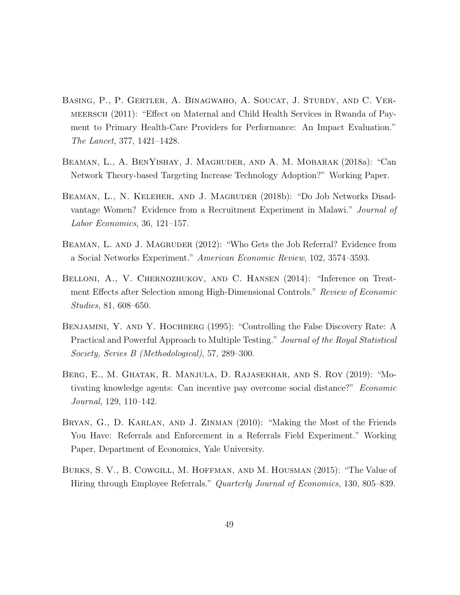- Basing, P., P. Gertler, A. Binagwaho, A. Soucat, J. Sturdy, and C. Vermeersch (2011): "Effect on Maternal and Child Health Services in Rwanda of Payment to Primary Health-Care Providers for Performance: An Impact Evaluation." The Lancet, 377, 1421–1428.
- Beaman, L., A. BenYishay, J. Magruder, and A. M. Mobarak (2018a): "Can Network Theory-based Targeting Increase Technology Adoption?" Working Paper.
- Beaman, L., N. Keleher, and J. Magruder (2018b): "Do Job Networks Disadvantage Women? Evidence from a Recruitment Experiment in Malawi." Journal of Labor Economics, 36, 121–157.
- BEAMAN, L. AND J. MAGRUDER  $(2012)$ : "Who Gets the Job Referral? Evidence from a Social Networks Experiment." American Economic Review, 102, 3574–3593.
- BELLONI, A., V. CHERNOZHUKOV, AND C. HANSEN (2014): "Inference on Treatment Effects after Selection among High-Dimensional Controls." Review of Economic Studies, 81, 608–650.
- BENJAMINI, Y. AND Y. HOCHBERG (1995): "Controlling the False Discovery Rate: A Practical and Powerful Approach to Multiple Testing." Journal of the Royal Statistical Society, Series B (Methodological), 57, 289–300.
- Berg, E., M. Ghatak, R. Manjula, D. Rajasekhar, and S. Roy (2019): "Motivating knowledge agents: Can incentive pay overcome social distance?" Economic Journal, 129, 110–142.
- Bryan, G., D. Karlan, and J. Zinman (2010): "Making the Most of the Friends You Have: Referrals and Enforcement in a Referrals Field Experiment." Working Paper, Department of Economics, Yale University.
- Burks, S. V., B. Cowgill, M. Hoffman, and M. Housman (2015): "The Value of Hiring through Employee Referrals." *Quarterly Journal of Economics*, 130, 805–839.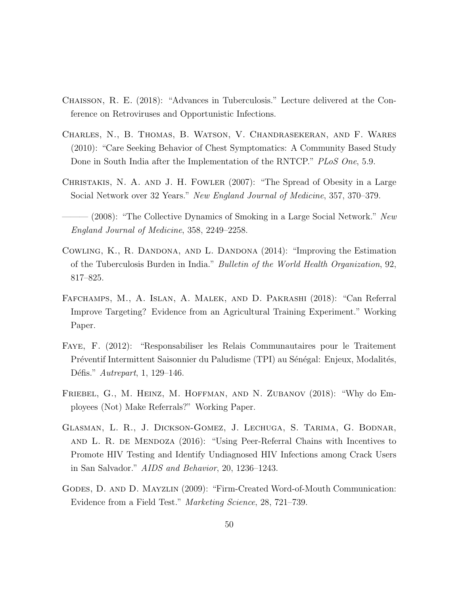- Chaisson, R. E. (2018): "Advances in Tuberculosis." Lecture delivered at the Conference on Retroviruses and Opportunistic Infections.
- Charles, N., B. Thomas, B. Watson, V. Chandrasekeran, and F. Wares (2010): "Care Seeking Behavior of Chest Symptomatics: A Community Based Study Done in South India after the Implementation of the RNTCP." PLoS One, 5.9.
- Christakis, N. A. and J. H. Fowler (2007): "The Spread of Obesity in a Large Social Network over 32 Years." New England Journal of Medicine, 357, 370–379.
- $(2008)$ : "The Collective Dynamics of Smoking in a Large Social Network." New England Journal of Medicine, 358, 2249–2258.
- COWLING, K., R. DANDONA, AND L. DANDONA (2014): "Improving the Estimation of the Tuberculosis Burden in India." Bulletin of the World Health Organization, 92, 817–825.
- Fafchamps, M., A. Islan, A. Malek, and D. Pakrashi (2018): "Can Referral Improve Targeting? Evidence from an Agricultural Training Experiment." Working Paper.
- Faye, F. (2012): "Responsabiliser les Relais Communautaires pour le Traitement Préventif Intermittent Saisonnier du Paludisme (TPI) au Sénégal: Enjeux, Modalités, Défis." Autrepart, 1, 129–146.
- Friebel, G., M. Heinz, M. Hoffman, and N. Zubanov (2018): "Why do Employees (Not) Make Referrals?" Working Paper.
- Glasman, L. R., J. Dickson-Gomez, J. Lechuga, S. Tarima, G. Bodnar, and L. R. de Mendoza (2016): "Using Peer-Referral Chains with Incentives to Promote HIV Testing and Identify Undiagnosed HIV Infections among Crack Users in San Salvador." AIDS and Behavior, 20, 1236–1243.
- Godes, D. and D. Mayzlin (2009): "Firm-Created Word-of-Mouth Communication: Evidence from a Field Test." Marketing Science, 28, 721–739.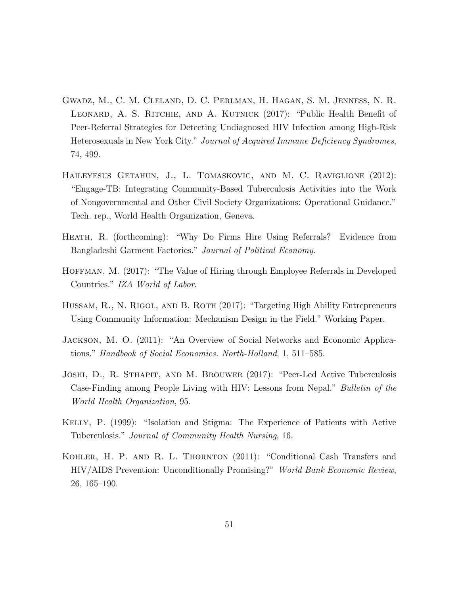- Gwadz, M., C. M. Cleland, D. C. Perlman, H. Hagan, S. M. Jenness, N. R. Leonard, A. S. Ritchie, and A. Kutnick (2017): "Public Health Benefit of Peer-Referral Strategies for Detecting Undiagnosed HIV Infection among High-Risk Heterosexuals in New York City." Journal of Acquired Immune Deficiency Syndromes, 74, 499.
- Haileyesus Getahun, J., L. Tomaskovic, and M. C. Raviglione (2012): "Engage-TB: Integrating Community-Based Tuberculosis Activities into the Work of Nongovernmental and Other Civil Society Organizations: Operational Guidance." Tech. rep., World Health Organization, Geneva.
- HEATH, R. (forthcoming): "Why Do Firms Hire Using Referrals? Evidence from Bangladeshi Garment Factories." Journal of Political Economy.
- Hoffman, M. (2017): "The Value of Hiring through Employee Referrals in Developed Countries." IZA World of Labor.
- HUSSAM, R., N. RIGOL, AND B. ROTH (2017): "Targeting High Ability Entrepreneurs Using Community Information: Mechanism Design in the Field." Working Paper.
- Jackson, M. O. (2011): "An Overview of Social Networks and Economic Applications." Handbook of Social Economics. North-Holland, 1, 511–585.
- Joshi, D., R. Sthapit, and M. Brouwer (2017): "Peer-Led Active Tuberculosis Case-Finding among People Living with HIV: Lessons from Nepal." Bulletin of the World Health Organization, 95.
- Kelly, P. (1999): "Isolation and Stigma: The Experience of Patients with Active Tuberculosis." Journal of Community Health Nursing, 16.
- Kohler, H. P. and R. L. Thornton (2011): "Conditional Cash Transfers and HIV/AIDS Prevention: Unconditionally Promising?" World Bank Economic Review, 26, 165–190.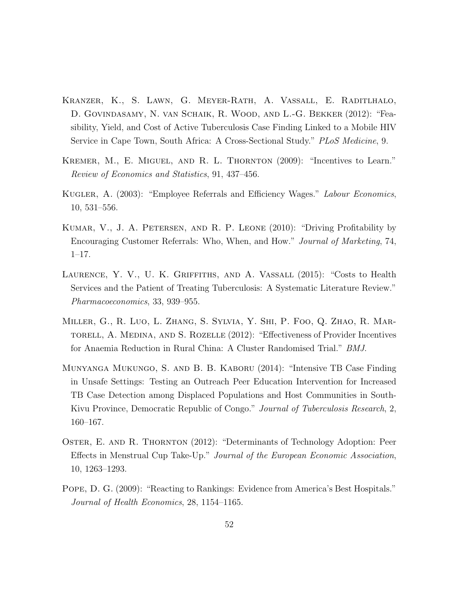- Kranzer, K., S. Lawn, G. Meyer-Rath, A. Vassall, E. Raditlhalo, D. Govindasamy, N. van Schaik, R. Wood, and L.-G. Bekker (2012): "Feasibility, Yield, and Cost of Active Tuberculosis Case Finding Linked to a Mobile HIV Service in Cape Town, South Africa: A Cross-Sectional Study." PLoS Medicine, 9.
- KREMER, M., E. MIGUEL, AND R. L. THORNTON (2009): "Incentives to Learn." Review of Economics and Statistics, 91, 437–456.
- Kugler, A. (2003): "Employee Referrals and Efficiency Wages." Labour Economics, 10, 531–556.
- Kumar, V., J. A. Petersen, and R. P. Leone (2010): "Driving Profitability by Encouraging Customer Referrals: Who, When, and How." Journal of Marketing, 74, 1–17.
- LAURENCE, Y. V., U. K. GRIFFITHS, AND A. VASSALL (2015): "Costs to Health Services and the Patient of Treating Tuberculosis: A Systematic Literature Review." Pharmacoeconomics, 33, 939–955.
- Miller, G., R. Luo, L. Zhang, S. Sylvia, Y. Shi, P. Foo, Q. Zhao, R. Martorell, A. Medina, and S. Rozelle (2012): "Effectiveness of Provider Incentives for Anaemia Reduction in Rural China: A Cluster Randomised Trial." BMJ.
- Munyanga Mukungo, S. and B. B. Kaboru (2014): "Intensive TB Case Finding in Unsafe Settings: Testing an Outreach Peer Education Intervention for Increased TB Case Detection among Displaced Populations and Host Communities in South-Kivu Province, Democratic Republic of Congo." Journal of Tuberculosis Research, 2, 160–167.
- OSTER, E. AND R. THORNTON (2012): "Determinants of Technology Adoption: Peer Effects in Menstrual Cup Take-Up." Journal of the European Economic Association, 10, 1263–1293.
- Pope, D. G. (2009): "Reacting to Rankings: Evidence from America's Best Hospitals." Journal of Health Economics, 28, 1154–1165.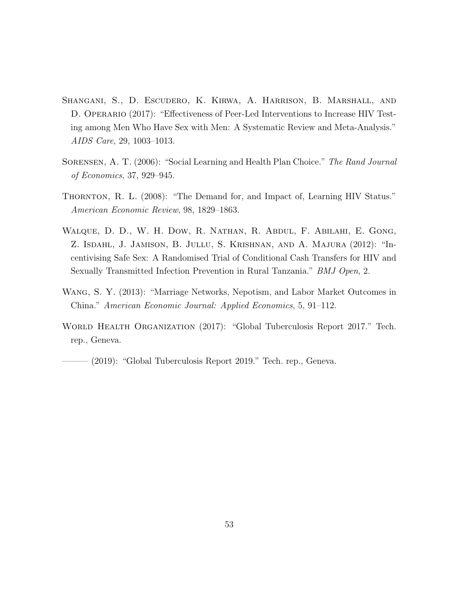- Shangani, S., D. Escudero, K. Kirwa, A. Harrison, B. Marshall, and D. OPERARIO (2017): "Effectiveness of Peer-Led Interventions to Increase HIV Testing among Men Who Have Sex with Men: A Systematic Review and Meta-Analysis." AIDS Care, 29, 1003–1013.
- SORENSEN, A. T. (2006): "Social Learning and Health Plan Choice." The Rand Journal of Economics, 37, 929–945.
- THORNTON, R. L. (2008): "The Demand for, and Impact of, Learning HIV Status." American Economic Review, 98, 1829–1863.
- Walque, D. D., W. H. Dow, R. Nathan, R. Abdul, F. Abilahi, E. Gong, Z. Isdahl, J. Jamison, B. Jullu, S. Krishnan, and A. Majura (2012): "Incentivising Safe Sex: A Randomised Trial of Conditional Cash Transfers for HIV and Sexually Transmitted Infection Prevention in Rural Tanzania." BMJ Open, 2.
- Wang, S. Y. (2013): "Marriage Networks, Nepotism, and Labor Market Outcomes in China." American Economic Journal: Applied Economics, 5, 91–112.
- World Health Organization (2017): "Global Tuberculosis Report 2017." Tech. rep., Geneva.

- (2019): "Global Tuberculosis Report 2019." Tech. rep., Geneva.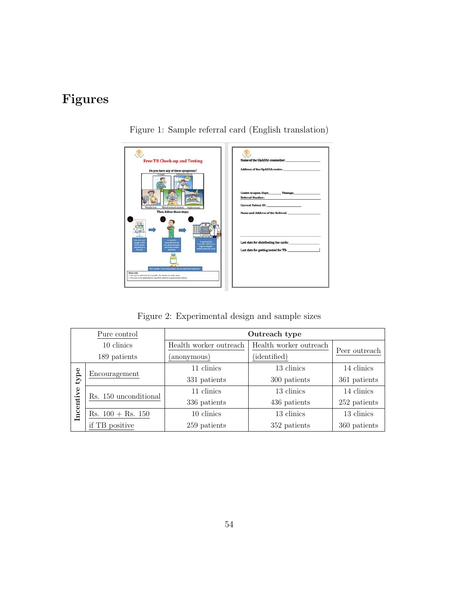# Figures



Figure 1: Sample referral card (English translation)

Figure 2: Experimental design and sample sizes

|            | Pure control                        | Outreach type          |                        |               |  |  |
|------------|-------------------------------------|------------------------|------------------------|---------------|--|--|
| 10 clinics |                                     | Health worker outreach | Health worker outreach | Peer outreach |  |  |
|            | 189 patients                        | anonymous)             | (identified)           |               |  |  |
|            | 11 clinics                          |                        | 13 clinics             | 14 clinics    |  |  |
| type       | Encouragement                       | 331 patients           | 300 patients           | 361 patients  |  |  |
|            | Rs. 150 unconditional               | 11 clinics             | 13 clinics             | 14 clinics    |  |  |
|            |                                     | 336 patients           | 436 patients           | 252 patients  |  |  |
| Incentive  | $\text{Rs. } 100 + \text{Rs. } 150$ | 10 clinics             | 13 clinics             | 13 clinics    |  |  |
|            | if TB positive                      | 259 patients           | 352 patients           | 360 patients  |  |  |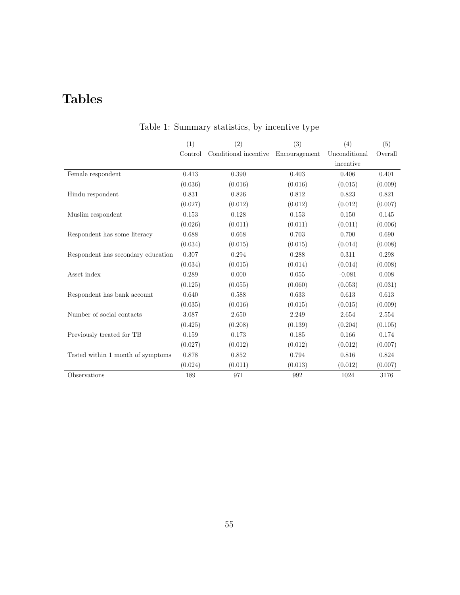# Tables

|                                    | (1)     | (2)                   | (3)           | (4)           | (5)     |
|------------------------------------|---------|-----------------------|---------------|---------------|---------|
|                                    | Control | Conditional incentive | Encouragement | Unconditional | Overall |
|                                    |         |                       |               | incentive     |         |
| Female respondent                  | 0.413   | 0.390                 | 0.403         | 0.406         | 0.401   |
|                                    | (0.036) | (0.016)               | (0.016)       | (0.015)       | (0.009) |
| Hindu respondent                   | 0.831   | 0.826                 | 0.812         | 0.823         | 0.821   |
|                                    | (0.027) | (0.012)               | (0.012)       | (0.012)       | (0.007) |
| Muslim respondent                  | 0.153   | 0.128                 | 0.153         | 0.150         | 0.145   |
|                                    | (0.026) | (0.011)               | (0.011)       | (0.011)       | (0.006) |
| Respondent has some literacy       | 0.688   | 0.668                 | 0.703         | 0.700         | 0.690   |
|                                    | (0.034) | (0.015)               | (0.015)       | (0.014)       | (0.008) |
| Respondent has secondary education | 0.307   | 0.294                 | 0.288         | 0.311         | 0.298   |
|                                    | (0.034) | (0.015)               | (0.014)       | (0.014)       | (0.008) |
| Asset index                        | 0.289   | 0.000                 | 0.055         | $-0.081$      | 0.008   |
|                                    | (0.125) | (0.055)               | (0.060)       | (0.053)       | (0.031) |
| Respondent has bank account        | 0.640   | 0.588                 | 0.633         | 0.613         | 0.613   |
|                                    | (0.035) | (0.016)               | (0.015)       | (0.015)       | (0.009) |
| Number of social contacts          | 3.087   | 2.650                 | 2.249         | 2.654         | 2.554   |
|                                    | (0.425) | (0.208)               | (0.139)       | (0.204)       | (0.105) |
| Previously treated for TB          | 0.159   | 0.173                 | 0.185         | 0.166         | 0.174   |
|                                    | (0.027) | (0.012)               | (0.012)       | (0.012)       | (0.007) |
| Tested within 1 month of symptoms  | 0.878   | 0.852                 | 0.794         | 0.816         | 0.824   |
|                                    | (0.024) | (0.011)               | (0.013)       | (0.012)       | (0.007) |
| Observations                       | 189     | 971                   | 992           | 1024          | 3176    |

## Table 1: Summary statistics, by incentive type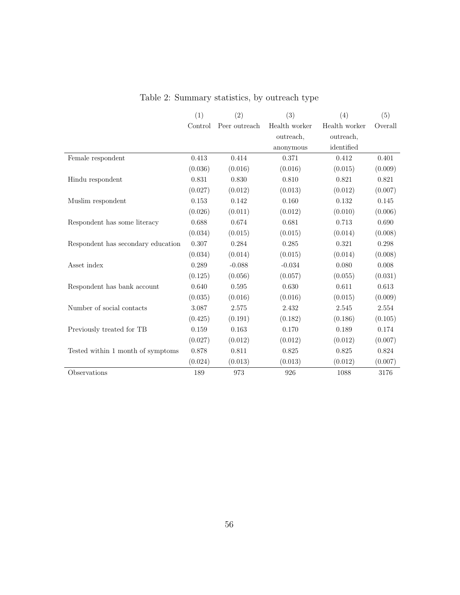|                                    | (1)     | (2)           | (3)           | (4)           | (5)     |
|------------------------------------|---------|---------------|---------------|---------------|---------|
|                                    | Control | Peer outreach | Health worker | Health worker | Overall |
|                                    |         |               | outreach,     | outreach,     |         |
|                                    |         |               | anonymous     | identified    |         |
| Female respondent                  | 0.413   | 0.414         | 0.371         | 0.412         | 0.401   |
|                                    | (0.036) | (0.016)       | (0.016)       | (0.015)       | (0.009) |
| Hindu respondent                   | 0.831   | 0.830         | 0.810         | 0.821         | 0.821   |
|                                    | (0.027) | (0.012)       | (0.013)       | (0.012)       | (0.007) |
| Muslim respondent                  | 0.153   | 0.142         | 0.160         | 0.132         | 0.145   |
|                                    | (0.026) | (0.011)       | (0.012)       | (0.010)       | (0.006) |
| Respondent has some literacy       | 0.688   | 0.674         | 0.681         | 0.713         | 0.690   |
|                                    | (0.034) | (0.015)       | (0.015)       | (0.014)       | (0.008) |
| Respondent has secondary education | 0.307   | 0.284         | 0.285         | 0.321         | 0.298   |
|                                    | (0.034) | (0.014)       | (0.015)       | (0.014)       | (0.008) |
| Asset index                        | 0.289   | $-0.088$      | $-0.034$      | 0.080         | 0.008   |
|                                    | (0.125) | (0.056)       | (0.057)       | (0.055)       | (0.031) |
| Respondent has bank account        | 0.640   | 0.595         | 0.630         | 0.611         | 0.613   |
|                                    | (0.035) | (0.016)       | (0.016)       | (0.015)       | (0.009) |
| Number of social contacts          | 3.087   | 2.575         | 2.432         | 2.545         | 2.554   |
|                                    | (0.425) | (0.191)       | (0.182)       | (0.186)       | (0.105) |
| Previously treated for TB          | 0.159   | 0.163         | 0.170         | 0.189         | 0.174   |
|                                    | (0.027) | (0.012)       | (0.012)       | (0.012)       | (0.007) |
| Tested within 1 month of symptoms  | 0.878   | 0.811         | 0.825         | 0.825         | 0.824   |
|                                    | (0.024) | (0.013)       | (0.013)       | (0.012)       | (0.007) |
| Observations                       | 189     | 973           | 926           | 1088          | 3176    |

Table 2: Summary statistics, by outreach type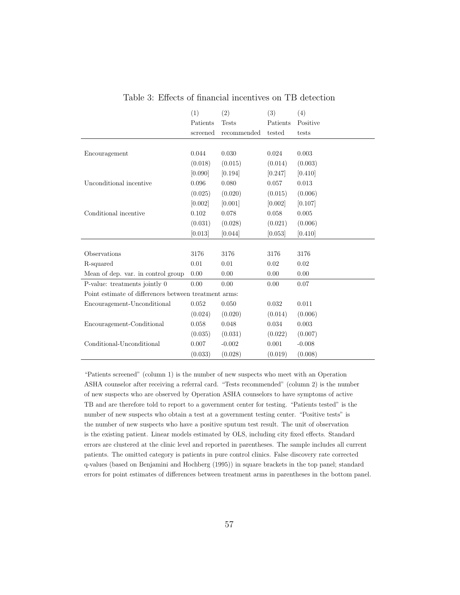|                                                       | (1)      | (2)          | (3)      | (4)      |
|-------------------------------------------------------|----------|--------------|----------|----------|
|                                                       | Patients | <b>Tests</b> | Patients | Positive |
|                                                       | screened | recommended  | tested   | tests    |
|                                                       |          |              |          |          |
| Encouragement                                         | 0.044    | 0.030        | 0.024    | 0.003    |
|                                                       | (0.018)  | (0.015)      | (0.014)  | (0.003)  |
|                                                       | [0.090]  | [0.194]      | [0.247]  | [0.410]  |
| Unconditional incentive                               | 0.096    | 0.080        | 0.057    | 0.013    |
|                                                       | (0.025)  | (0.020)      | (0.015)  | (0.006)  |
|                                                       | [0.002]  | [0.001]      | [0.002]  | [0.107]  |
| Conditional incentive                                 | 0.102    | 0.078        | 0.058    | 0.005    |
|                                                       | (0.031)  | (0.028)      | (0.021)  | (0.006)  |
|                                                       | [0.013]  | [0.044]      | [0.053]  | [0.410]  |
|                                                       |          |              |          |          |
| Observations                                          | 3176     | 3176         | 3176     | 3176     |
| R-squared                                             | 0.01     | 0.01         | 0.02     | 0.02     |
| Mean of dep. var. in control group                    | 0.00     | 0.00         | 0.00     | 0.00     |
| P-value: treatments jointly 0                         | 0.00     | 0.00         | 0.00     | 0.07     |
| Point estimate of differences between treatment arms: |          |              |          |          |
| Encouragement-Unconditional                           | 0.052    | 0.050        | 0.032    | 0.011    |
|                                                       | (0.024)  | (0.020)      | (0.014)  | (0.006)  |
| Encouragement-Conditional                             | 0.058    | 0.048        | 0.034    | 0.003    |
|                                                       | (0.035)  | (0.031)      | (0.022)  | (0.007)  |
| Conditional-Unconditional                             | 0.007    | $-0.002$     | 0.001    | $-0.008$ |
|                                                       | (0.033)  | (0.028)      | (0.019)  | (0.008)  |

Table 3: Effects of financial incentives on TB detection

"Patients screened" (column 1) is the number of new suspects who meet with an Operation ASHA counselor after receiving a referral card. "Tests recommended" (column 2) is the number of new suspects who are observed by Operation ASHA counselors to have symptoms of active TB and are therefore told to report to a government center for testing. "Patients tested" is the number of new suspects who obtain a test at a government testing center. "Positive tests" is the number of new suspects who have a positive sputum test result. The unit of observation is the existing patient. Linear models estimated by OLS, including city fixed effects. Standard errors are clustered at the clinic level and reported in parentheses. The sample includes all current patients. The omitted category is patients in pure control clinics. False discovery rate corrected q-values (based on Benjamini and Hochberg (1995)) in square brackets in the top panel; standard errors for point estimates of differences between treatment arms in parentheses in the bottom panel.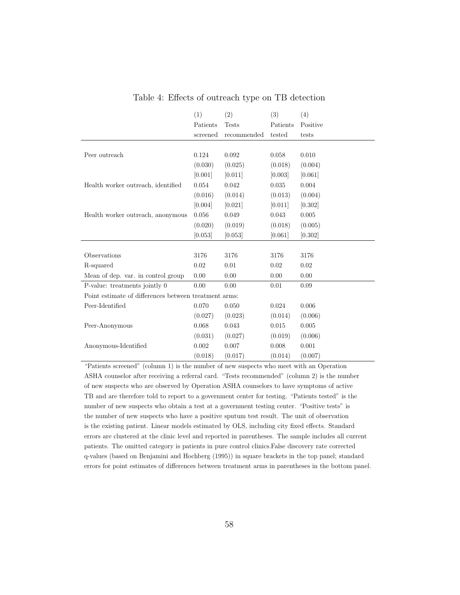|                                                       | (1)      | (2)          | (3)      | (4)      |
|-------------------------------------------------------|----------|--------------|----------|----------|
|                                                       | Patients | <b>Tests</b> | Patients | Positive |
|                                                       | screened | recommended  | tested   | tests    |
|                                                       |          |              |          |          |
| Peer outreach                                         | 0.124    | 0.092        | 0.058    | 0.010    |
|                                                       | (0.030)  | (0.025)      | (0.018)  | (0.004)  |
|                                                       | [0.001]  | [0.011]      | [0.003]  | [0.061]  |
| Health worker outreach, identified                    | 0.054    | 0.042        | 0.035    | 0.004    |
|                                                       | (0.016)  | (0.014)      | (0.013)  | (0.004)  |
|                                                       | [0.004]  | [0.021]      | [0.011]  | [0.302]  |
| Health worker outreach, anonymous                     | 0.056    | 0.049        | 0.043    | 0.005    |
|                                                       | (0.020)  | (0.019)      | (0.018)  | (0.005)  |
|                                                       | [0.053]  | [0.053]      | [0.061]  | [0.302]  |
|                                                       |          |              |          |          |
| Observations                                          | 3176     | 3176         | 3176     | 3176     |
| R-squared                                             | 0.02     | 0.01         | 0.02     | $0.02\,$ |
| Mean of dep. var. in control group                    | 0.00     | 0.00         | 0.00     | 0.00     |
| P-value: treatments jointly 0                         | 0.00     | 0.00         | 0.01     | 0.09     |
| Point estimate of differences between treatment arms: |          |              |          |          |
| Peer-Identified                                       | 0.070    | 0.050        | 0.024    | 0.006    |
|                                                       | (0.027)  | (0.023)      | (0.014)  | (0.006)  |
| Peer-Anonymous                                        | 0.068    | 0.043        | 0.015    | 0.005    |
|                                                       | (0.031)  | (0.027)      | (0.019)  | (0.006)  |
| Anonymous-Identified                                  | 0.002    | 0.007        | 0.008    | 0.001    |
|                                                       | (0.018)  | (0.017)      | (0.014)  | (0.007)  |

Table 4: Effects of outreach type on TB detection

"Patients screened" (column 1) is the number of new suspects who meet with an Operation ASHA counselor after receiving a referral card. "Tests recommended" (column 2) is the number of new suspects who are observed by Operation ASHA counselors to have symptoms of active TB and are therefore told to report to a government center for testing. "Patients tested" is the number of new suspects who obtain a test at a government testing center. "Positive tests" is the number of new suspects who have a positive sputum test result. The unit of observation is the existing patient. Linear models estimated by OLS, including city fixed effects. Standard errors are clustered at the clinic level and reported in parentheses. The sample includes all current patients. The omitted category is patients in pure control clinics.False discovery rate corrected q-values (based on Benjamini and Hochberg (1995)) in square brackets in the top panel; standard errors for point estimates of differences between treatment arms in parentheses in the bottom panel.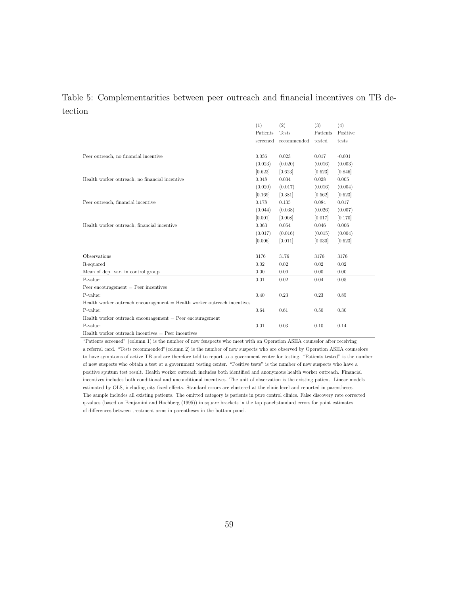## Table 5: Complementarities between peer outreach and financial incentives on TB detection

|                                                                              | (1)      | (2)          | (3)      | (4)      |
|------------------------------------------------------------------------------|----------|--------------|----------|----------|
|                                                                              | Patients | <b>Tests</b> | Patients | Positive |
|                                                                              | screened | recommended  | tested   | tests    |
|                                                                              |          |              |          |          |
| Peer outreach, no financial incentive                                        | 0.036    | 0.023        | 0.017    | $-0.001$ |
|                                                                              | (0.023)  | (0.020)      | (0.016)  | (0.003)  |
|                                                                              | [0.623]  | [0.623]      | [0.623]  | [0.846]  |
| Health worker outreach, no financial incentive                               | 0.048    | 0.034        | 0.028    | 0.005    |
|                                                                              | (0.020)  | (0.017)      | (0.016)  | (0.004)  |
|                                                                              | [0.169]  | [0.381]      | [0.562]  | [0.623]  |
| Peer outreach, financial incentive                                           | 0.178    | 0.135        | 0.084    | 0.017    |
|                                                                              | (0.044)  | (0.038)      | (0.026)  | (0.007)  |
|                                                                              | [0.001]  | [0.008]      | [0.017]  | [0.170]  |
| Health worker outreach, financial incentive                                  | 0.063    | 0.054        | 0.046    | 0.006    |
|                                                                              | (0.017)  | (0.016)      | (0.015)  | (0.004)  |
|                                                                              | [0.006]  | [0.011]      | [0.030]  | [0.623]  |
|                                                                              |          |              |          |          |
| Observations                                                                 | 3176     | 3176         | 3176     | 3176     |
| R-squared                                                                    | 0.02     | 0.02         | 0.02     | 0.02     |
| Mean of dep. var. in control group                                           | 0.00     | 0.00         | 0.00     | 0.00     |
| P-value:                                                                     | 0.01     | 0.02         | 0.04     | 0.05     |
| Peer encouragement $=$ Peer incentives                                       |          |              |          |          |
| P-value:                                                                     | 0.40     | 0.23         | 0.23     | 0.85     |
| $Health$ worker outreach encouragement $=$ Health worker outreach incentives |          |              |          |          |
| P-value:                                                                     | 0.64     | 0.61         | 0.50     | 0.30     |
| Health worker outreach encouragement $=$ Peer encouragement                  |          |              |          |          |
| P-value:                                                                     | 0.01     | 0.03         | 0.10     | 0.14     |
| Health worker outreach incentives $=$ Peer incentives                        |          |              |          |          |

"Patients screened" (column 1) is the number of new fsuspects who meet with an Operation ASHA counselor after receiving a referral card. "Tests recommended"(column 2) is the number of new suspects who are observed by Operation ASHA counselors to have symptoms of active TB and are therefore told to report to a government center for testing. "Patients tested" is the number of new suspects who obtain a test at a government testing center. "Positive tests" is the number of new suspects who have a positive sputum test result. Health worker outreach includes both identified and anonymous health worker outreach. Financial incentives includes both conditional and unconditional incentives. The unit of observation is the existing patient. Linear models estimated by OLS, including city fixed effects. Standard errors are clustered at the clinic level and reported in parentheses. The sample includes all existing patients. The omitted category is patients in pure control clinics. False discovery rate corrected q-values (based on Benjamini and Hochberg (1995)) in square brackets in the top panel;standard errors for point estimates of differences between treatment arms in parentheses in the bottom panel.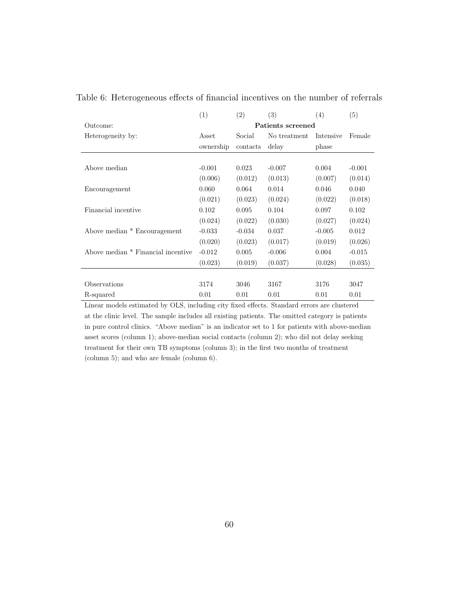|                                    | (1)       | (2)      | (3)               | (4)       | (5)      |
|------------------------------------|-----------|----------|-------------------|-----------|----------|
| Outcome:                           |           |          | Patients screened |           |          |
| Heterogeneity by:                  | Asset     | Social   | No treatment      | Intensive | Female   |
|                                    | ownership | contacts | delay             | phase     |          |
|                                    |           |          |                   |           |          |
| Above median                       | $-0.001$  | 0.023    | $-0.007$          | 0.004     | $-0.001$ |
|                                    | (0.006)   | (0.012)  | (0.013)           | (0.007)   | (0.014)  |
| Encouragement                      | 0.060     | 0.064    | 0.014             | 0.046     | 0.040    |
|                                    | (0.021)   | (0.023)  | (0.024)           | (0.022)   | (0.018)  |
| Financial incentive                | 0.102     | 0.095    | 0.104             | 0.097     | 0.102    |
|                                    | (0.024)   | (0.022)  | (0.030)           | (0.027)   | (0.024)  |
| Above median * Encouragement       | $-0.033$  | $-0.034$ | 0.037             | $-0.005$  | 0.012    |
|                                    | (0.020)   | (0.023)  | (0.017)           | (0.019)   | (0.026)  |
| Above median * Financial incentive | $-0.012$  | 0.005    | $-0.006$          | 0.004     | $-0.015$ |
|                                    | (0.023)   | (0.019)  | (0.037)           | (0.028)   | (0.035)  |
|                                    |           |          |                   |           |          |
| Observations                       | 3174      | 3046     | 3167              | 3176      | 3047     |
| R-squared                          | 0.01      | 0.01     | 0.01              | 0.01      | 0.01     |

Table 6: Heterogeneous effects of financial incentives on the number of referrals

Linear models estimated by OLS, including city fixed effects. Standard errors are clustered at the clinic level. The sample includes all existing patients. The omitted category is patients in pure control clinics. "Above median" is an indicator set to 1 for patients with above-median asset scores (column 1); above-median social contacts (column 2); who did not delay seeking treatment for their own TB symptoms (column 3); in the first two months of treatment (column 5); and who are female (column 6).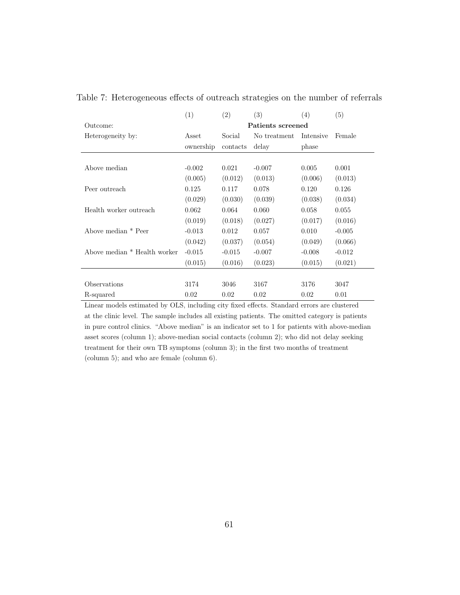|                              | (1)               | (2)      | (3)          | (4)       | (5)      |  |  |
|------------------------------|-------------------|----------|--------------|-----------|----------|--|--|
| Outcome:                     | Patients screened |          |              |           |          |  |  |
| Heterogeneity by:            | Asset             | Social   | No treatment | Intensive | Female   |  |  |
|                              | ownership         | contacts | delay        | phase     |          |  |  |
|                              |                   |          |              |           |          |  |  |
| Above median                 | $-0.002$          | 0.021    | $-0.007$     | 0.005     | 0.001    |  |  |
|                              | (0.005)           | (0.012)  | (0.013)      | (0.006)   | (0.013)  |  |  |
| Peer outreach                | 0.125             | 0.117    | 0.078        | 0.120     | 0.126    |  |  |
|                              | (0.029)           | (0.030)  | (0.039)      | (0.038)   | (0.034)  |  |  |
| Health worker outreach       | 0.062             | 0.064    | 0.060        | 0.058     | 0.055    |  |  |
|                              | (0.019)           | (0.018)  | (0.027)      | (0.017)   | (0.016)  |  |  |
| Above median * Peer          | $-0.013$          | 0.012    | 0.057        | 0.010     | $-0.005$ |  |  |
|                              | (0.042)           | (0.037)  | (0.054)      | (0.049)   | (0.066)  |  |  |
| Above median * Health worker | $-0.015$          | $-0.015$ | $-0.007$     | $-0.008$  | $-0.012$ |  |  |
|                              | (0.015)           | (0.016)  | (0.023)      | (0.015)   | (0.021)  |  |  |
|                              |                   |          |              |           |          |  |  |
| Observations                 | 3174              | 3046     | 3167         | 3176      | 3047     |  |  |
| R-squared                    | 0.02              | 0.02     | 0.02         | 0.02      | 0.01     |  |  |

Table 7: Heterogeneous effects of outreach strategies on the number of referrals

Linear models estimated by OLS, including city fixed effects. Standard errors are clustered at the clinic level. The sample includes all existing patients. The omitted category is patients in pure control clinics. "Above median" is an indicator set to 1 for patients with above-median asset scores (column 1); above-median social contacts (column 2); who did not delay seeking treatment for their own TB symptoms (column 3); in the first two months of treatment (column 5); and who are female (column 6).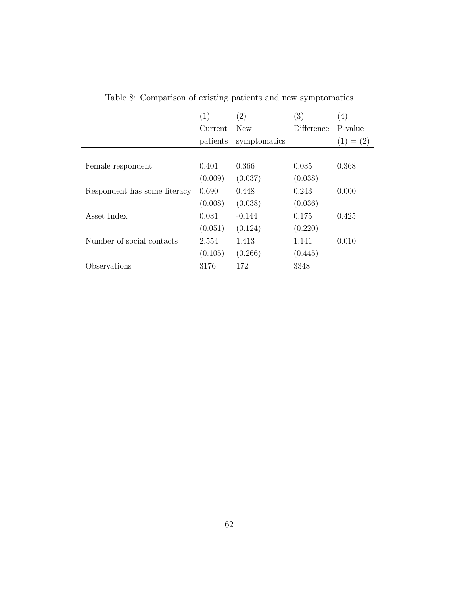|                              | (1)      | (2)          | (3)        | (4)         |
|------------------------------|----------|--------------|------------|-------------|
|                              | Current  | New          | Difference | P-value     |
|                              | patients | symptomatics |            | $(1) = (2)$ |
|                              |          |              |            |             |
| Female respondent            | 0.401    | 0.366        | 0.035      | 0.368       |
|                              | (0.009)  | (0.037)      | (0.038)    |             |
| Respondent has some literacy | 0.690    | 0.448        | 0.243      | 0.000       |
|                              | (0.008)  | (0.038)      | (0.036)    |             |
| Asset Index                  | 0.031    | $-0.144$     | 0.175      | 0.425       |
|                              | (0.051)  | (0.124)      | (0.220)    |             |
| Number of social contacts    | 2.554    | 1.413        | 1.141      | 0.010       |
|                              | (0.105)  | (0.266)      | (0.445)    |             |
| bservations                  | 3176     | 172          | 3348       |             |

Table 8: Comparison of existing patients and new symptomatics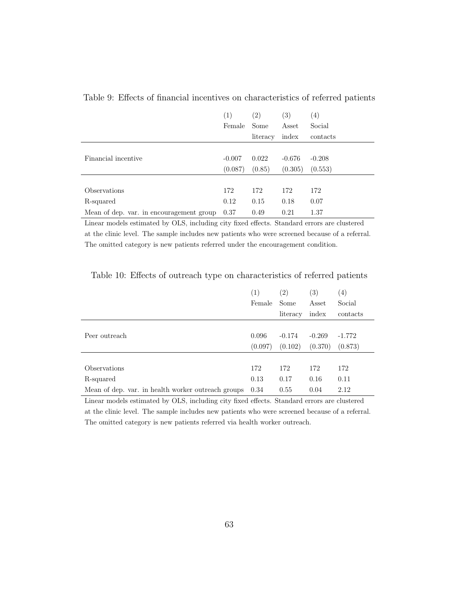|                                          | (1)      | $\left( 2\right)$ | $\left( 3\right)$ | (4)      |
|------------------------------------------|----------|-------------------|-------------------|----------|
|                                          | Female   | Some              | Asset             | Social   |
|                                          |          | literacy          | index             | contacts |
|                                          |          |                   |                   |          |
| Financial incentive                      | $-0.007$ | 0.022             | $-0.676$          | $-0.208$ |
|                                          | (0.087)  | (0.85)            | (0.305)           | (0.553)  |
|                                          |          |                   |                   |          |
| Observations                             | 172      | 172               | 172               | 172      |
| R-squared                                | 0.12     | 0.15              | 0.18              | 0.07     |
| Mean of dep. var. in encouragement group | 0.37     | 0.49              | 0.21              | 1.37     |

Table 9: Effects of financial incentives on characteristics of referred patients

Linear models estimated by OLS, including city fixed effects. Standard errors are clustered at the clinic level. The sample includes new patients who were screened because of a referral. The omitted category is new patients referred under the encouragement condition.

|                                                    | $\left(1\right)$ | $\left( 2\right)$ | $\left( 3\right)$ | $\left( 4\right)$ |
|----------------------------------------------------|------------------|-------------------|-------------------|-------------------|
|                                                    | Female           | Some              | Asset             | Social            |
|                                                    |                  | literacy          | index             | contacts          |
|                                                    |                  |                   |                   |                   |
| Peer outreach                                      | 0.096            | $-0.174$          | $-0.269$          | $-1.772$          |
|                                                    | (0.097)          | (0.102)           | (0.370)           | (0.873)           |
|                                                    |                  |                   |                   |                   |
| Observations                                       | 172              | 172               | 172               | 172               |
| R-squared                                          | 0.13             | 0.17              | 0.16              | 0.11              |
| Mean of dep. var. in health worker outreach groups | 0.34             | 0.55              | 0.04              | 2.12              |

Table 10: Effects of outreach type on characteristics of referred patients

Linear models estimated by OLS, including city fixed effects. Standard errors are clustered at the clinic level. The sample includes new patients who were screened because of a referral. The omitted category is new patients referred via health worker outreach.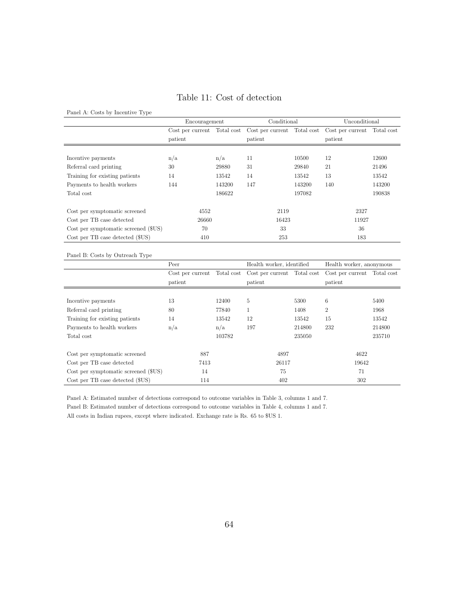## Table 11: Cost of detection

Panel A: Costs by Incentive Type

|                                      | Encouragement |        | Conditional                                                                         |        | Unconditional |        |
|--------------------------------------|---------------|--------|-------------------------------------------------------------------------------------|--------|---------------|--------|
|                                      |               |        | Cost per current Total cost Cost per current Total cost Cost per current Total cost |        |               |        |
|                                      | patient       |        | patient                                                                             |        | patient       |        |
|                                      |               |        |                                                                                     |        |               |        |
| Incentive payments                   | n/a           | n/a    | 11                                                                                  | 10500  | 12            | 12600  |
| Referral card printing               | 30            | 29880  | 31                                                                                  | 29840  | 21            | 21496  |
| Training for existing patients       | 14            | 13542  | 14                                                                                  | 13542  | 13            | 13542  |
| Payments to health workers           | 144           | 143200 | 147                                                                                 | 143200 | 140           | 143200 |
| Total cost                           |               | 186622 |                                                                                     | 197082 |               | 190838 |
|                                      |               |        |                                                                                     |        |               |        |
| Cost per symptomatic screened        | 4552          |        | 2119                                                                                |        | 2327          |        |
| Cost per TB case detected            | 26660         |        | 16423                                                                               |        | 11927         |        |
| Cost per symptomatic screened (\$US) | 70            |        | 33                                                                                  |        | 36            |        |
| Cost per TB case detected (\$US)     | 410           |        | 253                                                                                 |        | 183           |        |

#### Panel B: Costs by Outreach Type

|                                      | Peer    |        | Health worker, identified                               |        | Health worker, anonymous    |        |  |
|--------------------------------------|---------|--------|---------------------------------------------------------|--------|-----------------------------|--------|--|
|                                      |         |        | Cost per current Total cost Cost per current Total cost |        | Cost per current Total cost |        |  |
|                                      | patient |        | patient                                                 |        | patient                     |        |  |
|                                      |         |        |                                                         |        |                             |        |  |
| Incentive payments                   | 13      | 12400  | 5                                                       | 5300   | 6                           | 5400   |  |
| Referral card printing               | 80      | 77840  | 1                                                       | 1408   | $\overline{2}$              | 1968   |  |
| Training for existing patients       | 14      | 13542  | 12                                                      | 13542  | 15                          | 13542  |  |
| Payments to health workers           | n/a     | n/a    | 197                                                     | 214800 | 232                         | 214800 |  |
| Total cost                           |         | 103782 |                                                         | 235050 |                             | 235710 |  |
|                                      |         |        |                                                         |        |                             |        |  |
| Cost per symptomatic screened        | 887     |        | 4897                                                    |        | 4622                        |        |  |
| Cost per TB case detected            | 7413    |        | 26117                                                   |        | 19642                       |        |  |
| Cost per symptomatic screened (\$US) | 14      |        | 75                                                      |        | 71                          |        |  |
| Cost per TB case detected (\$US)     | 114     |        | 402                                                     |        | 302                         |        |  |

Panel A: Estimated number of detections correspond to outcome variables in Table 3, columns 1 and 7.

Panel B: Estimated number of detections correspond to outcome variables in Table 4, columns 1 and 7.

All costs in Indian rupees, except where indicated. Exchange rate is Rs. 65 to \$US 1.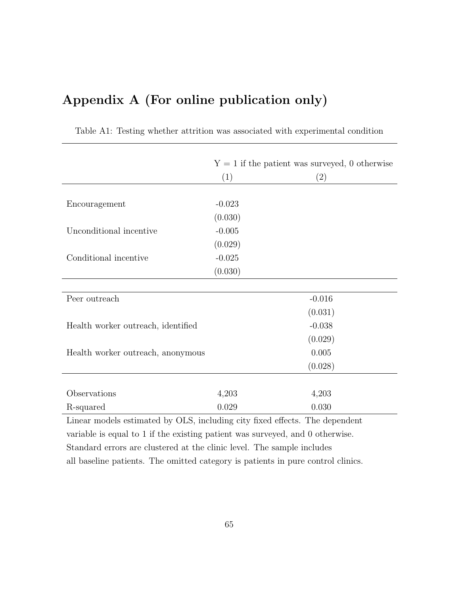# Appendix A (For online publication only)

|                                    | $Y = 1$ if the patient was surveyed, 0 otherwise |          |  |  |
|------------------------------------|--------------------------------------------------|----------|--|--|
|                                    | (1)                                              | (2)      |  |  |
|                                    |                                                  |          |  |  |
| Encouragement                      | $-0.023$                                         |          |  |  |
|                                    | (0.030)                                          |          |  |  |
| Unconditional incentive            | $-0.005$                                         |          |  |  |
|                                    | (0.029)                                          |          |  |  |
| Conditional incentive              | $-0.025$                                         |          |  |  |
|                                    | (0.030)                                          |          |  |  |
|                                    |                                                  |          |  |  |
| Peer outreach                      |                                                  | $-0.016$ |  |  |
|                                    |                                                  | (0.031)  |  |  |
| Health worker outreach, identified |                                                  | $-0.038$ |  |  |
|                                    |                                                  | (0.029)  |  |  |
| Health worker outreach, anonymous  |                                                  | 0.005    |  |  |
|                                    |                                                  | (0.028)  |  |  |
|                                    |                                                  |          |  |  |
| Observations                       | 4,203                                            | 4,203    |  |  |
| R-squared                          | 0.029                                            | 0.030    |  |  |

Table A1: Testing whether attrition was associated with experimental condition

Linear models estimated by OLS, including city fixed effects. The dependent variable is equal to 1 if the existing patient was surveyed, and 0 otherwise. Standard errors are clustered at the clinic level. The sample includes all baseline patients. The omitted category is patients in pure control clinics.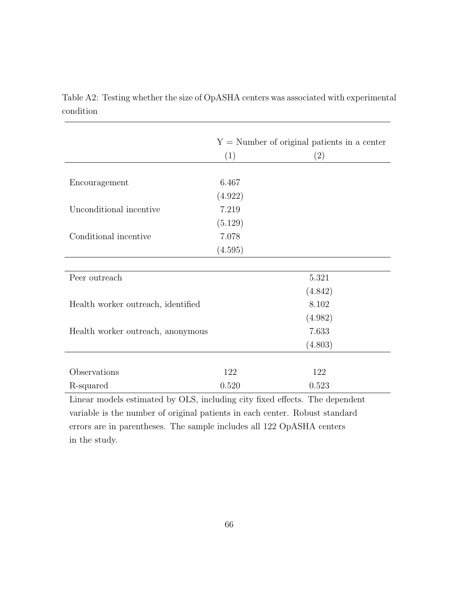|                                    | $Y =$ Number of original patients in a center |         |  |  |  |
|------------------------------------|-----------------------------------------------|---------|--|--|--|
|                                    | (1)                                           | (2)     |  |  |  |
|                                    | 6.467                                         |         |  |  |  |
| Encouragement                      | (4.922)                                       |         |  |  |  |
| Unconditional incentive            | 7.219                                         |         |  |  |  |
|                                    | (5.129)                                       |         |  |  |  |
| Conditional incentive              | 7.078                                         |         |  |  |  |
|                                    | (4.595)                                       |         |  |  |  |
|                                    |                                               |         |  |  |  |
| Peer outreach                      |                                               | 5.321   |  |  |  |
|                                    |                                               | (4.842) |  |  |  |
| Health worker outreach, identified |                                               | 8.102   |  |  |  |
|                                    |                                               | (4.982) |  |  |  |
| Health worker outreach, anonymous  |                                               | 7.633   |  |  |  |
|                                    |                                               | (4.803) |  |  |  |
|                                    |                                               |         |  |  |  |
| Observations                       | 122                                           | 122     |  |  |  |
| R-squared                          | 0.520                                         | 0.523   |  |  |  |

Table A2: Testing whether the size of OpASHA centers was associated with experimental condition

Linear models estimated by OLS, including city fixed effects. The dependent variable is the number of original patients in each center. Robust standard errors are in parentheses. The sample includes all 122 OpASHA centers in the study.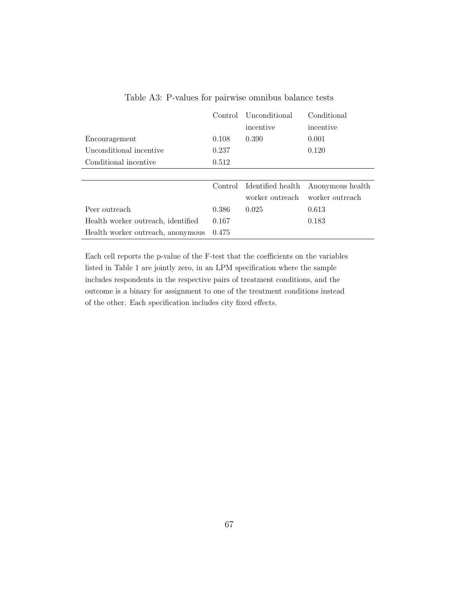|                                    | Control | Unconditional     | Conditional      |  |
|------------------------------------|---------|-------------------|------------------|--|
|                                    |         | incentive         | incentive        |  |
| Encouragement                      | 0.108   | 0.390             | 0.001            |  |
| Unconditional incentive            | 0.237   |                   | 0.120            |  |
| Conditional incentive              | 0.512   |                   |                  |  |
|                                    |         |                   |                  |  |
|                                    | Control | Identified health | Anonymous health |  |
|                                    |         | worker outreach   | worker outreach  |  |
| Peer outreach                      | 0.386   | 0.025             | 0.613            |  |
| Health worker outreach, identified | 0.167   |                   | 0.183            |  |
| Health worker outreach, anonymous  | 0.475   |                   |                  |  |

Table A3: P-values for pairwise omnibus balance tests

Each cell reports the p-value of the F-test that the coefficients on the variables listed in Table 1 are jointly zero, in an LPM specification where the sample includes respondents in the respective pairs of treatment conditions, and the outcome is a binary for assignment to one of the treatment conditions instead of the other. Each specification includes city fixed effects.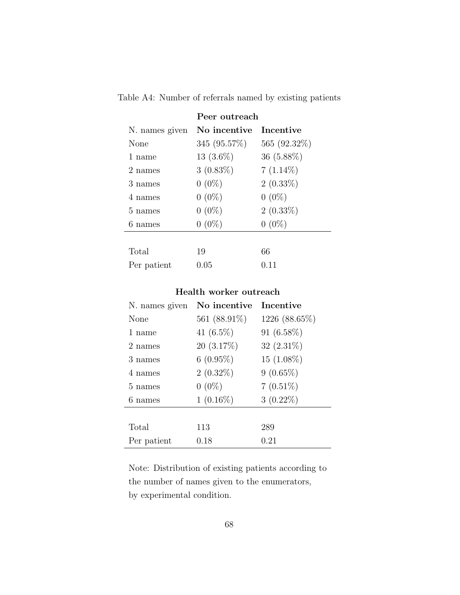|                | Peer outreach |                  |
|----------------|---------------|------------------|
| N. names given | No incentive  | <b>Incentive</b> |
| None           | 345 (95.57%)  | 565 (92.32\%)    |
| 1 name         | $13(3.6\%)$   | $36(5.88\%)$     |
| 2 names        | $3(0.83\%)$   | $7(1.14\%)$      |
| 3 names        | $0(0\%)$      | $2(0.33\%)$      |
| 4 names        | $0(0\%)$      | $0(0\%)$         |
| 5 names        | $0(0\%)$      | $2(0.33\%)$      |
| 6 names        | $0(0\%)$      | $0(0\%)$         |
|                |               |                  |
| Total          | 19            | 66               |
| Per patient    | $\rm 0.05$    | 0.11             |

Table A4: Number of referrals named by existing patients

## Health worker outreach

| N. names given | No incentive    | <b>Incentive</b> |
|----------------|-----------------|------------------|
| None           | 561 $(88.91\%)$ | 1226 (88.65%)    |
| 1 name         | 41 $(6.5\%)$    | $91(6.58\%)$     |
| 2 names        | $20(3.17\%)$    | $32(2.31\%)$     |
| 3 names        | $6(0.95\%)$     | $15(1.08\%)$     |
| 4 names        | $2(0.32\%)$     | $9(0.65\%)$      |
| 5 names        | $0(0\%)$        | $7(0.51\%)$      |
| 6 names        | $1(0.16\%)$     | $3(0.22\%)$      |
|                |                 |                  |
| Total          | 113             | 289              |
| Per patient    | 0.18            | 0.21             |

Note: Distribution of existing patients according to the number of names given to the enumerators, by experimental condition.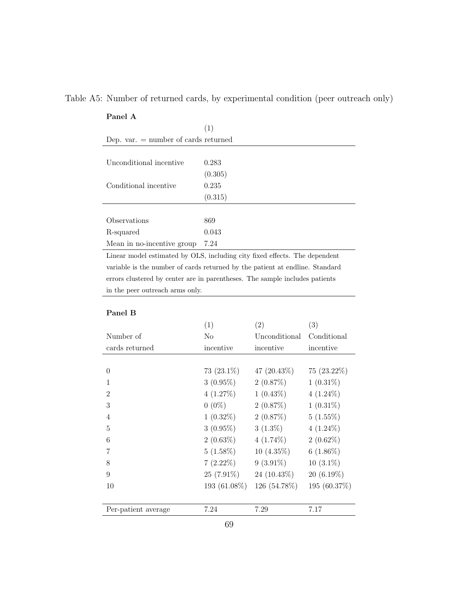|  |  | Table A5: Number of returned cards, by experimental condition (peer outreach only) |  |  |  |
|--|--|------------------------------------------------------------------------------------|--|--|--|
|  |  |                                                                                    |  |  |  |

## Panel A

| Dep. var. $=$ number of cards returned |         |  |  |  |  |  |
|----------------------------------------|---------|--|--|--|--|--|
|                                        |         |  |  |  |  |  |
| Unconditional incentive                | 0.283   |  |  |  |  |  |
|                                        | (0.305) |  |  |  |  |  |
| Conditional incentive                  | 0.235   |  |  |  |  |  |
|                                        | (0.315) |  |  |  |  |  |
|                                        |         |  |  |  |  |  |
| Observations                           | 869     |  |  |  |  |  |
| R-squared                              | 0.043   |  |  |  |  |  |
| Mean in no-incentive group             | 7.24    |  |  |  |  |  |
|                                        |         |  |  |  |  |  |

Linear model estimated by OLS, including city fixed effects. The dependent variable is the number of cards returned by the patient at endline. Standard errors clustered by center are in parentheses. The sample includes patients in the peer outreach arms only.

### Panel B

|                     | (1)           | (2)            | (3)           |
|---------------------|---------------|----------------|---------------|
| Number of           | No            | Unconditional  | Conditional   |
| cards returned      | incentive     | incentive      | incentive     |
|                     |               |                |               |
| $\theta$            | 73 $(23.1\%)$ | 47 $(20.43\%)$ | $75(23.22\%)$ |
| 1                   | $3(0.95\%)$   | 2(0.87%)       | $1(0.31\%)$   |
| $\overline{2}$      | 4(1.27%)      | $1(0.43\%)$    | $4(1.24\%)$   |
| 3                   | $0(0\%)$      | 2(0.87%)       | $1(0.31\%)$   |
| $\overline{4}$      | $1(0.32\%)$   | 2(0.87%)       | 5(1.55%)      |
| 5                   | $3(0.95\%)$   | $3(1.3\%)$     | $4(1.24\%)$   |
| 6                   | $2(0.63\%)$   | $4(1.74\%)$    | $2(0.62\%)$   |
|                     | $5(1.58\%)$   | 10 $(4.35\%)$  | $6(1.86\%)$   |
| 8                   | $7(2.22\%)$   | $9(3.91\%)$    | $10(3.1\%)$   |
| 9                   | $25(7.91\%)$  | 24 $(10.43\%)$ | $20(6.19\%)$  |
| 10                  | 193 (61.08%)  | 126 (54.78%)   | 195 (60.37%)  |
|                     |               |                |               |
| Per-patient average | 7.24          | 7.29           | 7.17          |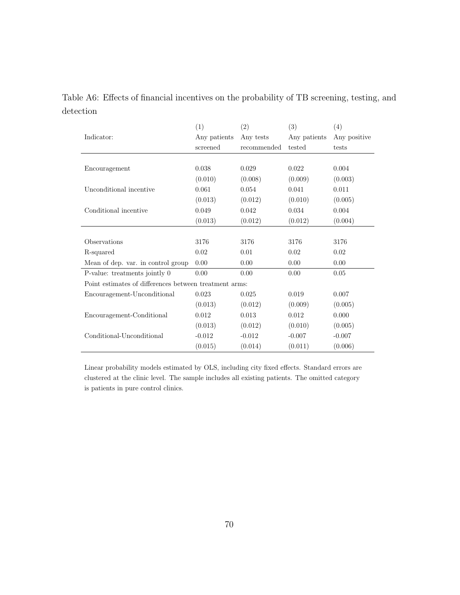|           |  |  | Table A6: Effects of financial incentives on the probability of TB screening, testing, and |  |  |
|-----------|--|--|--------------------------------------------------------------------------------------------|--|--|
| detection |  |  |                                                                                            |  |  |

|                                                        | (1)          | (2)         | (3)          | (4)          |
|--------------------------------------------------------|--------------|-------------|--------------|--------------|
| Indicator:                                             | Any patients | Any tests   | Any patients | Any positive |
|                                                        | screened     | recommended | tested       | tests        |
|                                                        |              |             |              |              |
| Encouragement                                          | 0.038        | 0.029       | 0.022        | 0.004        |
|                                                        | (0.010)      | (0.008)     | (0.009)      | (0.003)      |
| Unconditional incentive                                | 0.061        | 0.054       | 0.041        | 0.011        |
|                                                        | (0.013)      | (0.012)     | (0.010)      | (0.005)      |
| Conditional incentive                                  | 0.049        | 0.042       | 0.034        | 0.004        |
|                                                        | (0.013)      | (0.012)     | (0.012)      | (0.004)      |
|                                                        |              |             |              |              |
| Observations                                           | 3176         | 3176        | 3176         | 3176         |
| R-squared                                              | 0.02         | 0.01        | 0.02         | 0.02         |
| Mean of dep. var. in control group                     | 0.00         | 0.00        | 0.00         | 0.00         |
| P-value: treatments jointly 0                          | 0.00         | 0.00        | 0.00         | 0.05         |
| Point estimates of differences between treatment arms: |              |             |              |              |
| Encouragement-Unconditional                            | 0.023        | 0.025       | 0.019        | 0.007        |
|                                                        | (0.013)      | (0.012)     | (0.009)      | (0.005)      |
| Encouragement-Conditional                              | 0.012        | 0.013       | 0.012        | 0.000        |
|                                                        | (0.013)      | (0.012)     | (0.010)      | (0.005)      |
| Conditional-Unconditional                              | $-0.012$     | $-0.012$    | $-0.007$     | $-0.007$     |
|                                                        | (0.015)      | (0.014)     | (0.011)      | (0.006)      |

Linear probability models estimated by OLS, including city fixed effects. Standard errors are clustered at the clinic level. The sample includes all existing patients. The omitted category is patients in pure control clinics.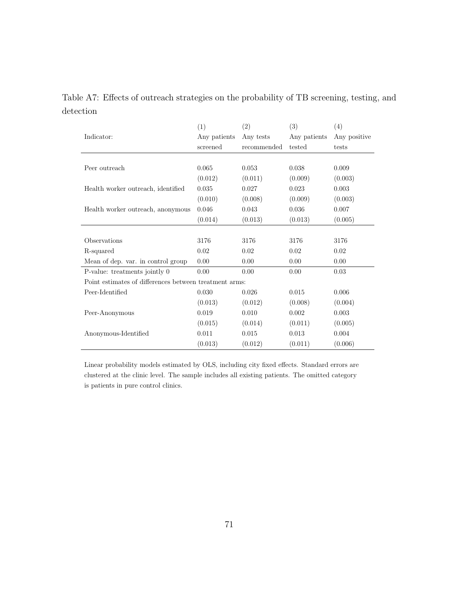|           |  |  | Table A7: Effects of outreach strategies on the probability of TB screening, testing, and |  |  |
|-----------|--|--|-------------------------------------------------------------------------------------------|--|--|
| detection |  |  |                                                                                           |  |  |

|                                                        | (1)          | (2)         | (3)          | (4)          |
|--------------------------------------------------------|--------------|-------------|--------------|--------------|
| Indicator:                                             | Any patients | Any tests   | Any patients | Any positive |
|                                                        | screened     | recommended | tested       | tests        |
|                                                        |              |             |              |              |
| Peer outreach                                          | 0.065        | 0.053       | 0.038        | 0.009        |
|                                                        | (0.012)      | (0.011)     | (0.009)      | (0.003)      |
| Health worker outreach, identified                     | 0.035        | 0.027       | 0.023        | 0.003        |
|                                                        | (0.010)      | (0.008)     | (0.009)      | (0.003)      |
| Health worker outreach, anonymous                      | 0.046        | 0.043       | 0.036        | 0.007        |
|                                                        | (0.014)      | (0.013)     | (0.013)      | (0.005)      |
|                                                        |              |             |              |              |
| Observations                                           | 3176         | 3176        | 3176         | 3176         |
| R-squared                                              | 0.02         | 0.02        | 0.02         | 0.02         |
| Mean of dep. var. in control group                     | 0.00         | 0.00        | 0.00         | 0.00         |
| P-value: treatments jointly 0                          | 0.00         | 0.00        | 0.00         | 0.03         |
| Point estimates of differences between treatment arms: |              |             |              |              |
| Peer-Identified                                        | 0.030        | 0.026       | 0.015        | 0.006        |
|                                                        | (0.013)      | (0.012)     | (0.008)      | (0.004)      |
| Peer-Anonymous                                         | 0.019        | 0.010       | 0.002        | 0.003        |
|                                                        | (0.015)      | (0.014)     | (0.011)      | (0.005)      |
| Anonymous-Identified                                   | 0.011        | 0.015       | 0.013        | 0.004        |
|                                                        | (0.013)      | (0.012)     | (0.011)      | (0.006)      |

Linear probability models estimated by OLS, including city fixed effects. Standard errors are clustered at the clinic level. The sample includes all existing patients. The omitted category is patients in pure control clinics.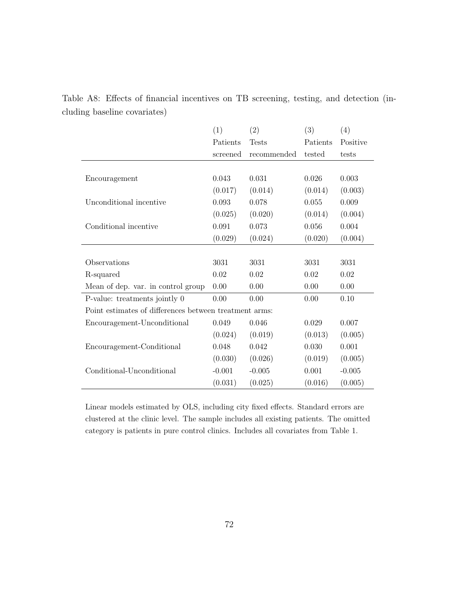|                                                        | (1)      | (2)          | (3)      | (4)      |
|--------------------------------------------------------|----------|--------------|----------|----------|
|                                                        | Patients | <b>Tests</b> | Patients | Positive |
|                                                        | screened | recommended  | tested   | tests    |
|                                                        |          |              |          |          |
| Encouragement                                          | 0.043    | 0.031        | 0.026    | 0.003    |
|                                                        | (0.017)  | (0.014)      | (0.014)  | (0.003)  |
| Unconditional incentive                                | 0.093    | 0.078        | 0.055    | 0.009    |
|                                                        | (0.025)  | (0.020)      | (0.014)  | (0.004)  |
| Conditional incentive                                  | 0.091    | 0.073        | 0.056    | 0.004    |
|                                                        | (0.029)  | (0.024)      | (0.020)  | (0.004)  |
|                                                        |          |              |          |          |
| Observations                                           | 3031     | 3031         | 3031     | 3031     |
| R-squared                                              | 0.02     | 0.02         | 0.02     | 0.02     |
| Mean of dep. var. in control group                     | 0.00     | 0.00         | 0.00     | 0.00     |
| P-value: treatments jointly 0                          | 0.00     | 0.00         | 0.00     | 0.10     |
| Point estimates of differences between treatment arms: |          |              |          |          |
| Encouragement-Unconditional                            | 0.049    | 0.046        | 0.029    | 0.007    |
|                                                        | (0.024)  | (0.019)      | (0.013)  | (0.005)  |
| Encouragement-Conditional                              | 0.048    | 0.042        | 0.030    | 0.001    |
|                                                        | (0.030)  | (0.026)      | (0.019)  | (0.005)  |
| Conditional-Unconditional                              | $-0.001$ | $-0.005$     | 0.001    | $-0.005$ |
|                                                        | (0.031)  | (0.025)      | (0.016)  | (0.005)  |

Table A8: Effects of financial incentives on TB screening, testing, and detection (including baseline covariates)

Linear models estimated by OLS, including city fixed effects. Standard errors are clustered at the clinic level. The sample includes all existing patients. The omitted category is patients in pure control clinics. Includes all covariates from Table 1.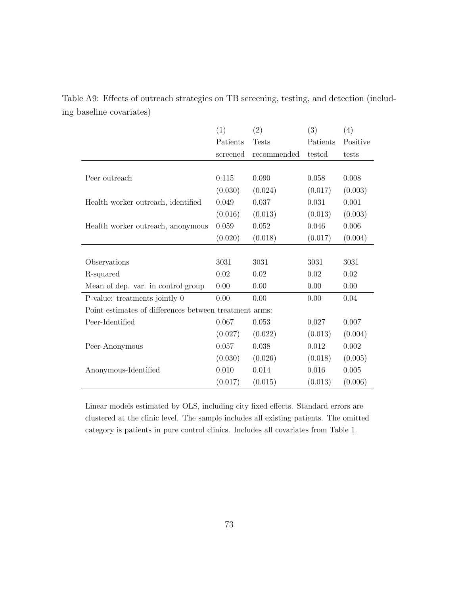|                                                        | (1)      | (2)          | (3)      | (4)      |
|--------------------------------------------------------|----------|--------------|----------|----------|
|                                                        | Patients | <b>Tests</b> | Patients | Positive |
|                                                        | screened | recommended  | tested   | tests    |
|                                                        |          |              |          |          |
| Peer outreach                                          | 0.115    | 0.090        | 0.058    | 0.008    |
|                                                        | (0.030)  | (0.024)      | (0.017)  | (0.003)  |
| Health worker outreach, identified                     | 0.049    | 0.037        | 0.031    | 0.001    |
|                                                        | (0.016)  | (0.013)      | (0.013)  | (0.003)  |
| Health worker outreach, anonymous                      | 0.059    | 0.052        | 0.046    | 0.006    |
|                                                        | (0.020)  | (0.018)      | (0.017)  | (0.004)  |
|                                                        |          |              |          |          |
| Observations                                           | 3031     | 3031         | 3031     | 3031     |
| R-squared                                              | 0.02     | 0.02         | 0.02     | 0.02     |
| Mean of dep. var. in control group                     | 0.00     | 0.00         | 0.00     | 0.00     |
| P-value: treatments jointly 0                          | 0.00     | 0.00         | 0.00     | 0.04     |
| Point estimates of differences between treatment arms: |          |              |          |          |
| Peer-Identified                                        | 0.067    | 0.053        | 0.027    | 0.007    |
|                                                        | (0.027)  | (0.022)      | (0.013)  | (0.004)  |
| Peer-Anonymous                                         | 0.057    | 0.038        | 0.012    | 0.002    |
|                                                        | (0.030)  | (0.026)      | (0.018)  | (0.005)  |
| Anonymous-Identified                                   | 0.010    | 0.014        | 0.016    | 0.005    |
|                                                        | (0.017)  | (0.015)      | (0.013)  | (0.006)  |

Table A9: Effects of outreach strategies on TB screening, testing, and detection (including baseline covariates)

Linear models estimated by OLS, including city fixed effects. Standard errors are clustered at the clinic level. The sample includes all existing patients. The omitted category is patients in pure control clinics. Includes all covariates from Table 1.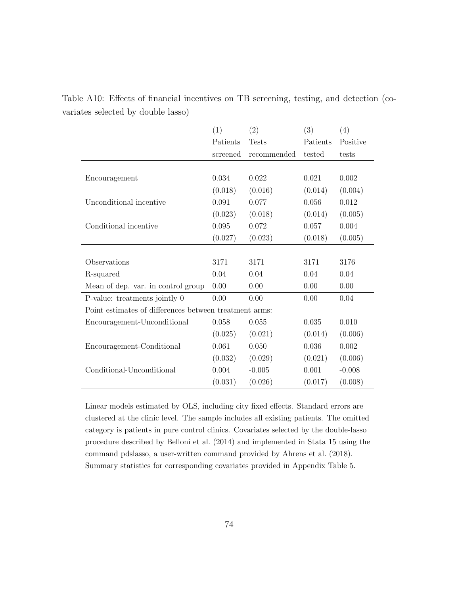|                                                        | (1)      | (2)          | (3)      | (4)      |
|--------------------------------------------------------|----------|--------------|----------|----------|
|                                                        | Patients | <b>Tests</b> | Patients | Positive |
|                                                        | screened | recommended  | tested   | tests    |
|                                                        |          |              |          |          |
| Encouragement                                          | 0.034    | 0.022        | 0.021    | 0.002    |
|                                                        | (0.018)  | (0.016)      | (0.014)  | (0.004)  |
| Unconditional incentive                                | 0.091    | 0.077        | 0.056    | 0.012    |
|                                                        | (0.023)  | (0.018)      | (0.014)  | (0.005)  |
| Conditional incentive                                  | 0.095    | 0.072        | 0.057    | 0.004    |
|                                                        | (0.027)  | (0.023)      | (0.018)  | (0.005)  |
|                                                        |          |              |          |          |
| Observations                                           | 3171     | 3171         | 3171     | 3176     |
| R-squared                                              | 0.04     | 0.04         | 0.04     | 0.04     |
| Mean of dep. var. in control group                     | 0.00     | 0.00         | 0.00     | 0.00     |
| P-value: treatments jointly 0                          | 0.00     | 0.00         | 0.00     | 0.04     |
| Point estimates of differences between treatment arms: |          |              |          |          |
| Encouragement-Unconditional                            | 0.058    | $0.055\,$    | 0.035    | 0.010    |
|                                                        | (0.025)  | (0.021)      | (0.014)  | (0.006)  |
| Encouragement-Conditional                              | 0.061    | 0.050        | 0.036    | 0.002    |
|                                                        | (0.032)  | (0.029)      | (0.021)  | (0.006)  |
| Conditional-Unconditional                              | 0.004    | $-0.005$     | 0.001    | $-0.008$ |
|                                                        | (0.031)  | (0.026)      | (0.017)  | (0.008)  |

Table A10: Effects of financial incentives on TB screening, testing, and detection (covariates selected by double lasso)

Linear models estimated by OLS, including city fixed effects. Standard errors are clustered at the clinic level. The sample includes all existing patients. The omitted category is patients in pure control clinics. Covariates selected by the double-lasso procedure described by Belloni et al. (2014) and implemented in Stata 15 using the command pdslasso, a user-written command provided by Ahrens et al. (2018). Summary statistics for corresponding covariates provided in Appendix Table 5.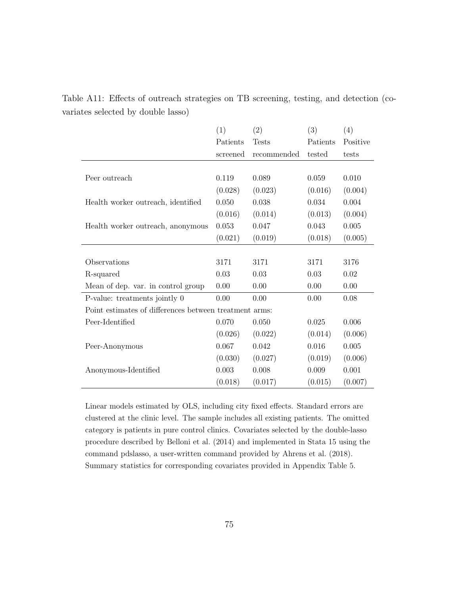|                                                        | (1)      | (2)          | (3)      | (4)      |
|--------------------------------------------------------|----------|--------------|----------|----------|
|                                                        | Patients | <b>Tests</b> | Patients | Positive |
|                                                        | screened | recommended  | tested   | tests    |
|                                                        |          |              |          |          |
| Peer outreach                                          | 0.119    | 0.089        | 0.059    | 0.010    |
|                                                        | (0.028)  | (0.023)      | (0.016)  | (0.004)  |
| Health worker outreach, identified                     | 0.050    | 0.038        | 0.034    | 0.004    |
|                                                        | (0.016)  | (0.014)      | (0.013)  | (0.004)  |
| Health worker outreach, anonymous                      | 0.053    | 0.047        | 0.043    | 0.005    |
|                                                        | (0.021)  | (0.019)      | (0.018)  | (0.005)  |
|                                                        |          |              |          |          |
| Observations                                           | 3171     | 3171         | 3171     | 3176     |
| R-squared                                              | 0.03     | 0.03         | 0.03     | 0.02     |
| Mean of dep. var. in control group                     | 0.00     | 0.00         | 0.00     | 0.00     |
| P-value: treatments jointly 0                          | 0.00     | 0.00         | 0.00     | 0.08     |
| Point estimates of differences between treatment arms: |          |              |          |          |
| Peer-Identified                                        | 0.070    | 0.050        | 0.025    | 0.006    |
|                                                        | (0.026)  | (0.022)      | (0.014)  | (0.006)  |
| Peer-Anonymous                                         | 0.067    | 0.042        | 0.016    | 0.005    |
|                                                        | (0.030)  | (0.027)      | (0.019)  | (0.006)  |
| Anonymous-Identified                                   | 0.003    | 0.008        | 0.009    | 0.001    |
|                                                        | (0.018)  | (0.017)      | (0.015)  | (0.007)  |

Table A11: Effects of outreach strategies on TB screening, testing, and detection (covariates selected by double lasso)

Linear models estimated by OLS, including city fixed effects. Standard errors are clustered at the clinic level. The sample includes all existing patients. The omitted category is patients in pure control clinics. Covariates selected by the double-lasso procedure described by Belloni et al. (2014) and implemented in Stata 15 using the command pdslasso, a user-written command provided by Ahrens et al. (2018). Summary statistics for corresponding covariates provided in Appendix Table 5.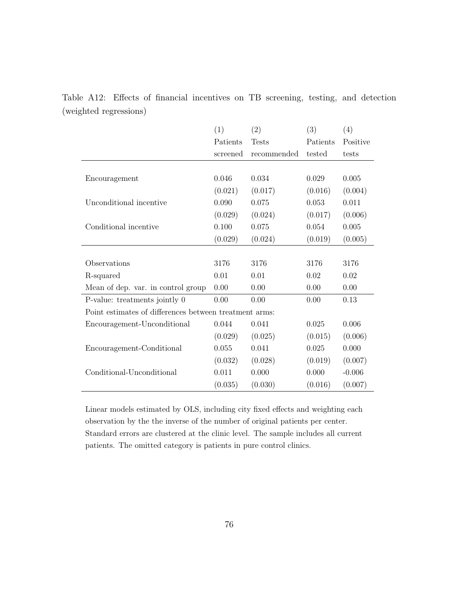|                                                        | (1)      | (2)          | (3)      | (4)      |
|--------------------------------------------------------|----------|--------------|----------|----------|
|                                                        | Patients | <b>Tests</b> | Patients | Positive |
|                                                        | screened | recommended  | tested   | tests    |
|                                                        |          |              |          |          |
| Encouragement                                          | 0.046    | 0.034        | 0.029    | 0.005    |
|                                                        | (0.021)  | (0.017)      | (0.016)  | (0.004)  |
| Unconditional incentive                                | 0.090    | 0.075        | 0.053    | 0.011    |
|                                                        | (0.029)  | (0.024)      | (0.017)  | (0.006)  |
| Conditional incentive                                  | 0.100    | 0.075        | 0.054    | 0.005    |
|                                                        | (0.029)  | (0.024)      | (0.019)  | (0.005)  |
|                                                        |          |              |          |          |
| Observations                                           | 3176     | 3176         | 3176     | 3176     |
| R-squared                                              | 0.01     | 0.01         | 0.02     | 0.02     |
| Mean of dep. var. in control group                     | 0.00     | 0.00         | 0.00     | 0.00     |
| P-value: treatments jointly 0                          | 0.00     | 0.00         | 0.00     | 0.13     |
| Point estimates of differences between treatment arms: |          |              |          |          |
| Encouragement-Unconditional                            | 0.044    | 0.041        | 0.025    | 0.006    |
|                                                        | (0.029)  | (0.025)      | (0.015)  | (0.006)  |
| Encouragement-Conditional                              | 0.055    | 0.041        | 0.025    | 0.000    |
|                                                        | (0.032)  | (0.028)      | (0.019)  | (0.007)  |
| Conditional-Unconditional                              | 0.011    | 0.000        | 0.000    | $-0.006$ |
|                                                        | (0.035)  | (0.030)      | (0.016)  | (0.007)  |

Table A12: Effects of financial incentives on TB screening, testing, and detection (weighted regressions)

Linear models estimated by OLS, including city fixed effects and weighting each observation by the the inverse of the number of original patients per center. Standard errors are clustered at the clinic level. The sample includes all current patients. The omitted category is patients in pure control clinics.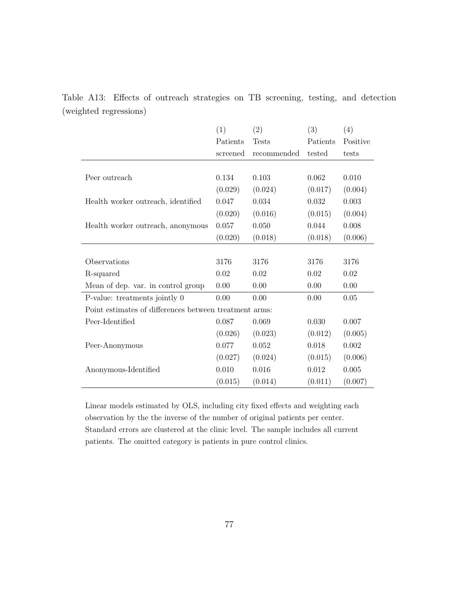|                                                        | (1)      | (2)          | (3)      | (4)      |
|--------------------------------------------------------|----------|--------------|----------|----------|
|                                                        | Patients | <b>Tests</b> | Patients | Positive |
|                                                        | screened | recommended  | tested   | tests    |
|                                                        |          |              |          |          |
| Peer outreach                                          | 0.134    | 0.103        | 0.062    | 0.010    |
|                                                        | (0.029)  | (0.024)      | (0.017)  | (0.004)  |
| Health worker outreach, identified                     | 0.047    | 0.034        | 0.032    | 0.003    |
|                                                        | (0.020)  | (0.016)      | (0.015)  | (0.004)  |
| Health worker outreach, anonymous                      | 0.057    | 0.050        | 0.044    | 0.008    |
|                                                        | (0.020)  | (0.018)      | (0.018)  | (0.006)  |
|                                                        |          |              |          |          |
| Observations                                           | 3176     | 3176         | 3176     | 3176     |
| R-squared                                              | 0.02     | 0.02         | 0.02     | 0.02     |
| Mean of dep. var. in control group                     | 0.00     | 0.00         | 0.00     | 0.00     |
| P-value: treatments jointly 0                          | 0.00     | 0.00         | 0.00     | 0.05     |
| Point estimates of differences between treatment arms: |          |              |          |          |
| Peer-Identified                                        | 0.087    | 0.069        | 0.030    | 0.007    |
|                                                        | (0.026)  | (0.023)      | (0.012)  | (0.005)  |
| Peer-Anonymous                                         | 0.077    | 0.052        | 0.018    | 0.002    |
|                                                        | (0.027)  | (0.024)      | (0.015)  | (0.006)  |
| Anonymous-Identified                                   | 0.010    | 0.016        | 0.012    | 0.005    |
|                                                        | (0.015)  | (0.014)      | (0.011)  | (0.007)  |

Table A13: Effects of outreach strategies on TB screening, testing, and detection (weighted regressions)

Linear models estimated by OLS, including city fixed effects and weighting each observation by the the inverse of the number of original patients per center. Standard errors are clustered at the clinic level. The sample includes all current patients. The omitted category is patients in pure control clinics.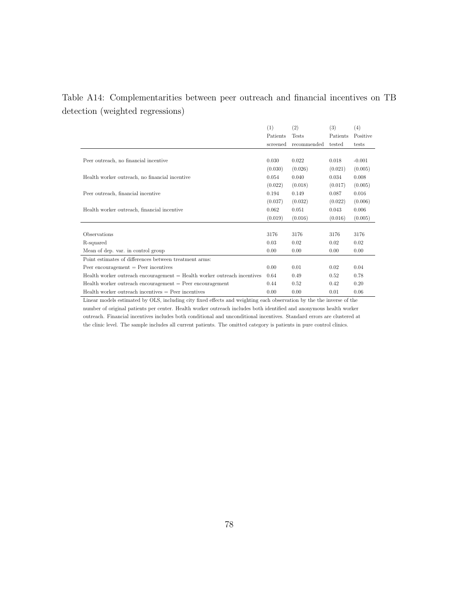## Table A14: Complementarities between peer outreach and financial incentives on TB detection (weighted regressions)

|                                                                          | (1)      | (2)          | (3)      | (4)      |
|--------------------------------------------------------------------------|----------|--------------|----------|----------|
|                                                                          | Patients | <b>Tests</b> | Patients | Positive |
|                                                                          | screened | recommended  | tested   | tests    |
|                                                                          |          |              |          |          |
| Peer outreach, no financial incentive                                    | 0.030    | 0.022        | 0.018    | $-0.001$ |
|                                                                          | (0.030)  | (0.026)      | (0.021)  | (0.005)  |
| Health worker outreach, no financial incentive                           | 0.054    | 0.040        | 0.034    | 0.008    |
|                                                                          | (0.022)  | (0.018)      | (0.017)  | (0.005)  |
| Peer outreach, financial incentive                                       | 0.194    | 0.149        | 0.087    | 0.016    |
|                                                                          | (0.037)  | (0.032)      | (0.022)  | (0.006)  |
| Health worker outreach, financial incentive                              | 0.062    | 0.051        | 0.043    | 0.006    |
|                                                                          | (0.019)  | (0.016)      | (0.016)  | (0.005)  |
|                                                                          |          |              |          |          |
| Observations                                                             | 3176     | 3176         | 3176     | 3176     |
| R-squared                                                                | 0.03     | 0.02         | 0.02     | 0.02     |
| Mean of dep. var. in control group                                       | 0.00     | 0.00         | 0.00     | 0.00     |
| Point estimates of differences between treatment arms:                   |          |              |          |          |
| Peer encouragement $=$ Peer incentives                                   | 0.00     | 0.01         | 0.02     | 0.04     |
| Health worker outreach encouragement = Health worker outreach incentives | 0.64     | 0.49         | 0.52     | 0.78     |
| $Health worker$ outreach encouragement $=$ Peer encouragement            | 0.44     | 0.52         | 0.42     | 0.20     |
| $Health worker outreach incentives = Peer incentives$                    | 0.00     | 0.00         | 0.01     | 0.06     |

Linear models estimated by OLS, including city fixed effects and weighting each observation by the the inverse of the number of original patients per center. Health worker outreach includes both identified and anonymous health worker outreach. Financial incentives includes both conditional and unconditional incentives. Standard errors are clustered at the clinic level. The sample includes all current patients. The omitted category is patients in pure control clinics.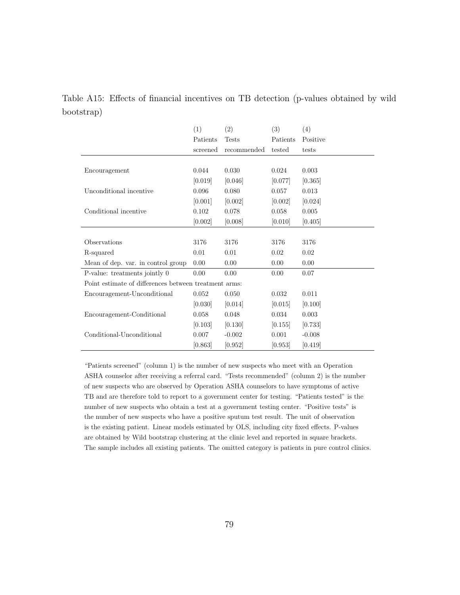| Table A15: Effects of financial incentives on TB detection (p-values obtained by wild |  |  |  |  |  |  |
|---------------------------------------------------------------------------------------|--|--|--|--|--|--|
| bootstrap)                                                                            |  |  |  |  |  |  |

|                                                       | (1)      | (2)          | (3)      | (4)      |
|-------------------------------------------------------|----------|--------------|----------|----------|
|                                                       | Patients | <b>Tests</b> | Patients | Positive |
|                                                       | screened | recommended  | tested   | tests    |
|                                                       |          |              |          |          |
| Encouragement                                         | 0.044    | 0.030        | 0.024    | 0.003    |
|                                                       | [0.019]  | [0.046]      | [0.077]  | [0.365]  |
| Unconditional incentive                               | 0.096    | 0.080        | 0.057    | 0.013    |
|                                                       | [0.001]  | [0.002]      | [0.002]  | [0.024]  |
| Conditional incentive                                 | 0.102    | 0.078        | 0.058    | 0.005    |
|                                                       | [0.002]  | [0.008]      | [0.010]  | [0.405]  |
|                                                       |          |              |          |          |
| Observations                                          | 3176     | 3176         | 3176     | 3176     |
| R-squared                                             | 0.01     | 0.01         | 0.02     | 0.02     |
| Mean of dep. var. in control group                    | 0.00     | 0.00         | 0.00     | 0.00     |
| P-value: treatments jointly 0                         | 0.00     | 0.00         | 0.00     | 0.07     |
| Point estimate of differences between treatment arms: |          |              |          |          |
| Encouragement-Unconditional                           | 0.052    | 0.050        | 0.032    | 0.011    |
|                                                       | [0.030]  | [0.014]      | [0.015]  | [0.100]  |
| Encouragement-Conditional                             | 0.058    | 0.048        | 0.034    | 0.003    |
|                                                       | [0.103]  | [0.130]      | [0.155]  | [0.733]  |
| Conditional-Unconditional                             | 0.007    | $-0.002$     | 0.001    | $-0.008$ |
|                                                       | [0.863]  | [0.952]      | [0.953]  | [0.419]  |

"Patients screened" (column 1) is the number of new suspects who meet with an Operation ASHA counselor after receiving a referral card. "Tests recommended" (column 2) is the number of new suspects who are observed by Operation ASHA counselors to have symptoms of active TB and are therefore told to report to a government center for testing. "Patients tested" is the number of new suspects who obtain a test at a government testing center. "Positive tests" is the number of new suspects who have a positive sputum test result. The unit of observation is the existing patient. Linear models estimated by OLS, including city fixed effects. P-values are obtained by Wild bootstrap clustering at the clinic level and reported in square brackets. The sample includes all existing patients. The omitted category is patients in pure control clinics.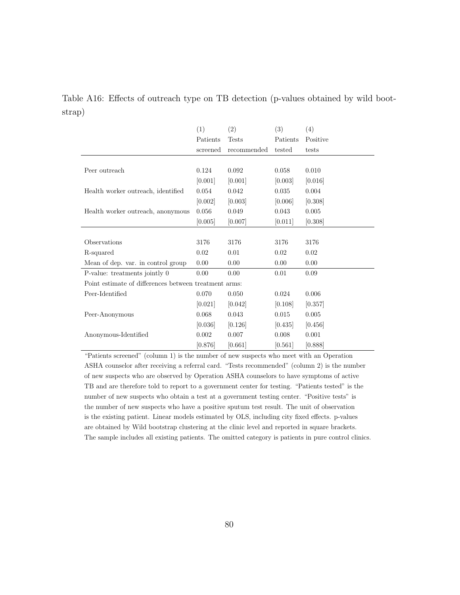Table A16: Effects of outreach type on TB detection (p-values obtained by wild bootstrap)

|                                                       | (1)       | (2)          | (3)      | (4)      |
|-------------------------------------------------------|-----------|--------------|----------|----------|
|                                                       | Patients  | <b>Tests</b> | Patients | Positive |
|                                                       | screened  | recommended  | tested   | tests    |
|                                                       |           |              |          |          |
| Peer outreach                                         | 0.124     | 0.092        | 0.058    | 0.010    |
|                                                       | [0.001]   | [0.001]      | [0.003]  | [0.016]  |
| Health worker outreach, identified                    | 0.054     | 0.042        | 0.035    | 0.004    |
|                                                       | [0.002]   | [0.003]      | [0.006]  | [0.308]  |
| Health worker outreach, anonymous                     | 0.056     | 0.049        | 0.043    | 0.005    |
|                                                       | [0.005]   | [0.007]      | [0.011]  | [0.308]  |
|                                                       |           |              |          |          |
| Observations                                          | 3176      | 3176         | 3176     | 3176     |
| R-squared                                             | 0.02      | 0.01         | 0.02     | 0.02     |
| Mean of dep. var. in control group                    | 0.00      | 0.00         | 0.00     | 0.00     |
| P-value: treatments jointly 0                         | 0.00      | 0.00         | 0.01     | 0.09     |
| Point estimate of differences between treatment arms: |           |              |          |          |
| Peer-Identified                                       | 0.070     | 0.050        | 0.024    | 0.006    |
|                                                       | [0.021]   | [0.042]      | [0.108]  | [0.357]  |
| Peer-Anonymous                                        | 0.068     | 0.043        | 0.015    | 0.005    |
|                                                       | [0.036]   | [0.126]      | [0.435]  | [0.456]  |
| Anonymous-Identified                                  | 0.002     | 0.007        | 0.008    | 0.001    |
|                                                       | $[0.876]$ | [0.661]      | [0.561]  | [0.888]  |

"Patients screened" (column 1) is the number of new suspects who meet with an Operation ASHA counselor after receiving a referral card. "Tests recommended" (column 2) is the number of new suspects who are observed by Operation ASHA counselors to have symptoms of active TB and are therefore told to report to a government center for testing. "Patients tested" is the number of new suspects who obtain a test at a government testing center. "Positive tests" is the number of new suspects who have a positive sputum test result. The unit of observation is the existing patient. Linear models estimated by OLS, including city fixed effects. p-values are obtained by Wild bootstrap clustering at the clinic level and reported in square brackets. The sample includes all existing patients. The omitted category is patients in pure control clinics.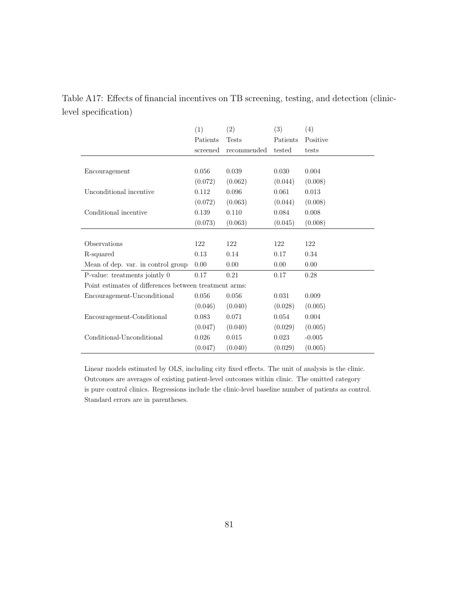| level specification) |     |                             |                   |       |
|----------------------|-----|-----------------------------|-------------------|-------|
|                      | (1) | (2)                         | (3)               | (4)   |
|                      |     | Patients Tests              | Patients Positive |       |
|                      |     | screened recommended tested |                   | tests |

 $(0.072)$   $(0.062)$   $(0.044)$   $(0.008)$ 

 $(0.072)$   $(0.063)$   $(0.044)$   $(0.008)$ 

 $(0.073)$   $(0.063)$   $(0.045)$   $(0.008)$ 

 $(0.046)$   $(0.040)$   $(0.028)$   $(0.005)$ 

 $(0.047)$   $(0.040)$   $(0.029)$   $(0.005)$ 

 $(0.047)$   $(0.040)$   $(0.029)$   $(0.005)$ 

Encouragement 0.056 0.039 0.030 0.004

Unconditional incentive  $0.112$   $0.096$   $0.061$   $0.013$ 

 $\mbox{Conditional incentive} \qquad \qquad 0.139 \qquad \qquad 0.110 \qquad \qquad 0.084 \qquad \qquad 0.008$ 

Observations 122 122 122 122 R-squared 0.13 0.14 0.17 0.34 Mean of dep. var. in control group  $0.00$  0.00 0.00 0.00 P-value: treatments jointly 0 0.17 0.21 0.17 0.28

Encouragement-Unconditional 0.056 0.056 0.031 0.009

Encouragement-Conditional 0.083 0.071 0.054 0.004

 $\mbox{Conditional-Unconditional} \qquad \qquad 0.026 \qquad \qquad 0.015 \qquad \qquad \qquad 0.023 \qquad \qquad -0.005$ 

Point estimates of differences between treatment arms:

Table A17: Effects of financial incentives on TB screening, testing, and detection (clinic-

Linear models estimated by OLS, including city fixed effects. The unit of analysis is the clinic. Outcomes are averages of existing patient-level outcomes within clinic. The omitted category is pure control clinics. Regressions include the clinic-level baseline number of patients as control. Standard errors are in parentheses.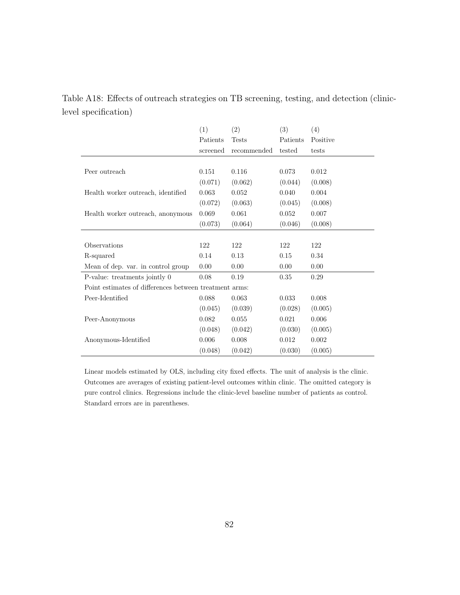|                      | Table A18: Effects of outreach strategies on TB screening, testing, and detection (clinic- |  |  |  |
|----------------------|--------------------------------------------------------------------------------------------|--|--|--|
| level specification) |                                                                                            |  |  |  |

|                                                        | (1)      | (2)         | (3)      | (4)      |
|--------------------------------------------------------|----------|-------------|----------|----------|
|                                                        | Patients | Tests       | Patients | Positive |
|                                                        | screened | recommended | tested   | tests    |
|                                                        |          |             |          |          |
| Peer outreach                                          | 0.151    | 0.116       | 0.073    | 0.012    |
|                                                        | (0.071)  | (0.062)     | (0.044)  | (0.008)  |
| Health worker outreach, identified                     | 0.063    | 0.052       | 0.040    | 0.004    |
|                                                        | (0.072)  | (0.063)     | (0.045)  | (0.008)  |
| Health worker outreach, anonymous                      | 0.069    | 0.061       | 0.052    | 0.007    |
|                                                        | (0.073)  | (0.064)     | (0.046)  | (0.008)  |
|                                                        |          |             |          |          |
| Observations                                           | 122      | 122         | 122      | 122      |
| R-squared                                              | 0.14     | 0.13        | 0.15     | 0.34     |
| Mean of dep. var. in control group                     | 0.00     | 0.00        | 0.00     | 0.00     |
| P-value: treatments jointly $0$                        | 0.08     | 0.19        | 0.35     | 0.29     |
| Point estimates of differences between treatment arms: |          |             |          |          |
| Peer-Identified                                        | 0.088    | 0.063       | 0.033    | 0.008    |
|                                                        | (0.045)  | (0.039)     | (0.028)  | (0.005)  |
| Peer-Anonymous                                         | 0.082    | 0.055       | 0.021    | 0.006    |
|                                                        | (0.048)  | (0.042)     | (0.030)  | (0.005)  |
| Anonymous-Identified                                   | 0.006    | 0.008       | 0.012    | 0.002    |
|                                                        | (0.048)  | (0.042)     | (0.030)  | (0.005)  |

Linear models estimated by OLS, including city fixed effects. The unit of analysis is the clinic. Outcomes are averages of existing patient-level outcomes within clinic. The omitted category is pure control clinics. Regressions include the clinic-level baseline number of patients as control. Standard errors are in parentheses.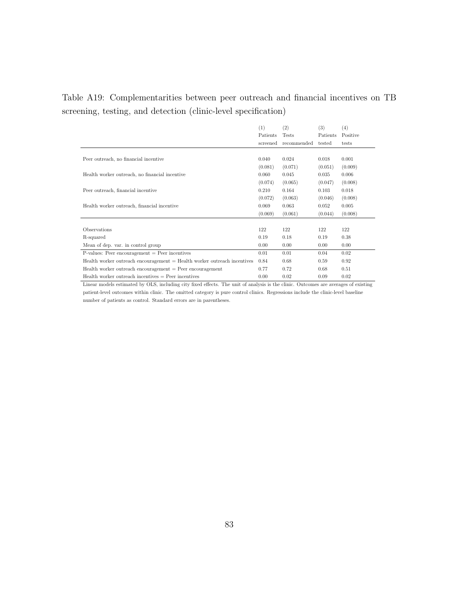Table A19: Complementarities between peer outreach and financial incentives on TB screening, testing, and detection (clinic-level specification)

|                                                                          | (1)      | (2)          | (3)      | (4)      |
|--------------------------------------------------------------------------|----------|--------------|----------|----------|
|                                                                          | Patients | <b>Tests</b> | Patients | Positive |
|                                                                          | screened | recommended  | tested   | tests    |
|                                                                          |          |              |          |          |
| Peer outreach, no financial incentive                                    | 0.040    | 0.024        | 0.018    | 0.001    |
|                                                                          | (0.081)  | (0.071)      | (0.051)  | (0.009)  |
| Health worker outreach, no financial incentive                           | 0.060    | 0.045        | 0.035    | 0.006    |
|                                                                          | (0.074)  | (0.065)      | (0.047)  | (0.008)  |
| Peer outreach, financial incentive                                       | 0.210    | 0.164        | 0.103    | 0.018    |
|                                                                          | (0.072)  | (0.063)      | (0.046)  | (0.008)  |
| Health worker outreach, financial incentive                              | 0.069    | 0.063        | 0.052    | 0.005    |
|                                                                          | (0.069)  | (0.061)      | (0.044)  | (0.008)  |
|                                                                          |          |              |          |          |
| Observations                                                             | 122      | 122          | 122      | 122      |
| R-squared                                                                | 0.19     | 0.18         | 0.19     | 0.38     |
| Mean of dep. var. in control group                                       | 0.00     | 0.00         | 0.00     | 0.00     |
| $P$ -values: Peer encouragement = Peer incentives                        | 0.01     | 0.01         | 0.04     | 0.02     |
| Health worker outreach encouragement = Health worker outreach incentives | 0.84     | 0.68         | 0.59     | 0.92     |
| $Health worker outcome are to be a new sequence.$ Peer encouragement     | 0.77     | 0.72         | 0.68     | 0.51     |
| $Health worker outreach incentives = Peer incentives$                    | 0.00     | 0.02         | 0.09     | 0.02     |

Linear models estimated by OLS, including city fixed effects. The unit of analysis is the clinic. Outcomes are averages of existing patient-level outcomes within clinic. The omitted category is pure control clinics. Regressions include the clinic-level baseline number of patients as control. Standard errors are in parentheses.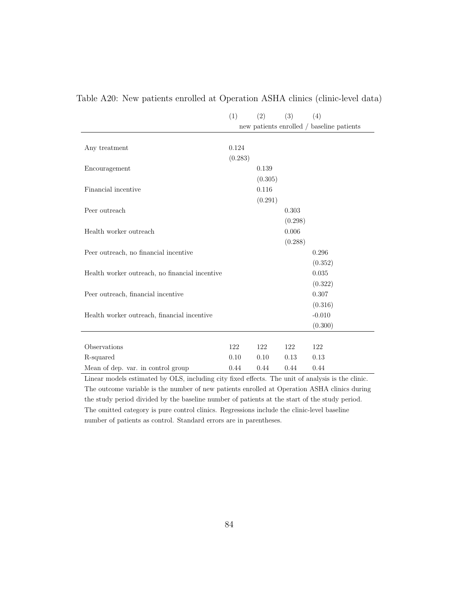|                                                | (1)     | (2)     | (3)     | (4)                                       |
|------------------------------------------------|---------|---------|---------|-------------------------------------------|
|                                                |         |         |         | new patients enrolled / baseline patients |
|                                                |         |         |         |                                           |
| Any treatment                                  | 0.124   |         |         |                                           |
|                                                | (0.283) |         |         |                                           |
| Encouragement                                  |         | 0.139   |         |                                           |
|                                                |         | (0.305) |         |                                           |
| Financial incentive                            |         | 0.116   |         |                                           |
|                                                |         | (0.291) |         |                                           |
| Peer outreach                                  |         |         | 0.303   |                                           |
|                                                |         |         | (0.298) |                                           |
| Health worker outreach                         |         |         | 0.006   |                                           |
|                                                |         |         | (0.288) |                                           |
| Peer outreach, no financial incentive          |         |         |         | 0.296                                     |
|                                                |         |         |         | (0.352)                                   |
| Health worker outreach, no financial incentive |         |         |         | 0.035                                     |
|                                                |         |         |         | (0.322)                                   |
| Peer outreach, financial incentive             |         |         |         | 0.307                                     |
|                                                |         |         |         | (0.316)                                   |
| Health worker outreach, financial incentive    |         |         |         | $-0.010$                                  |
|                                                |         |         |         | (0.300)                                   |
|                                                |         |         |         |                                           |
| Observations                                   | 122     | 122     | 122     | 122                                       |
| R-squared                                      | 0.10    | 0.10    | 0.13    | 0.13                                      |
| Mean of dep. var. in control group             | 0.44    | 0.44    | 0.44    | 0.44                                      |

## Table A20: New patients enrolled at Operation ASHA clinics (clinic-level data)

Linear models estimated by OLS, including city fixed effects. The unit of analysis is the clinic. The outcome variable is the number of new patients enrolled at Operation ASHA clinics during the study period divided by the baseline number of patients at the start of the study period. The omitted category is pure control clinics. Regressions include the clinic-level baseline number of patients as control. Standard errors are in parentheses.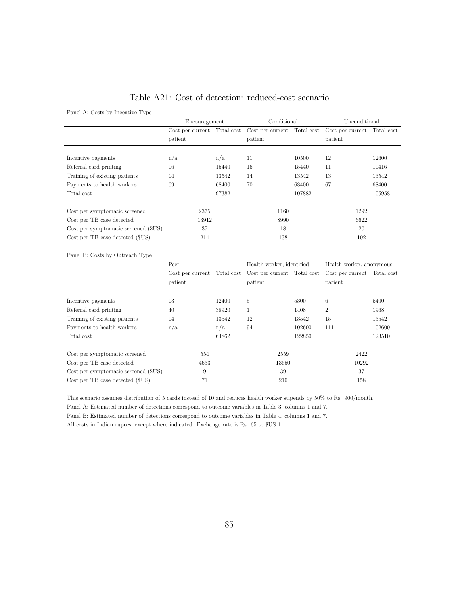### Table A21: Cost of detection: reduced-cost scenario

Panel A: Costs by Incentive Type

|                                      | Encouragement |       | Conditional                                                                         |        | Unconditional |        |
|--------------------------------------|---------------|-------|-------------------------------------------------------------------------------------|--------|---------------|--------|
|                                      |               |       | Cost per current Total cost Cost per current Total cost Cost per current Total cost |        |               |        |
|                                      | patient       |       | patient                                                                             |        | patient       |        |
|                                      |               |       |                                                                                     |        |               |        |
| Incentive payments                   | n/a           | n/a   | 11                                                                                  | 10500  | 12            | 12600  |
| Referral card printing               | 16            | 15440 | 16                                                                                  | 15440  | 11            | 11416  |
| Training of existing patients        | 14            | 13542 | 14                                                                                  | 13542  | 13            | 13542  |
| Payments to health workers           | 69            | 68400 | 70                                                                                  | 68400  | 67            | 68400  |
| Total cost                           |               | 97382 |                                                                                     | 107882 |               | 105958 |
|                                      |               |       |                                                                                     |        |               |        |
| Cost per symptomatic screened        | 2375          |       | 1160                                                                                |        | 1292          |        |
| Cost per TB case detected            | 13912         |       | 8990                                                                                |        | 6622          |        |
| Cost per symptomatic screened (\$US) | 37            |       | 18                                                                                  |        | 20            |        |
| Cost per TB case detected (\$US)     | 214           |       | 138                                                                                 |        | 102           |        |

#### Panel B: Costs by Outreach Type

|                                      | Peer    |       | Health worker, identified                               |        | Health worker, anonymous    |        |
|--------------------------------------|---------|-------|---------------------------------------------------------|--------|-----------------------------|--------|
|                                      |         |       | Cost per current Total cost Cost per current Total cost |        | Cost per current Total cost |        |
|                                      | patient |       | patient                                                 |        | patient                     |        |
|                                      |         |       |                                                         |        |                             |        |
| Incentive payments                   | 13      | 12400 | 5                                                       | 5300   | 6                           | 5400   |
| Referral card printing               | 40      | 38920 |                                                         | 1408   | $\overline{2}$              | 1968   |
| Training of existing patients        | 14      | 13542 | 12                                                      | 13542  | 15                          | 13542  |
| Payments to health workers           | n/a     | n/a   | 94                                                      | 102600 | 111                         | 102600 |
| Total cost                           |         | 64862 |                                                         | 122850 |                             | 123510 |
|                                      |         |       |                                                         |        |                             |        |
| Cost per symptomatic screened        | 554     |       | 2559                                                    |        | 2422                        |        |
| Cost per TB case detected            | 4633    |       | 13650                                                   |        | 10292                       |        |
| Cost per symptomatic screened (\$US) | 9       |       | 39                                                      |        | 37                          |        |
| Cost per TB case detected (\$US)     | 71      |       | 210                                                     |        | 158                         |        |

This scenario assumes distribution of 5 cards instead of 10 and reduces health worker stipends by 50% to Rs. 900/month.

Panel A: Estimated number of detections correspond to outcome variables in Table 3, columns 1 and 7.

Panel B: Estimated number of detections correspond to outcome variables in Table 4, columns 1 and 7.

All costs in Indian rupees, except where indicated. Exchange rate is Rs. 65 to \$US 1.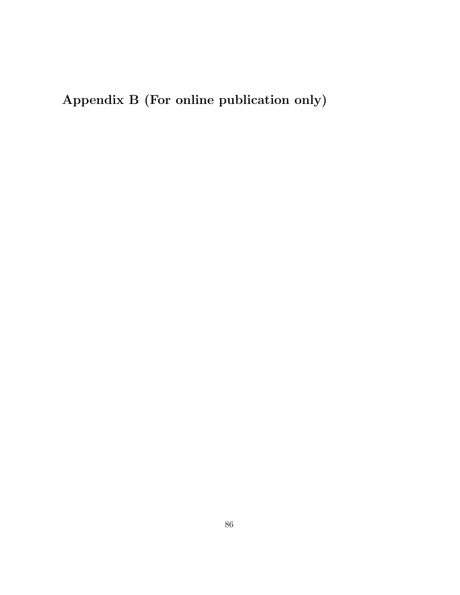Appendix B (For online publication only)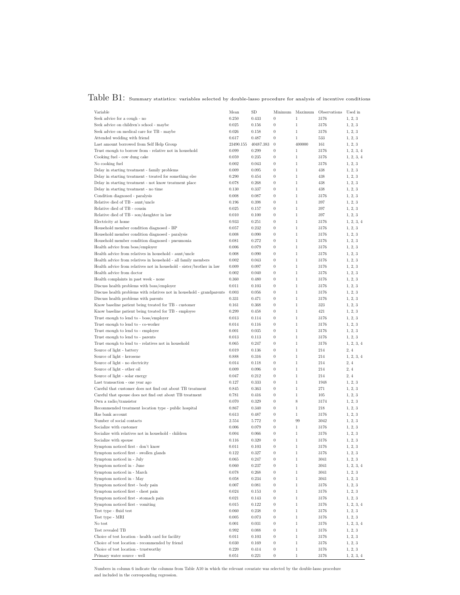# Table B1: Summary statistics: variables selected by double-lasso procedure for analysis of incentive conditions

| Variable                                                                                                           | Mean           | <b>SD</b>      |                                      | Minimum Maximum              | Observations | Used in            |
|--------------------------------------------------------------------------------------------------------------------|----------------|----------------|--------------------------------------|------------------------------|--------------|--------------------|
| Seek advice for a cough - no                                                                                       | 0.250          | 0.433          | $\boldsymbol{0}$                     | $\mathbf{1}$                 | 3176         | 1, 2, 3            |
| Seek advice on children's school - maybe                                                                           | 0.025          | 0.156          | $\boldsymbol{0}$                     | $\mathbf{1}$                 | 3176         | 1, 2, 3            |
| Seek advice on medical care for TB - maybe                                                                         | 0.026          | 0.158          | $\boldsymbol{0}$                     | $\mathbf{1}$                 | 3176         | 1, 2, 3            |
| Attended wedding with friend                                                                                       | 0.617          | 0.487          | $\boldsymbol{0}$                     | $\mathbf{1}$                 | 533          | 1, 2, 3            |
| Last amount borrowed from Self Help Group                                                                          | 23490.155      | 40487.383      | $\boldsymbol{0}$                     | 400000                       | 161          | 1, 2, 3            |
| Trust enough to borrow from - relative not in household                                                            | 0.099          | 0.299          | $\boldsymbol{0}$                     | $\mathbf{1}$                 | 3176         | 1, 2, 3, 4         |
| Cooking fuel - cow dung cake                                                                                       | 0.059          | 0.235          | $\boldsymbol{0}$                     | $\mathbf{1}$                 | 3176         | 1, 2, 3, 4         |
| No cooking fuel                                                                                                    | 0.002          | 0.043          | $\boldsymbol{0}$                     | $\mathbf{1}$                 | 3176         | 1, 2, 3            |
| Delay in starting treatment - family problems                                                                      | 0.009          | 0.095          | $\boldsymbol{0}$                     | $\mathbf{1}$                 | 438          | 1, 2, 3            |
| Delay in starting treatment - treated for something else<br>Delay in starting treatment - not know treatment place | 0.290<br>0.078 | 0.454<br>0.268 | $\boldsymbol{0}$<br>$\boldsymbol{0}$ | $\mathbf{1}$<br>$\mathbf{1}$ | 438<br>438   | 1, 2, 3<br>1, 2, 3 |
| Delay in starting treatment - no time                                                                              | 0.130          | 0.337          | $\boldsymbol{0}$                     | $\mathbf{1}$                 | 438          | 1, 2, 3            |
| Condition diagnosed - paralysis                                                                                    | 0.008          | 0.087          | $\boldsymbol{0}$                     | $\mathbf{1}$                 | 3176         | 1, 2, 3            |
| Relative died of TB - aunt/uncle                                                                                   | 0.196          | 0.398          | $\boldsymbol{0}$                     | $\mathbf{1}$                 | 397          | 1, 2, 3            |
| Relative died of TB - cousin                                                                                       | 0.025          | 0.157          | $\boldsymbol{0}$                     | $\mathbf{1}$                 | 397          | 1, 2, 3            |
| Relative died of TB - son/daughter in law                                                                          | 0.010          | 0.100          | $\boldsymbol{0}$                     | $\mathbf{1}$                 | 397          | 1, 2, 3            |
| Electricity at home                                                                                                | 0.933          | 0.251          | $\boldsymbol{0}$                     | $\mathbf{1}$                 | 3176         | 1, 2, 3, 4         |
| Household member condition diagnosed - BP                                                                          | 0.057          | 0.232          | $\boldsymbol{0}$                     | $\mathbf{1}$                 | 3176         | 1, 2, 3            |
| Household member condition diagnosed - paralysis                                                                   | 0.008          | 0.090          | $\boldsymbol{0}$                     | $\mathbf{1}$                 | 3176         | 1, 2, 3            |
| Household member condition diagnosed - pneumonia                                                                   | 0.081          | 0.272          | $\boldsymbol{0}$                     | $\mathbf{1}$                 | 3176         | 1, 2, 3            |
| Health advice from boss/employer                                                                                   | 0.006          | 0.079          | $\boldsymbol{0}$                     | $\mathbf{1}$                 | 3176         | 1, 2, 3            |
| Health advice from relatives in household - aunt/uncle                                                             | 0.008          | 0.090          | $\boldsymbol{0}$                     | $\mathbf{1}$                 | 3176         | 1, 2, 3            |
| Health advice from relatives in household - all family members                                                     | 0.002          | 0.043          | $\boldsymbol{0}$                     | $\mathbf{1}$                 | 3176         | 1, 2, 3            |
| Health advice from relatives not in household - sister/brother in law                                              | 0.009          | 0.097          | $\boldsymbol{0}$                     | $\mathbf{1}$                 | 3176         | 1, 2, 3            |
| Health advice from doctor                                                                                          | 0.002          | 0.040          | $\boldsymbol{0}$                     | $\mathbf{1}$                 | 3176         | 1, 2, 3            |
| Health complaints in past week - none                                                                              | 0.360          | 0.480          | $\boldsymbol{0}$                     | $\mathbf{1}$                 | 3176         | 1, 2, 3            |
| Discuss health problems with boss/employer                                                                         | 0.011          | 0.103          | $\boldsymbol{0}$                     | $\mathbf{1}$                 | 3176         | 1, 2, 3            |
| Discuss health problems with relatives not in household - grandparents                                             | 0.003          | 0.056          | 0                                    | $\mathbf{1}$                 | 3176         | 1, 2, 3            |
| Discuss health problems with parents                                                                               | 0.331          | 0.471          | $\boldsymbol{0}$                     | $\mathbf{1}$                 | 3176         | 1, 2, 3            |
| Know baseline patient being treated for TB - customer                                                              | 0.161          | 0.368          | $\boldsymbol{0}$                     | $\mathbf{1}$                 | 323          | 1, 2, 3            |
| Know baseline patient being treated for TB - employee                                                              | 0.299          | 0.458          | $\boldsymbol{0}$                     | $\mathbf{1}$                 | 421          | 1, 2, 3            |
| Trust enough to lend to - boss/employer                                                                            | 0.013          | 0.114          | $\boldsymbol{0}$<br>$\boldsymbol{0}$ | $\mathbf{1}$<br>$\mathbf{1}$ | 3176         | 1, 2, 3            |
| Trust enough to lend to - co-worker<br>Trust enough to lend to - employee                                          | 0.014<br>0.001 | 0.116<br>0.035 | $\boldsymbol{0}$                     | $\mathbf{1}$                 | 3176<br>3176 | 1, 2, 3<br>1, 2, 3 |
| Trust enough to lend to - parents                                                                                  | 0.013          | 0.113          | 0                                    | $\mathbf{1}$                 | 3176         | 1, 2, 3            |
| Trust enough to lend to - relatives not in household                                                               | 0.065          | 0.247          | $\boldsymbol{0}$                     | $\mathbf{1}$                 | 3176         | 1, 2, 3, 4         |
| Source of light - battery                                                                                          | 0.019          | 0.136          | $\boldsymbol{0}$                     | $\mathbf{1}$                 | 214          | 2, 4               |
| Source of light - kerosene                                                                                         | 0.888          | 0.316          | $\boldsymbol{0}$                     | $\mathbf{1}$                 | 214          | 1, 2, 3, 4         |
| Source of light - no electricity                                                                                   | 0.014          | 0.118          | $\boldsymbol{0}$                     | $\,1$                        | 214          | 2, 4               |
| Source of light - other oil                                                                                        | 0.009          | 0.096          | $\boldsymbol{0}$                     | $\mathbf{1}$                 | 214          | 2, 4               |
| Source of light - solar energy                                                                                     | 0.047          | 0.212          | $\boldsymbol{0}$                     | $\mathbf{1}$                 | 214          | 2, 4               |
| Last transaction - one year ago                                                                                    | 0.127          | 0.333          | 0                                    | $\mathbf{1}$                 | 1948         | 1, 2, 3            |
| Careful that customer does not find out about TB treatment                                                         | 0.845          | 0.363          | $\boldsymbol{0}$                     | $\mathbf{1}$                 | 271          | 1, 2, 3            |
| Careful that spouse does not find out about TB treatment                                                           | 0.781          | 0.416          | $\boldsymbol{0}$                     | $\mathbf{1}$                 | 105          | 1, 2, 3            |
| Own a radio/transistor                                                                                             | 0.070          | 0.329          | $\boldsymbol{0}$                     | $\,$ 8 $\,$                  | 3174         | 1, 2, 3            |
| Recommended treatment location type - public hospital                                                              | 0.867          | 0.340          | $\boldsymbol{0}$                     | $\mathbf{1}$                 | 218          | 1, 2, 3            |
| Has bank account                                                                                                   | 0.613          | 0.487          | $\boldsymbol{0}$                     | $\mathbf{1}$                 | 3176         | 1, 2, 3            |
| Number of social contacts                                                                                          | 2.554          | 5.772          | $\boldsymbol{0}$                     | 99                           | 3042         | 1, 2, 3            |
| Socialize with customer                                                                                            | 0.006          | 0.079          | $\boldsymbol{0}$                     | $\mathbf{1}$                 | 3176         | 1, 2, 3            |
| Socialize with relatives not in household - children                                                               | 0.004          | 0.066          | $\boldsymbol{0}$                     | $\mathbf{1}$                 | 3176         | 1, 2, 3            |
| Socialize with spouse                                                                                              | 0.116          | 0.320          | $\boldsymbol{0}$                     | $\mathbf{1}$                 | 3176         | 1, 2, 3            |
| Symptom noticed first - don't know                                                                                 | 0.011          | 0.103          | 0                                    | $\mathbf{1}$                 | 3176         | 1, 2, 3            |
| Symptom noticed first - swollen glands                                                                             | 0.122          | 0.327          | $\boldsymbol{0}$                     | $\,1$                        | 3176         | 1, 2, 3            |
| Symptom noticed in - July<br>Symptom noticed in - June                                                             | 0.065          | 0.247          | $\boldsymbol{0}$                     | $\,1$                        | 3041         | 1, 2, 3            |
| Symptom noticed in - March                                                                                         | 0.060          | 0.237          | $\boldsymbol{0}$                     | $\,1$                        | 3041         | 1, 2, 3, 4         |
| Symptom noticed in - May                                                                                           | 0.078<br>0.058 | 0.268<br>0.234 | $\boldsymbol{0}$<br>$\boldsymbol{0}$ | $\mathbf{1}$<br>$\mathbf{1}$ | 3041<br>3041 | 1, 2, 3            |
| Symptom noticed first - body pain                                                                                  | 0.007          | 0.081          | $\boldsymbol{0}$                     | $\,1$                        | 3176         | 1, 2, 3<br>1, 2, 3 |
| Symptom noticed first - chest pain                                                                                 | 0.024          | 0.153          | $\boldsymbol{0}$                     | $\mathbf{1}$                 | 3176         | 1, 2, 3            |
| Symptom noticed first - stomach pain                                                                               | 0.021          | 0.143          | $\boldsymbol{0}$                     | $\,1$                        | 3176         | 1, 2, 3            |
| Symptom noticed first - vomiting                                                                                   | 0.015          | 0.122          | $\boldsymbol{0}$                     | $\,1$                        | 3176         | 1, 2, 3, 4         |
| Test type - fluid test                                                                                             | 0.060          | 0.238          | 0                                    | $\,1$                        | 3176         | 1, 2, 3            |
| Test type - MRI                                                                                                    | 0.005          | 0.073          | $\boldsymbol{0}$                     | $\mathbf{1}$                 | 3176         | 1, 2, 3            |
| No test                                                                                                            | 0.001          | 0.031          | $\boldsymbol{0}$                     | $\mathbf{1}$                 | 3176         | 1, 2, 3, 4         |
| Test revealed TB                                                                                                   | 0.992          | 0.088          | $\boldsymbol{0}$                     | $\mathbf{1}$                 | 3176         | 1, 2, 3            |
| Choice of test location - health card for facility                                                                 | 0.011          | 0.103          | $\boldsymbol{0}$                     | $\,1$                        | 3176         | 1, 2, 3            |
| Choice of test location - recommended by friend                                                                    | 0.030          | 0.169          | $\boldsymbol{0}$                     | $\,1$                        | 3176         | 1, 2, 3            |
| Choice of test location - trustworthy                                                                              | 0.220          | 0.414          | $\boldsymbol{0}$                     | $\mathbf{1}$                 | 3176         | 1, 2, 3            |
| Primary water source - well                                                                                        | 0.051          | 0.221          | 0                                    | 1                            | 3176         | 1, 2, 3, 4         |

Numbers in column 6 indicate the columns from Table A10 in which the relevant covariate was selected by the double-lasso procedure and included in the corresponding regression.